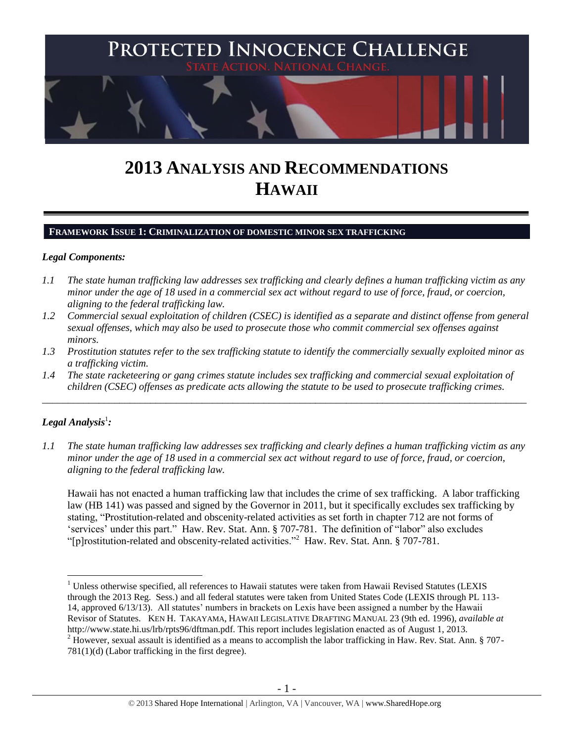

# **2013 ANALYSIS AND RECOMMENDATIONS HAWAII**

#### **FRAMEWORK ISSUE 1: CRIMINALIZATION OF DOMESTIC MINOR SEX TRAFFICKING**

#### *Legal Components:*

- *1.1 The state human trafficking law addresses sex trafficking and clearly defines a human trafficking victim as any minor under the age of 18 used in a commercial sex act without regard to use of force, fraud, or coercion, aligning to the federal trafficking law.*
- *1.2 Commercial sexual exploitation of children (CSEC) is identified as a separate and distinct offense from general sexual offenses, which may also be used to prosecute those who commit commercial sex offenses against minors.*
- *1.3 Prostitution statutes refer to the sex trafficking statute to identify the commercially sexually exploited minor as a trafficking victim.*
- *1.4 The state racketeering or gang crimes statute includes sex trafficking and commercial sexual exploitation of children (CSEC) offenses as predicate acts allowing the statute to be used to prosecute trafficking crimes.*

\_\_\_\_\_\_\_\_\_\_\_\_\_\_\_\_\_\_\_\_\_\_\_\_\_\_\_\_\_\_\_\_\_\_\_\_\_\_\_\_\_\_\_\_\_\_\_\_\_\_\_\_\_\_\_\_\_\_\_\_\_\_\_\_\_\_\_\_\_\_\_\_\_\_\_\_\_\_\_\_\_\_\_\_\_\_\_\_\_\_\_\_\_\_

## $\bm{L}$ egal Analysis $^1$ :

 $\overline{a}$ 

*1.1 The state human trafficking law addresses sex trafficking and clearly defines a human trafficking victim as any minor under the age of 18 used in a commercial sex act without regard to use of force, fraud, or coercion, aligning to the federal trafficking law.*

Hawaii has not enacted a human trafficking law that includes the crime of sex trafficking. A labor trafficking law (HB 141) was passed and signed by the Governor in 2011, but it specifically excludes sex trafficking by stating, "Prostitution-related and obscenity-related activities as set forth in chapter 712 are not forms of 'services' under this part." Haw. Rev. Stat. Ann. § 707-781. The definition of "labor" also excludes "[p]rostitution-related and obscenity-related activities."<sup>2</sup> Haw. Rev. Stat. Ann. § 707-781.

<sup>&</sup>lt;sup>1</sup> Unless otherwise specified, all references to Hawaii statutes were taken from Hawaii Revised Statutes (LEXIS through the 2013 Reg. Sess.) and all federal statutes were taken from United States Code (LEXIS through PL 113- 14, approved 6/13/13). All statutes' numbers in brackets on Lexis have been assigned a number by the Hawaii Revisor of Statutes. KEN H. TAKAYAMA, HAWAII LEGISLATIVE DRAFTING MANUAL 23 (9th ed. 1996), *available at* http://www.state.hi.us/lrb/rpts96/dftman.pdf. This report includes legislation enacted as of August 1, 2013.

 $2$  However, sexual assault is identified as a means to accomplish the labor trafficking in Haw. Rev. Stat. Ann. § 707-781(1)(d) (Labor trafficking in the first degree).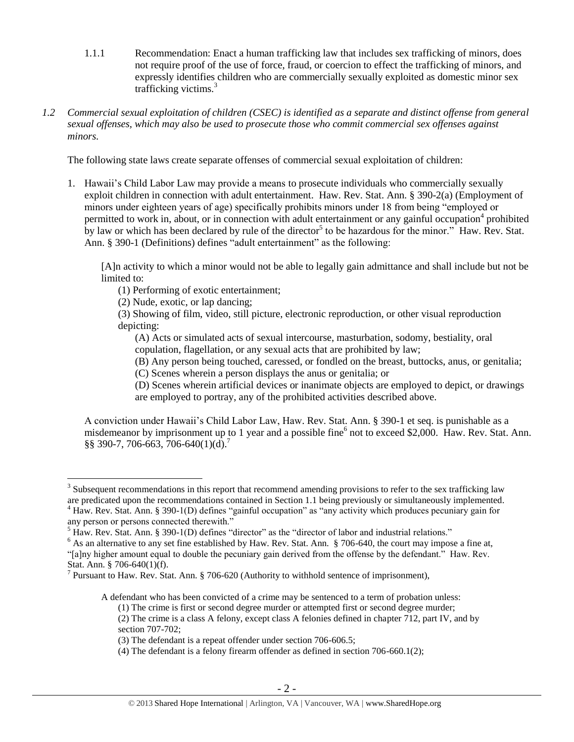- 1.1.1 Recommendation: Enact a human trafficking law that includes sex trafficking of minors, does not require proof of the use of force, fraud, or coercion to effect the trafficking of minors, and expressly identifies children who are commercially sexually exploited as domestic minor sex trafficking victims.<sup>3</sup>
- *1.2 Commercial sexual exploitation of children (CSEC) is identified as a separate and distinct offense from general sexual offenses, which may also be used to prosecute those who commit commercial sex offenses against minors.*

The following state laws create separate offenses of commercial sexual exploitation of children:

1. Hawaii's Child Labor Law may provide a means to prosecute individuals who commercially sexually exploit children in connection with adult entertainment. Haw. Rev. Stat. Ann. § 390-2(a) (Employment of minors under eighteen years of age) specifically prohibits minors under 18 from being "employed or permitted to work in, about, or in connection with adult entertainment or any gainful occupation<sup>4</sup> prohibited by law or which has been declared by rule of the director<sup>5</sup> to be hazardous for the minor." Haw. Rev. Stat. Ann. § 390-1 (Definitions) defines "adult entertainment" as the following:

[A]n activity to which a minor would not be able to legally gain admittance and shall include but not be limited to:

(1) Performing of exotic entertainment;

(2) Nude, exotic, or lap dancing;

(3) Showing of film, video, still picture, electronic reproduction, or other visual reproduction depicting:

(A) Acts or simulated acts of sexual intercourse, masturbation, sodomy, bestiality, oral copulation, flagellation, or any sexual acts that are prohibited by law;

(B) Any person being touched, caressed, or fondled on the breast, buttocks, anus, or genitalia;

(C) Scenes wherein a person displays the anus or genitalia; or

(D) Scenes wherein artificial devices or inanimate objects are employed to depict, or drawings are employed to portray, any of the prohibited activities described above.

A conviction under Hawaii's Child Labor Law, Haw. Rev. Stat. Ann. § 390-1 et seq. is punishable as a misdemeanor by imprisonment up to 1 year and a possible fine<sup>6</sup> not to exceed \$2,000. Haw. Rev. Stat. Ann. §§ 390-7, 706-663, 706-640(1)(d).<sup>7</sup>

 $\overline{a}$ 

<sup>6</sup> As an alternative to any set fine established by Haw. Rev. Stat. Ann. § 706-640, the court may impose a fine at,

A defendant who has been convicted of a crime may be sentenced to a term of probation unless:

 $3$  Subsequent recommendations in this report that recommend amending provisions to refer to the sex trafficking law are predicated upon the recommendations contained in Section 1.1 being previously or simultaneously implemented. <sup>4</sup> Haw. Rev. Stat. Ann. § 390-1(D) defines "gainful occupation" as "any activity which produces pecuniary gain for

any person or persons connected therewith."

 $<sup>5</sup>$  Haw. Rev. Stat. Ann. § 390-1(D) defines "director" as the "director of labor and industrial relations."</sup>

<sup>&</sup>quot;[a]ny higher amount equal to double the pecuniary gain derived from the offense by the defendant." Haw. Rev. Stat. Ann. § 706-640(1)(f).

<sup>&</sup>lt;sup>7</sup> Pursuant to Haw. Rev. Stat. Ann. § 706-620 (Authority to withhold sentence of imprisonment),

<sup>(1)</sup> The crime is first or second degree murder or attempted first or second degree murder;

<sup>(2)</sup> The crime is a class A felony, except class A felonies defined in chapter 712, part IV, and by section 707-702;

<sup>(3)</sup> The defendant is a repeat offender under section 706-606.5;

<sup>(4)</sup> The defendant is a felony firearm offender as defined in section 706-660.1(2);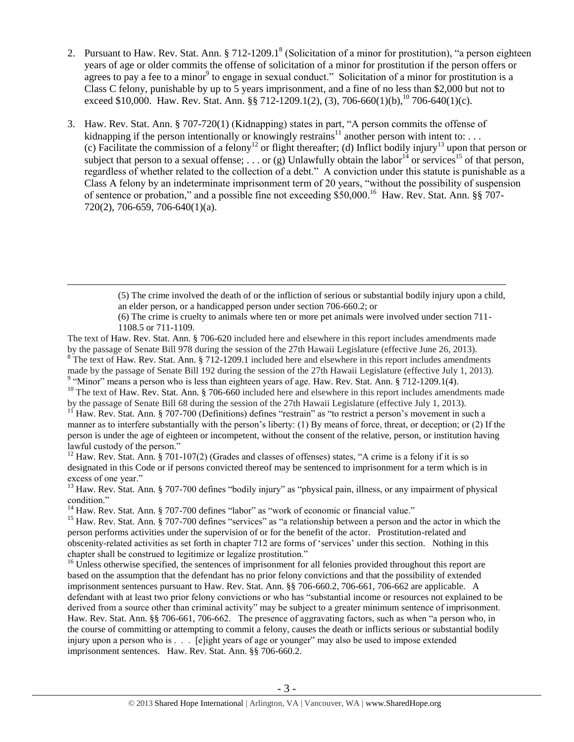- <span id="page-2-1"></span><span id="page-2-0"></span>2. Pursuant to Haw. Rev. Stat. Ann. § 712-1209.1<sup>8</sup> (Solicitation of a minor for prostitution), "a person eighteen years of age or older commits the offense of solicitation of a minor for prostitution if the person offers or agrees to pay a fee to a minor<sup>9</sup> to engage in sexual conduct." Solicitation of a minor for prostitution is a Class C felony, punishable by up to 5 years imprisonment, and a fine of no less than \$2,000 but not to exceed \$10,000. Haw. Rev. Stat. Ann. §§ 712-1209.1(2), (3), 706-660(1)(b), <sup>10</sup> 706-640(1)(c).
- <span id="page-2-2"></span>3. Haw. Rev. Stat. Ann. § 707-720(1) (Kidnapping) states in part, "A person commits the offense of kidnapping if the person intentionally or knowingly restrains<sup>11</sup> another person with intent to: ... (c) Facilitate the commission of a felony<sup>12</sup> or flight thereafter; (d) Inflict bodily injury<sup>13</sup> upon that person or subject that person to a sexual offense; ... or (g) Unlawfully obtain the labor<sup>14</sup> or services<sup>15</sup> of that person. regardless of whether related to the collection of a debt." A conviction under this statute is punishable as a Class A felony by an indeterminate imprisonment term of 20 years, "without the possibility of suspension of sentence or probation," and a possible fine not exceeding \$50,000.<sup>16</sup> Haw. Rev. Stat. Ann. §§ 707-720(2), 706-659, 706-640(1)(a).

<sup>10</sup> The text of Haw. Rev. Stat. Ann. § 706-660 included here and elsewhere in this report includes amendments made by the passage of Senate Bill 68 during the session of the 27th Hawaii Legislature (effective July 1, 2013).

<sup>11</sup> Haw. Rev. Stat. Ann. § 707-700 (Definitions) defines "restrain" as "to restrict a person's movement in such a manner as to interfere substantially with the person's liberty: (1) By means of force, threat, or deception; or (2) If the person is under the age of eighteen or incompetent, without the consent of the relative, person, or institution having lawful custody of the person."

<sup>12</sup> Haw. Rev. Stat. Ann. § 701-107(2) (Grades and classes of offenses) states, "A crime is a felony if it is so designated in this Code or if persons convicted thereof may be sentenced to imprisonment for a term which is in excess of one year."

<sup>13</sup> Haw. Rev. Stat. Ann. § 707-700 defines "bodily injury" as "physical pain, illness, or any impairment of physical condition."

<sup>14</sup> Haw. Rev. Stat. Ann. § 707-700 defines "labor" as "work of economic or financial value."

 $\overline{a}$ 

<sup>15</sup> Haw. Rev. Stat. Ann. § 707-700 defines "services" as "a relationship between a person and the actor in which the person performs activities under the supervision of or for the benefit of the actor. Prostitution-related and obscenity-related activities as set forth in chapter 712 are forms of 'services' under this section. Nothing in this chapter shall be construed to legitimize or legalize prostitution."

 $16$  Unless otherwise specified, the sentences of imprisonment for all felonies provided throughout this report are based on the assumption that the defendant has no prior felony convictions and that the possibility of extended imprisonment sentences pursuant to Haw. Rev. Stat. Ann. §§ 706-660.2, 706-661, 706-662 are applicable. A defendant with at least two prior felony convictions or who has "substantial income or resources not explained to be derived from a source other than criminal activity" may be subject to a greater minimum sentence of imprisonment. Haw. Rev. Stat. Ann. §§ 706-661, 706-662. The presence of aggravating factors, such as when "a person who, in the course of committing or attempting to commit a felony, causes the death or inflicts serious or substantial bodily injury upon a person who is . . . [e]ight years of age or younger" may also be used to impose extended imprisonment sentences. Haw. Rev. Stat. Ann. §§ 706-660.2.

<sup>(5)</sup> The crime involved the death of or the infliction of serious or substantial bodily injury upon a child, an elder person, or a handicapped person under section 706-660.2; or

<sup>(6)</sup> The crime is cruelty to animals where ten or more pet animals were involved under section 711- 1108.5 or 711-1109.

The text of Haw. Rev. Stat. Ann. § 706-620 included here and elsewhere in this report includes amendments made by the passage of Senate Bill 978 during the session of the 27th Hawaii Legislature (effective June 26, 2013). <sup>8</sup> The text of Haw. Rev. Stat. Ann. § 712-1209.1 included here and elsewhere in this report includes amendments made by the passage of Senate Bill 192 during the session of the 27th Hawaii Legislature (effective July 1, 2013).<br><sup>9</sup> "Minor" means a person who is less than eighteen years of age. Haw. Rev. Stat. Ann. § 712-1209.1(4).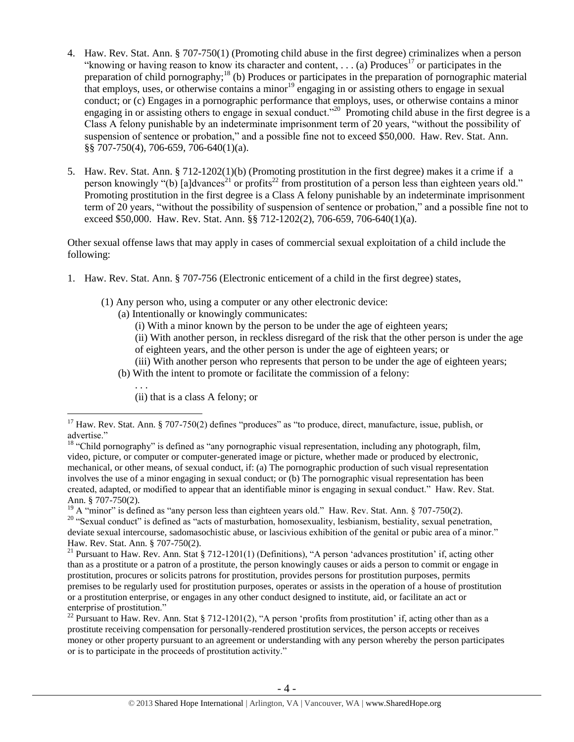- <span id="page-3-0"></span>4. Haw. Rev. Stat. Ann. § 707-750(1) (Promoting child abuse in the first degree) criminalizes when a person "knowing or having reason to know its character and content,  $\ldots$  (a) Produces<sup>17</sup> or participates in the preparation of child pornography;<sup>18</sup> (b) Produces or participates in the preparation of pornographic material that employs, uses, or otherwise contains a minor<sup>19</sup> engaging in or assisting others to engage in sexual conduct; or (c) Engages in a pornographic performance that employs, uses, or otherwise contains a minor engaging in or assisting others to engage in sexual conduct."<sup>20</sup> Promoting child abuse in the first degree is a Class A felony punishable by an indeterminate imprisonment term of 20 years, "without the possibility of suspension of sentence or probation," and a possible fine not to exceed \$50,000. Haw. Rev. Stat. Ann. §§ 707-750(4), 706-659, 706-640(1)(a).
- <span id="page-3-2"></span><span id="page-3-1"></span>5. Haw. Rev. Stat. Ann. § 712-1202(1)(b) (Promoting prostitution in the first degree) makes it a crime if a person knowingly "(b) [a]dvances<sup>21</sup> or profits<sup>22</sup> from prostitution of a person less than eighteen years old." Promoting prostitution in the first degree is a Class A felony punishable by an indeterminate imprisonment term of 20 years, "without the possibility of suspension of sentence or probation," and a possible fine not to exceed \$50,000. Haw. Rev. Stat. Ann. §§ 712-1202(2), 706-659, 706-640(1)(a).

Other sexual offense laws that may apply in cases of commercial sexual exploitation of a child include the following:

- 1. Haw. Rev. Stat. Ann. § 707-756 (Electronic enticement of a child in the first degree) states,
	- (1) Any person who, using a computer or any other electronic device:
		- (a) Intentionally or knowingly communicates:
			- (i) With a minor known by the person to be under the age of eighteen years;

(ii) With another person, in reckless disregard of the risk that the other person is under the age of eighteen years, and the other person is under the age of eighteen years; or

- (iii) With another person who represents that person to be under the age of eighteen years;
- (b) With the intent to promote or facilitate the commission of a felony:

(ii) that is a class A felony; or

. . .

<sup>&</sup>lt;sup>17</sup> Haw. Rev. Stat. Ann. § 707-750(2) defines "produces" as "to produce, direct, manufacture, issue, publish, or advertise."

<sup>&</sup>lt;sup>18</sup> "Child pornography" is defined as "any pornographic visual representation, including any photograph, film, video, picture, or computer or computer-generated image or picture, whether made or produced by electronic, mechanical, or other means, of sexual conduct, if: (a) The pornographic production of such visual representation involves the use of a minor engaging in sexual conduct; or (b) The pornographic visual representation has been created, adapted, or modified to appear that an identifiable minor is engaging in sexual conduct." Haw. Rev. Stat. Ann. § 707-750(2).

<sup>&</sup>lt;sup>19</sup> A "minor" is defined as "any person less than eighteen years old." Haw. Rev. Stat. Ann. § 707-750(2). <sup>20</sup> "Sexual conduct" is defined as "acts of masturbation, homosexuality, lesbianism, bestiality, sexual penetration, deviate sexual intercourse, sadomasochistic abuse, or lascivious exhibition of the genital or pubic area of a minor." Haw. Rev. Stat. Ann. § 707-750(2).

<sup>&</sup>lt;sup>21</sup> Pursuant to Haw. Rev. Ann. Stat § 712-1201(1) (Definitions), "A person 'advances prostitution' if, acting other than as a prostitute or a patron of a prostitute, the person knowingly causes or aids a person to commit or engage in prostitution, procures or solicits patrons for prostitution, provides persons for prostitution purposes, permits premises to be regularly used for prostitution purposes, operates or assists in the operation of a house of prostitution or a prostitution enterprise, or engages in any other conduct designed to institute, aid, or facilitate an act or enterprise of prostitution."

<sup>&</sup>lt;sup>22</sup> Pursuant to Haw. Rev. Ann. Stat § 712-1201(2), "A person 'profits from prostitution' if, acting other than as a prostitute receiving compensation for personally-rendered prostitution services, the person accepts or receives money or other property pursuant to an agreement or understanding with any person whereby the person participates or is to participate in the proceeds of prostitution activity."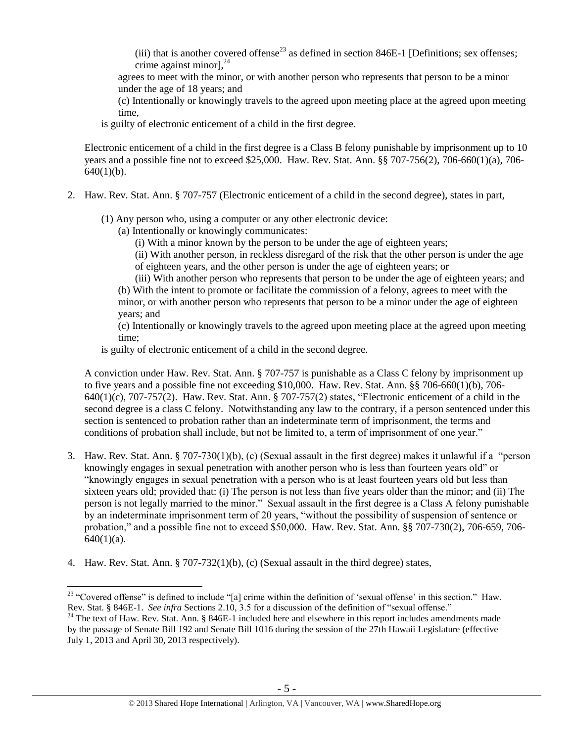<span id="page-4-0"></span>(iii) that is another covered offense<sup>23</sup> as defined in section 846E-1 [Definitions; sex offenses; crime against minor], $^{24}$ 

agrees to meet with the minor, or with another person who represents that person to be a minor under the age of 18 years; and

(c) Intentionally or knowingly travels to the agreed upon meeting place at the agreed upon meeting time,

is guilty of electronic enticement of a child in the first degree.

Electronic enticement of a child in the first degree is a Class B felony punishable by imprisonment up to 10 years and a possible fine not to exceed \$25,000. Haw. Rev. Stat. Ann. §§ 707-756(2), 706-660(1)(a), 706-  $640(1)(b)$ .

- 2. Haw. Rev. Stat. Ann. § 707-757 (Electronic enticement of a child in the second degree), states in part,
	- (1) Any person who, using a computer or any other electronic device:
		- (a) Intentionally or knowingly communicates:
			- (i) With a minor known by the person to be under the age of eighteen years;

(ii) With another person, in reckless disregard of the risk that the other person is under the age of eighteen years, and the other person is under the age of eighteen years; or

(iii) With another person who represents that person to be under the age of eighteen years; and (b) With the intent to promote or facilitate the commission of a felony, agrees to meet with the minor, or with another person who represents that person to be a minor under the age of eighteen years; and

(c) Intentionally or knowingly travels to the agreed upon meeting place at the agreed upon meeting time;

is guilty of electronic enticement of a child in the second degree.

A conviction under Haw. Rev. Stat. Ann. § 707-757 is punishable as a Class C felony by imprisonment up to five years and a possible fine not exceeding \$10,000. Haw. Rev. Stat. Ann. §§ 706-660(1)(b), 706- 640(1)(c), 707-757(2). Haw. Rev. Stat. Ann. § 707-757(2) states, "Electronic enticement of a child in the second degree is a class C felony. Notwithstanding any law to the contrary, if a person sentenced under this section is sentenced to probation rather than an indeterminate term of imprisonment, the terms and conditions of probation shall include, but not be limited to, a term of imprisonment of one year."

- 3. Haw. Rev. Stat. Ann. § 707-730(1)(b), (c) (Sexual assault in the first degree) makes it unlawful if a "person knowingly engages in sexual penetration with another person who is less than fourteen years old" or "knowingly engages in sexual penetration with a person who is at least fourteen years old but less than sixteen years old; provided that: (i) The person is not less than five years older than the minor; and (ii) The person is not legally married to the minor." Sexual assault in the first degree is a Class A felony punishable by an indeterminate imprisonment term of 20 years, "without the possibility of suspension of sentence or probation," and a possible fine not to exceed \$50,000. Haw. Rev. Stat. Ann. §§ 707-730(2), 706-659, 706-  $640(1)(a)$ .
- 4. Haw. Rev. Stat. Ann. § 707-732(1)(b), (c) (Sexual assault in the third degree) states,

 $23$  "Covered offense" is defined to include "[a] crime within the definition of 'sexual offense' in this section." Haw. Rev. Stat. § 846E-1. *See infra* Sections 2.10, 3.5 for a discussion of the definition of "sexual offense."

<sup>&</sup>lt;sup>24</sup> The text of Haw. Rev. Stat. Ann. § 846E-1 included here and elsewhere in this report includes amendments made by the passage of Senate Bill 192 and Senate Bill 1016 during the session of the 27th Hawaii Legislature (effective July 1, 2013 and April 30, 2013 respectively).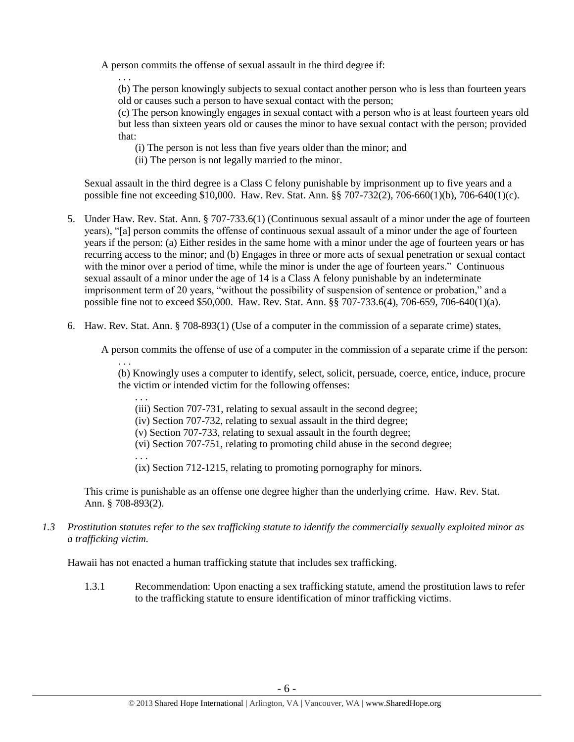A person commits the offense of sexual assault in the third degree if:

. . . (b) The person knowingly subjects to sexual contact another person who is less than fourteen years old or causes such a person to have sexual contact with the person;

(c) The person knowingly engages in sexual contact with a person who is at least fourteen years old but less than sixteen years old or causes the minor to have sexual contact with the person; provided that:

- (i) The person is not less than five years older than the minor; and
- (ii) The person is not legally married to the minor.

Sexual assault in the third degree is a Class C felony punishable by imprisonment up to five years and a possible fine not exceeding \$10,000. Haw. Rev. Stat. Ann. §§ 707-732(2), 706-660(1)(b), 706-640(1)(c).

- 5. Under Haw. Rev. Stat. Ann. § 707-733.6(1) (Continuous sexual assault of a minor under the age of fourteen years), "[a] person commits the offense of continuous sexual assault of a minor under the age of fourteen years if the person: (a) Either resides in the same home with a minor under the age of fourteen years or has recurring access to the minor; and (b) Engages in three or more acts of sexual penetration or sexual contact with the minor over a period of time, while the minor is under the age of fourteen years." Continuous sexual assault of a minor under the age of 14 is a Class A felony punishable by an indeterminate imprisonment term of 20 years, "without the possibility of suspension of sentence or probation," and a possible fine not to exceed \$50,000. Haw. Rev. Stat. Ann. §§ 707-733.6(4), 706-659, 706-640(1)(a).
- 6. Haw. Rev. Stat. Ann. § 708-893(1) (Use of a computer in the commission of a separate crime) states,

A person commits the offense of use of a computer in the commission of a separate crime if the person:

(b) Knowingly uses a computer to identify, select, solicit, persuade, coerce, entice, induce, procure the victim or intended victim for the following offenses:

. . . (iii) Section 707-731, relating to sexual assault in the second degree;

(iv) Section 707-732, relating to sexual assault in the third degree;

(v) Section 707-733, relating to sexual assault in the fourth degree;

(vi) Section 707-751, relating to promoting child abuse in the second degree;

. . . (ix) Section 712-1215, relating to promoting pornography for minors.

This crime is punishable as an offense one degree higher than the underlying crime. Haw. Rev. Stat. Ann. § 708-893(2).

*1.3 Prostitution statutes refer to the sex trafficking statute to identify the commercially sexually exploited minor as a trafficking victim.* 

Hawaii has not enacted a human trafficking statute that includes sex trafficking.

. . .

1.3.1 Recommendation: Upon enacting a sex trafficking statute, amend the prostitution laws to refer to the trafficking statute to ensure identification of minor trafficking victims.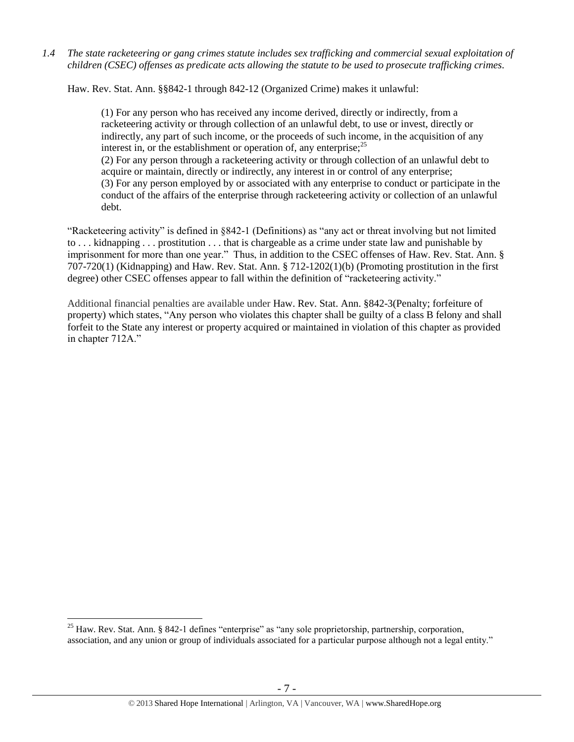*1.4 The state racketeering or gang crimes statute includes sex trafficking and commercial sexual exploitation of children (CSEC) offenses as predicate acts allowing the statute to be used to prosecute trafficking crimes.* 

Haw. Rev. Stat. Ann. §§842-1 through 842-12 (Organized Crime) makes it unlawful:

(1) For any person who has received any income derived, directly or indirectly, from a racketeering activity or through collection of an unlawful debt, to use or invest, directly or indirectly, any part of such income, or the proceeds of such income, in the acquisition of any interest in, or the establishment or operation of, any enterprise;  $2^5$ 

(2) For any person through a racketeering activity or through collection of an unlawful debt to acquire or maintain, directly or indirectly, any interest in or control of any enterprise; (3) For any person employed by or associated with any enterprise to conduct or participate in the conduct of the affairs of the enterprise through racketeering activity or collection of an unlawful debt.

"Racketeering activity" is defined in §842-1 (Definitions) as "any act or threat involving but not limited to . . . kidnapping . . . prostitution . . . that is chargeable as a crime under state law and punishable by imprisonment for more than one year." Thus, in addition to the CSEC offenses of Haw. Rev. Stat. Ann. § 707-720(1) (Kidnapping) and Haw. Rev. Stat. Ann. § 712-1202(1)(b) (Promoting prostitution in the first degree) other CSEC offenses appear to fall within the definition of "racketeering activity."

Additional financial penalties are available under Haw. Rev. Stat. Ann. §842-3(Penalty; forfeiture of property) which states, "Any person who violates this chapter shall be guilty of a class B felony and shall forfeit to the State any interest or property acquired or maintained in violation of this chapter as provided in chapter 712A."

 $\overline{a}$ <sup>25</sup> Haw. Rev. Stat. Ann. § 842-1 defines "enterprise" as "any sole proprietorship, partnership, corporation, association, and any union or group of individuals associated for a particular purpose although not a legal entity."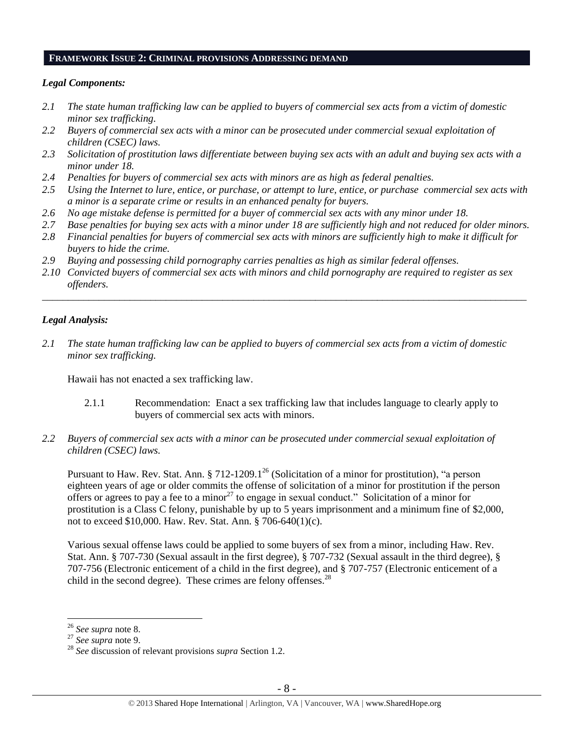#### **FRAMEWORK ISSUE 2: CRIMINAL PROVISIONS ADDRESSING DEMAND**

#### *Legal Components:*

- *2.1 The state human trafficking law can be applied to buyers of commercial sex acts from a victim of domestic minor sex trafficking.*
- *2.2 Buyers of commercial sex acts with a minor can be prosecuted under commercial sexual exploitation of children (CSEC) laws.*
- *2.3 Solicitation of prostitution laws differentiate between buying sex acts with an adult and buying sex acts with a minor under 18.*
- *2.4 Penalties for buyers of commercial sex acts with minors are as high as federal penalties.*
- *2.5 Using the Internet to lure, entice, or purchase, or attempt to lure, entice, or purchase commercial sex acts with a minor is a separate crime or results in an enhanced penalty for buyers.*
- *2.6 No age mistake defense is permitted for a buyer of commercial sex acts with any minor under 18.*
- *2.7 Base penalties for buying sex acts with a minor under 18 are sufficiently high and not reduced for older minors.*
- *2.8 Financial penalties for buyers of commercial sex acts with minors are sufficiently high to make it difficult for buyers to hide the crime.*
- *2.9 Buying and possessing child pornography carries penalties as high as similar federal offenses.*
- *2.10 Convicted buyers of commercial sex acts with minors and child pornography are required to register as sex offenders.*

\_\_\_\_\_\_\_\_\_\_\_\_\_\_\_\_\_\_\_\_\_\_\_\_\_\_\_\_\_\_\_\_\_\_\_\_\_\_\_\_\_\_\_\_\_\_\_\_\_\_\_\_\_\_\_\_\_\_\_\_\_\_\_\_\_\_\_\_\_\_\_\_\_\_\_\_\_\_\_\_\_\_\_\_\_\_\_\_\_\_\_\_\_\_

#### *Legal Analysis:*

*2.1 The state human trafficking law can be applied to buyers of commercial sex acts from a victim of domestic minor sex trafficking.* 

Hawaii has not enacted a sex trafficking law.

- 2.1.1 Recommendation: Enact a sex trafficking law that includes language to clearly apply to buyers of commercial sex acts with minors.
- *2.2 Buyers of commercial sex acts with a minor can be prosecuted under commercial sexual exploitation of children (CSEC) laws.*

Pursuant to Haw. Rev. Stat. Ann.  $\S 712-1209.1^{26}$  (Solicitation of a minor for prostitution), "a person eighteen years of age or older commits the offense of solicitation of a minor for prostitution if the person offers or agrees to pay a fee to a minor<sup>27</sup> to engage in sexual conduct." Solicitation of a minor for prostitution is a Class C felony, punishable by up to 5 years imprisonment and a minimum fine of \$2,000, not to exceed \$10,000. Haw. Rev. Stat. Ann. § 706-640(1)(c).

Various sexual offense laws could be applied to some buyers of sex from a minor, including Haw. Rev. Stat. Ann. § 707-730 (Sexual assault in the first degree), § 707-732 (Sexual assault in the third degree), § 707-756 (Electronic enticement of a child in the first degree), and § 707-757 (Electronic enticement of a child in the second degree). These crimes are felony offenses.<sup>28</sup>

<sup>26</sup> *See supra* note [8.](#page-2-0)

<sup>27</sup> *See supra* note [9.](#page-2-1)

<sup>28</sup> *See* discussion of relevant provisions *supra* Section 1.2.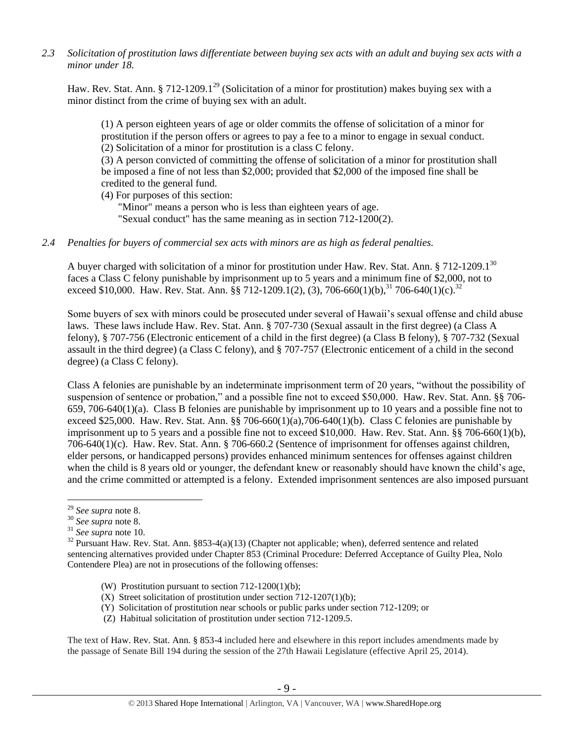*2.3 Solicitation of prostitution laws differentiate between buying sex acts with an adult and buying sex acts with a minor under 18.*

Haw. Rev. Stat. Ann. § 712-1209.1<sup>29</sup> (Solicitation of a minor for prostitution) makes buying sex with a minor distinct from the crime of buying sex with an adult.

(1) A person eighteen years of age or older commits the offense of solicitation of a minor for prostitution if the person offers or agrees to pay a fee to a minor to engage in sexual conduct. (2) Solicitation of a minor for prostitution is a class C felony.

(3) A person convicted of committing the offense of solicitation of a minor for prostitution shall be imposed a fine of not less than \$2,000; provided that \$2,000 of the imposed fine shall be credited to the general fund.

(4) For purposes of this section:

"Minor" means a person who is less than eighteen years of age. "Sexual conduct" has the same meaning as in section 712-1200(2).

#### *2.4 Penalties for buyers of commercial sex acts with minors are as high as federal penalties.*

A buyer charged with solicitation of a minor for prostitution under Haw. Rev. Stat. Ann. § 712-1209.1<sup>30</sup> faces a Class C felony punishable by imprisonment up to 5 years and a minimum fine of \$2,000, not to exceed \$10,000. Haw. Rev. Stat. Ann.  $\S$  712-1209.1(2), (3), 706-660(1)(b),  $31\frac{1}{106}$ -640(1)(c).  $32\frac{1}{100}$ 

Some buyers of sex with minors could be prosecuted under several of Hawaii's sexual offense and child abuse laws. These laws include Haw. Rev. Stat. Ann. § 707-730 (Sexual assault in the first degree) (a Class A felony), § 707-756 (Electronic enticement of a child in the first degree) (a Class B felony), § 707-732 (Sexual assault in the third degree) (a Class C felony), and § 707-757 (Electronic enticement of a child in the second degree) (a Class C felony).

Class A felonies are punishable by an indeterminate imprisonment term of 20 years, "without the possibility of suspension of sentence or probation," and a possible fine not to exceed \$50,000. Haw. Rev. Stat. Ann. §§ 706-659, 706-640(1)(a). Class B felonies are punishable by imprisonment up to 10 years and a possible fine not to exceed \$25,000. Haw. Rev. Stat. Ann. §§ 706-660(1)(a),706-640(1)(b). Class C felonies are punishable by imprisonment up to 5 years and a possible fine not to exceed \$10,000. Haw. Rev. Stat. Ann. §§ 706-660(1)(b), 706-640(1)(c). Haw. Rev. Stat. Ann. § 706-660.2 (Sentence of imprisonment for offenses against children, elder persons, or handicapped persons) provides enhanced minimum sentences for offenses against children when the child is 8 years old or younger, the defendant knew or reasonably should have known the child's age, and the crime committed or attempted is a felony. Extended imprisonment sentences are also imposed pursuant

 $\overline{a}$ 

- (W) Prostitution pursuant to section 712-1200(1)(b);
- (X) Street solicitation of prostitution under section 712-1207(1)(b);
- (Y) Solicitation of prostitution near schools or public parks under section 712-1209; or
- (Z) Habitual solicitation of prostitution under section 712-1209.5.

The text of Haw. Rev. Stat. Ann. § 853-4 included here and elsewhere in this report includes amendments made by the passage of Senate Bill 194 during the session of the 27th Hawaii Legislature (effective April 25, 2014).

<sup>29</sup> *See supra* note [8.](#page-2-0)

<sup>30</sup> *See supra* note [8.](#page-2-0)

<sup>31</sup> *See supra* note [10.](#page-2-2)

 $32$  Pursuant Haw. Rev. Stat. Ann. §853-4(a)(13) (Chapter not applicable; when), deferred sentence and related sentencing alternatives provided under Chapter 853 (Criminal Procedure: Deferred Acceptance of Guilty Plea, Nolo Contendere Plea) are not in prosecutions of the following offenses: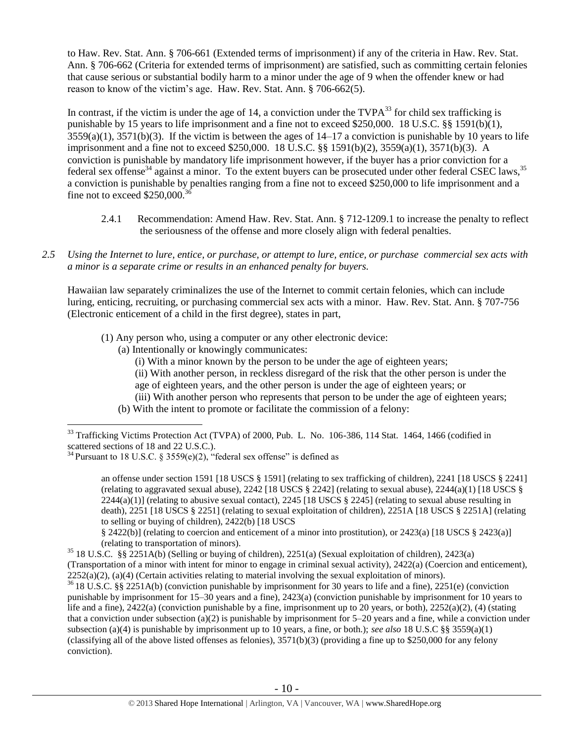to Haw. Rev. Stat. Ann. § 706-661 (Extended terms of imprisonment) if any of the criteria in Haw. Rev. Stat. Ann. § 706-662 (Criteria for extended terms of imprisonment) are satisfied, such as committing certain felonies that cause serious or substantial bodily harm to a minor under the age of 9 when the offender knew or had reason to know of the victim's age. Haw. Rev. Stat. Ann. § 706-662(5).

In contrast, if the victim is under the age of 14, a conviction under the  $TVPA^{33}$  for child sex trafficking is punishable by 15 years to life imprisonment and a fine not to exceed \$250,000. 18 U.S.C. §§ 1591(b)(1),  $3559(a)(1)$ ,  $3571(b)(3)$ . If the victim is between the ages of  $14-17$  a conviction is punishable by 10 years to life imprisonment and a fine not to exceed \$250,000. 18 U.S.C. §§ 1591(b)(2), 3559(a)(1), 3571(b)(3). A conviction is punishable by mandatory life imprisonment however, if the buyer has a prior conviction for a federal sex offense<sup>34</sup> against a minor. To the extent buyers can be prosecuted under other federal CSEC laws,  $35$ a conviction is punishable by penalties ranging from a fine not to exceed \$250,000 to life imprisonment and a fine not to exceed  $$250,000$ .<sup>3</sup>

- <span id="page-9-1"></span><span id="page-9-0"></span>2.4.1 Recommendation: Amend Haw. Rev. Stat. Ann. § 712-1209.1 to increase the penalty to reflect the seriousness of the offense and more closely align with federal penalties.
- *2.5 Using the Internet to lure, entice, or purchase, or attempt to lure, entice, or purchase commercial sex acts with a minor is a separate crime or results in an enhanced penalty for buyers.*

Hawaiian law separately criminalizes the use of the Internet to commit certain felonies, which can include luring, enticing, recruiting, or purchasing commercial sex acts with a minor. Haw. Rev. Stat. Ann. § 707-756 (Electronic enticement of a child in the first degree), states in part,

- (1) Any person who, using a computer or any other electronic device:
	- (a) Intentionally or knowingly communicates:
		- (i) With a minor known by the person to be under the age of eighteen years;
		- (ii) With another person, in reckless disregard of the risk that the other person is under the
		- age of eighteen years, and the other person is under the age of eighteen years; or
		- (iii) With another person who represents that person to be under the age of eighteen years;
	- (b) With the intent to promote or facilitate the commission of a felony:

 $\overline{a}$ 

an offense under section 1591 [18 USCS § 1591] (relating to sex trafficking of children), 2241 [18 USCS § 2241] (relating to aggravated sexual abuse),  $2242$  [18 USCS § 2242] (relating to sexual abuse),  $2244(a)(1)$  [18 USCS §  $2244(a)(1)$  (relating to abusive sexual contact),  $2245$  [18 USCS § 2245] (relating to sexual abuse resulting in death), 2251 [18 USCS § 2251] (relating to sexual exploitation of children), 2251A [18 USCS § 2251A] (relating to selling or buying of children), 2422(b) [18 USCS

§ 2422(b)] (relating to coercion and enticement of a minor into prostitution), or 2423(a) [18 USCS § 2423(a)] (relating to transportation of minors).

<sup>35</sup> 18 U.S.C. §§ 2251A(b) (Selling or buying of children), 2251(a) (Sexual exploitation of children), 2423(a) (Transportation of a minor with intent for minor to engage in criminal sexual activity), 2422(a) (Coercion and enticement),  $2252(a)(2)$ ,  $(a)(4)$  (Certain activities relating to material involving the sexual exploitation of minors).

<sup>36</sup> 18 U.S.C. §§ 2251A(b) (conviction punishable by imprisonment for 30 years to life and a fine), 2251(e) (conviction punishable by imprisonment for 15–30 years and a fine), 2423(a) (conviction punishable by imprisonment for 10 years to life and a fine),  $2422(a)$  (conviction punishable by a fine, imprisonment up to 20 years, or both),  $2252(a)(2)$ , (4) (stating that a conviction under subsection (a)(2) is punishable by imprisonment for  $5-20$  years and a fine, while a conviction under subsection (a)(4) is punishable by imprisonment up to 10 years, a fine, or both.); *see also* 18 U.S.C §§ 3559(a)(1) (classifying all of the above listed offenses as felonies),  $3571(b)(3)$  (providing a fine up to \$250,000 for any felony conviction).

 $33$  Trafficking Victims Protection Act (TVPA) of 2000, Pub. L. No. 106-386, 114 Stat. 1464, 1466 (codified in scattered sections of 18 and 22 U.S.C.).

<sup>&</sup>lt;sup>34</sup> Pursuant to 18 U.S.C. § 3559(e)(2), "federal sex offense" is defined as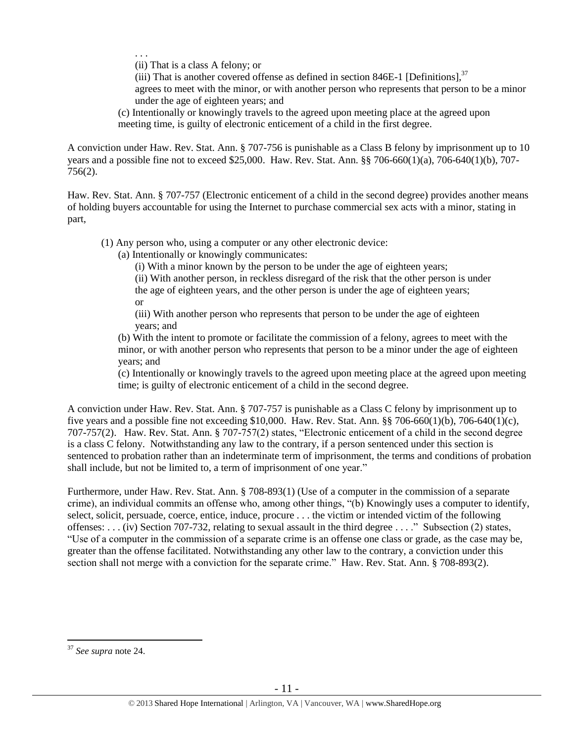. . .

(ii) That is a class A felony; or

(iii) That is another covered offense as defined in section 846E-1 [Definitions],  $37$ agrees to meet with the minor, or with another person who represents that person to be a minor under the age of eighteen years; and

(c) Intentionally or knowingly travels to the agreed upon meeting place at the agreed upon meeting time, is guilty of electronic enticement of a child in the first degree.

A conviction under Haw. Rev. Stat. Ann. § 707-756 is punishable as a Class B felony by imprisonment up to 10 years and a possible fine not to exceed \$25,000. Haw. Rev. Stat. Ann. §§ 706-660(1)(a), 706-640(1)(b), 707- 756(2).

Haw. Rev. Stat. Ann. § 707-757 (Electronic enticement of a child in the second degree) provides another means of holding buyers accountable for using the Internet to purchase commercial sex acts with a minor, stating in part,

(1) Any person who, using a computer or any other electronic device:

(a) Intentionally or knowingly communicates:

(i) With a minor known by the person to be under the age of eighteen years;

(ii) With another person, in reckless disregard of the risk that the other person is under the age of eighteen years, and the other person is under the age of eighteen years; or

(iii) With another person who represents that person to be under the age of eighteen years; and

(b) With the intent to promote or facilitate the commission of a felony, agrees to meet with the minor, or with another person who represents that person to be a minor under the age of eighteen years; and

(c) Intentionally or knowingly travels to the agreed upon meeting place at the agreed upon meeting time; is guilty of electronic enticement of a child in the second degree.

A conviction under Haw. Rev. Stat. Ann. § 707-757 is punishable as a Class C felony by imprisonment up to five years and a possible fine not exceeding \$10,000. Haw. Rev. Stat. Ann. §§ 706-660(1)(b), 706-640(1)(c), 707-757(2). Haw. Rev. Stat. Ann. § 707-757(2) states, "Electronic enticement of a child in the second degree is a class C felony. Notwithstanding any law to the contrary, if a person sentenced under this section is sentenced to probation rather than an indeterminate term of imprisonment, the terms and conditions of probation shall include, but not be limited to, a term of imprisonment of one year."

Furthermore, under Haw. Rev. Stat. Ann. § 708-893(1) (Use of a computer in the commission of a separate crime), an individual commits an offense who, among other things, "(b) Knowingly uses a computer to identify, select, solicit, persuade, coerce, entice, induce, procure . . . the victim or intended victim of the following offenses: . . . (iv) Section 707-732, relating to sexual assault in the third degree . . . ." Subsection (2) states, "Use of a computer in the commission of a separate crime is an offense one class or grade, as the case may be, greater than the offense facilitated. Notwithstanding any other law to the contrary, a conviction under this section shall not merge with a conviction for the separate crime." Haw. Rev. Stat. Ann. § 708-893(2).

<sup>37</sup> *See supra* note [24.](#page-4-0)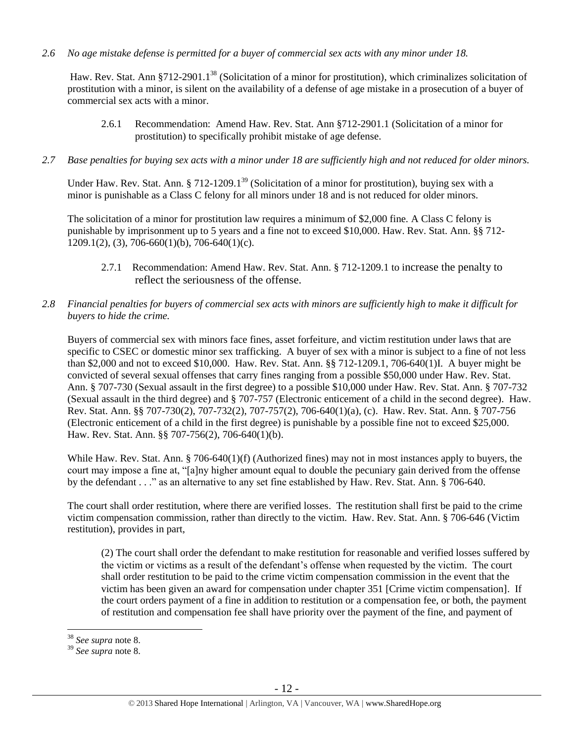*2.6 No age mistake defense is permitted for a buyer of commercial sex acts with any minor under 18.*

Haw. Rev. Stat. Ann §712-2901.1<sup>38</sup> (Solicitation of a minor for prostitution), which criminalizes solicitation of prostitution with a minor, is silent on the availability of a defense of age mistake in a prosecution of a buyer of commercial sex acts with a minor.

- 2.6.1 Recommendation: Amend Haw. Rev. Stat. Ann §712-2901.1 (Solicitation of a minor for prostitution) to specifically prohibit mistake of age defense.
- *2.7 Base penalties for buying sex acts with a minor under 18 are sufficiently high and not reduced for older minors.*

Under Haw. Rev. Stat. Ann. § 712-1209.1<sup>39</sup> (Solicitation of a minor for prostitution), buying sex with a minor is punishable as a Class C felony for all minors under 18 and is not reduced for older minors.

The solicitation of a minor for prostitution law requires a minimum of \$2,000 fine. A Class C felony is punishable by imprisonment up to 5 years and a fine not to exceed \$10,000. Haw. Rev. Stat. Ann. §§ 712-  $1209.1(2)$ , (3), 706-660(1)(b), 706-640(1)(c).

- 2.7.1 Recommendation: Amend Haw. Rev. Stat. Ann. § 712-1209.1 to increase the penalty to reflect the seriousness of the offense.
- *2.8 Financial penalties for buyers of commercial sex acts with minors are sufficiently high to make it difficult for buyers to hide the crime.*

Buyers of commercial sex with minors face fines, asset forfeiture, and victim restitution under laws that are specific to CSEC or domestic minor sex trafficking. A buyer of sex with a minor is subject to a fine of not less than \$2,000 and not to exceed \$10,000. Haw. Rev. Stat. Ann. §§ 712-1209.1, 706-640(1)I. A buyer might be convicted of several sexual offenses that carry fines ranging from a possible \$50,000 under Haw. Rev. Stat. Ann. § 707-730 (Sexual assault in the first degree) to a possible \$10,000 under Haw. Rev. Stat. Ann. § 707-732 (Sexual assault in the third degree) and § 707-757 (Electronic enticement of a child in the second degree). Haw. Rev. Stat. Ann. §§ 707-730(2), 707-732(2), 707-757(2), 706-640(1)(a), (c). Haw. Rev. Stat. Ann. § 707-756 (Electronic enticement of a child in the first degree) is punishable by a possible fine not to exceed \$25,000. Haw. Rev. Stat. Ann. §§ 707-756(2), 706-640(1)(b).

While Haw. Rev. Stat. Ann. § 706-640(1)(f) (Authorized fines) may not in most instances apply to buyers, the court may impose a fine at, "[a]ny higher amount equal to double the pecuniary gain derived from the offense by the defendant . . ." as an alternative to any set fine established by Haw. Rev. Stat. Ann. § 706-640.

The court shall order restitution, where there are verified losses. The restitution shall first be paid to the crime victim compensation commission, rather than directly to the victim. Haw. Rev. Stat. Ann. § 706-646 (Victim restitution), provides in part,

(2) The court shall order the defendant to make restitution for reasonable and verified losses suffered by the victim or victims as a result of the defendant's offense when requested by the victim. The court shall order restitution to be paid to the crime victim compensation commission in the event that the victim has been given an award for compensation under chapter 351 [Crime victim compensation]. If the court orders payment of a fine in addition to restitution or a compensation fee, or both, the payment of restitution and compensation fee shall have priority over the payment of the fine, and payment of

<sup>38</sup> *See supra* note [8.](#page-2-0)

<sup>39</sup> *See supra* note [8.](#page-2-0)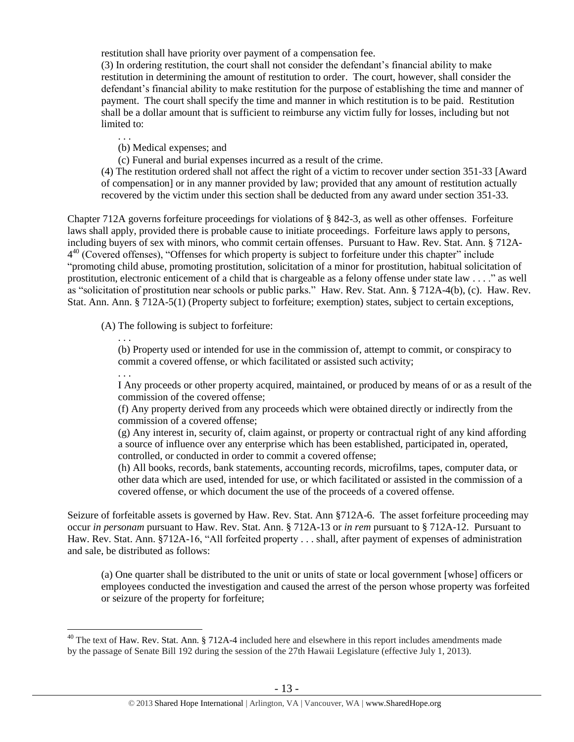restitution shall have priority over payment of a compensation fee.

(3) In ordering restitution, the court shall not consider the defendant's financial ability to make restitution in determining the amount of restitution to order. The court, however, shall consider the defendant's financial ability to make restitution for the purpose of establishing the time and manner of payment. The court shall specify the time and manner in which restitution is to be paid. Restitution shall be a dollar amount that is sufficient to reimburse any victim fully for losses, including but not limited to:

(b) Medical expenses; and

(c) Funeral and burial expenses incurred as a result of the crime.

(4) The restitution ordered shall not affect the right of a victim to recover under section 351-33 [Award of compensation] or in any manner provided by law; provided that any amount of restitution actually recovered by the victim under this section shall be deducted from any award under section 351-33.

<span id="page-12-0"></span>Chapter 712A governs forfeiture proceedings for violations of § 842-3, as well as other offenses. Forfeiture laws shall apply, provided there is probable cause to initiate proceedings. Forfeiture laws apply to persons, including buyers of sex with minors, who commit certain offenses. Pursuant to Haw. Rev. Stat. Ann. § 712A-4<sup>40</sup> (Covered offenses), "Offenses for which property is subject to forfeiture under this chapter" include "promoting child abuse, promoting prostitution, solicitation of a minor for prostitution, habitual solicitation of prostitution, electronic enticement of a child that is chargeable as a felony offense under state law . . . ." as well as "solicitation of prostitution near schools or public parks." Haw. Rev. Stat. Ann. § 712A-4(b), (c). Haw. Rev. Stat. Ann. Ann. § 712A-5(1) (Property subject to forfeiture; exemption) states, subject to certain exceptions,

(A) The following is subject to forfeiture:

. . .

. . .

(b) Property used or intended for use in the commission of, attempt to commit, or conspiracy to commit a covered offense, or which facilitated or assisted such activity;

. . .

 $\overline{a}$ 

I Any proceeds or other property acquired, maintained, or produced by means of or as a result of the commission of the covered offense;

(f) Any property derived from any proceeds which were obtained directly or indirectly from the commission of a covered offense;

(g) Any interest in, security of, claim against, or property or contractual right of any kind affording a source of influence over any enterprise which has been established, participated in, operated, controlled, or conducted in order to commit a covered offense;

(h) All books, records, bank statements, accounting records, microfilms, tapes, computer data, or other data which are used, intended for use, or which facilitated or assisted in the commission of a covered offense, or which document the use of the proceeds of a covered offense.

Seizure of forfeitable assets is governed by Haw. Rev. Stat. Ann §712A-6. The asset forfeiture proceeding may occur *in personam* pursuant to Haw. Rev. Stat. Ann. § 712A-13 or *in rem* pursuant to § 712A-12. Pursuant to Haw. Rev. Stat. Ann. §712A-16, "All forfeited property . . . shall, after payment of expenses of administration and sale, be distributed as follows:

(a) One quarter shall be distributed to the unit or units of state or local government [whose] officers or employees conducted the investigation and caused the arrest of the person whose property was forfeited or seizure of the property for forfeiture;

 $40$  The text of Haw. Rev. Stat. Ann. § 712A-4 included here and elsewhere in this report includes amendments made by the passage of Senate Bill 192 during the session of the 27th Hawaii Legislature (effective July 1, 2013).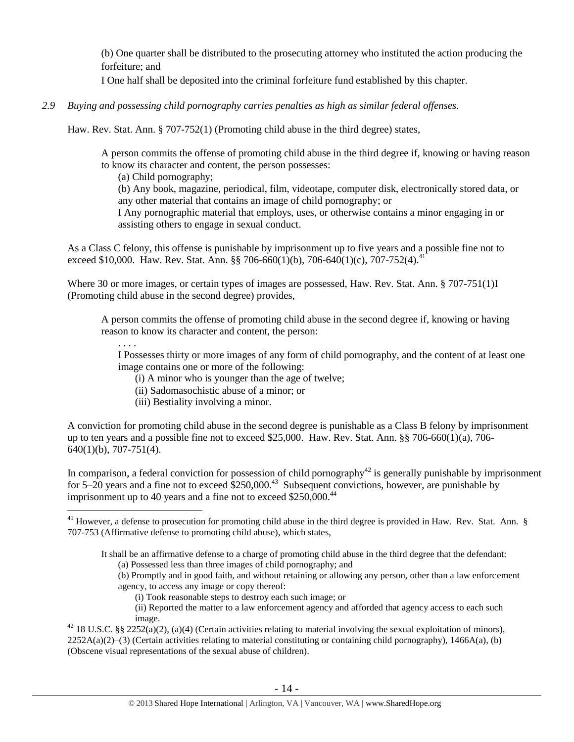(b) One quarter shall be distributed to the prosecuting attorney who instituted the action producing the forfeiture; and

I One half shall be deposited into the criminal forfeiture fund established by this chapter.

*2.9 Buying and possessing child pornography carries penalties as high as similar federal offenses.*

Haw. Rev. Stat. Ann. § 707-752(1) (Promoting child abuse in the third degree) states,

A person commits the offense of promoting child abuse in the third degree if, knowing or having reason to know its character and content, the person possesses:

(a) Child pornography;

(b) Any book, magazine, periodical, film, videotape, computer disk, electronically stored data, or any other material that contains an image of child pornography; or

I Any pornographic material that employs, uses, or otherwise contains a minor engaging in or assisting others to engage in sexual conduct.

As a Class C felony, this offense is punishable by imprisonment up to five years and a possible fine not to exceed \$10,000. Haw. Rev. Stat. Ann. §§ 706-660(1)(b), 706-640(1)(c), 707-752(4).<sup>41</sup>

Where 30 or more images, or certain types of images are possessed, Haw. Rev. Stat. Ann. § 707-751(1)I (Promoting child abuse in the second degree) provides,

A person commits the offense of promoting child abuse in the second degree if, knowing or having reason to know its character and content, the person:

. . . . I Possesses thirty or more images of any form of child pornography, and the content of at least one image contains one or more of the following:

(i) A minor who is younger than the age of twelve;

(ii) Sadomasochistic abuse of a minor; or

(iii) Bestiality involving a minor.

 $\overline{a}$ 

A conviction for promoting child abuse in the second degree is punishable as a Class B felony by imprisonment up to ten years and a possible fine not to exceed \$25,000. Haw. Rev. Stat. Ann. §§ 706-660(1)(a), 706- 640(1)(b), 707-751(4).

In comparison, a federal conviction for possession of child pornography<sup>42</sup> is generally punishable by imprisonment for 5–20 years and a fine not to exceed  $$250,000.<sup>43</sup>$  Subsequent convictions, however, are punishable by imprisonment up to 40 years and a fine not to exceed  $$250,000<sup>44</sup>$ 

(b) Promptly and in good faith, and without retaining or allowing any person, other than a law enforcement agency, to access any image or copy thereof:

(i) Took reasonable steps to destroy each such image; or

(ii) Reported the matter to a law enforcement agency and afforded that agency access to each such image.

<sup>42</sup> 18 U.S.C. §§ 2252(a)(2), (a)(4) (Certain activities relating to material involving the sexual exploitation of minors),  $2252A(a)(2)$ –(3) (Certain activities relating to material constituting or containing child pornography), 1466A(a), (b) (Obscene visual representations of the sexual abuse of children).

 $41$  However, a defense to prosecution for promoting child abuse in the third degree is provided in Haw. Rev. Stat. Ann. § 707-753 (Affirmative defense to promoting child abuse), which states,

It shall be an affirmative defense to a charge of promoting child abuse in the third degree that the defendant: (a) Possessed less than three images of child pornography; and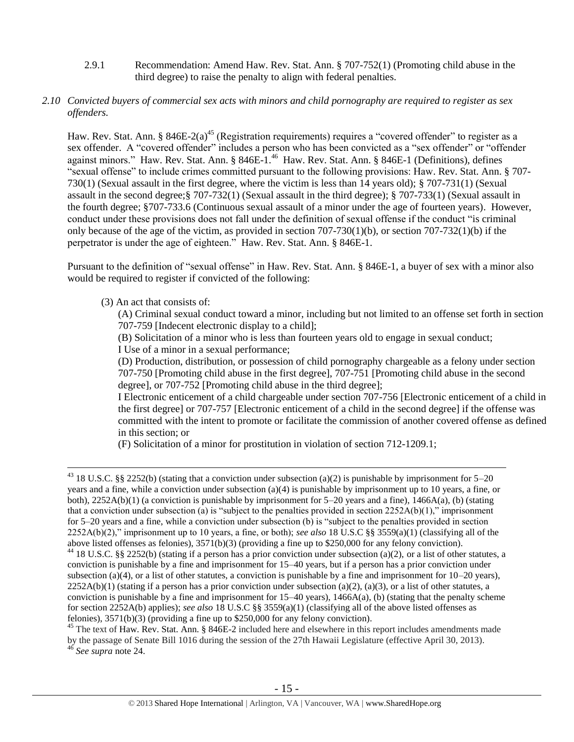2.9.1 Recommendation: Amend Haw. Rev. Stat. Ann. § 707-752(1) (Promoting child abuse in the third degree) to raise the penalty to align with federal penalties.

### *2.10 Convicted buyers of commercial sex acts with minors and child pornography are required to register as sex offenders.*

<span id="page-14-0"></span>Haw. Rev. Stat. Ann. § 846E-2(a)<sup>45</sup> (Registration requirements) requires a "covered offender" to register as a sex offender. A "covered offender" includes a person who has been convicted as a "sex offender" or "offender" against minors." Haw. Rev. Stat. Ann. § 846E-1.<sup>46</sup> Haw. Rev. Stat. Ann. § 846E-1 (Definitions), defines "sexual offense" to include crimes committed pursuant to the following provisions: Haw. Rev. Stat. Ann. § 707- 730(1) (Sexual assault in the first degree, where the victim is less than 14 years old); § 707-731(1) (Sexual assault in the second degree;§ 707-732(1) (Sexual assault in the third degree); § 707-733(1) (Sexual assault in the fourth degree; §707-733.6 (Continuous sexual assault of a minor under the age of fourteen years). However, conduct under these provisions does not fall under the definition of sexual offense if the conduct "is criminal only because of the age of the victim, as provided in section  $707-730(1)(b)$ , or section  $707-732(1)(b)$  if the perpetrator is under the age of eighteen." Haw. Rev. Stat. Ann. § 846E-1.

Pursuant to the definition of "sexual offense" in Haw. Rev. Stat. Ann. § 846E-1, a buyer of sex with a minor also would be required to register if convicted of the following:

#### (3) An act that consists of:

 $\overline{a}$ 

(A) Criminal sexual conduct toward a minor, including but not limited to an offense set forth in section 707-759 [Indecent electronic display to a child];

(B) Solicitation of a minor who is less than fourteen years old to engage in sexual conduct; I Use of a minor in a sexual performance;

(D) Production, distribution, or possession of child pornography chargeable as a felony under section 707-750 [Promoting child abuse in the first degree], 707-751 [Promoting child abuse in the second degree], or 707-752 [Promoting child abuse in the third degree];

I Electronic enticement of a child chargeable under section 707-756 [Electronic enticement of a child in the first degree] or 707-757 [Electronic enticement of a child in the second degree] if the offense was committed with the intent to promote or facilitate the commission of another covered offense as defined in this section; or

(F) Solicitation of a minor for prostitution in violation of section 712-1209.1;

<sup>&</sup>lt;sup>43</sup> 18 U.S.C. §§ 2252(b) (stating that a conviction under subsection (a)(2) is punishable by imprisonment for 5–20 years and a fine, while a conviction under subsection (a)(4) is punishable by imprisonment up to 10 years, a fine, or both),  $2252A(b)(1)$  (a conviction is punishable by imprisonment for 5–20 years and a fine),  $1466A(a)$ , (b) (stating that a conviction under subsection (a) is "subject to the penalties provided in section  $2252A(b)(1)$ ," imprisonment for 5–20 years and a fine, while a conviction under subsection (b) is "subject to the penalties provided in section 2252A(b)(2)," imprisonment up to 10 years, a fine, or both); *see also* 18 U.S.C §§ 3559(a)(1) (classifying all of the above listed offenses as felonies), 3571(b)(3) (providing a fine up to \$250,000 for any felony conviction). <sup>44</sup> 18 U.S.C. §§ 2252(b) (stating if a person has a prior conviction under subsection (a)(2), or a list of other statutes, a conviction is punishable by a fine and imprisonment for 15–40 years, but if a person has a prior conviction under subsection (a)(4), or a list of other statutes, a conviction is punishable by a fine and imprisonment for  $10-20$  years),  $2252A(b)(1)$  (stating if a person has a prior conviction under subsection (a)(2), (a)(3), or a list of other statutes, a conviction is punishable by a fine and imprisonment for 15–40 years), 1466A(a), (b) (stating that the penalty scheme for section 2252A(b) applies); *see also* 18 U.S.C §§ 3559(a)(1) (classifying all of the above listed offenses as felonies), 3571(b)(3) (providing a fine up to \$250,000 for any felony conviction).

<sup>&</sup>lt;sup>45</sup> The text of Haw. Rev. Stat. Ann. § 846E-2 included here and elsewhere in this report includes amendments made by the passage of Senate Bill 1016 during the session of the 27th Hawaii Legislature (effective April 30, 2013). <sup>46</sup> *See supra* note [24.](#page-4-0)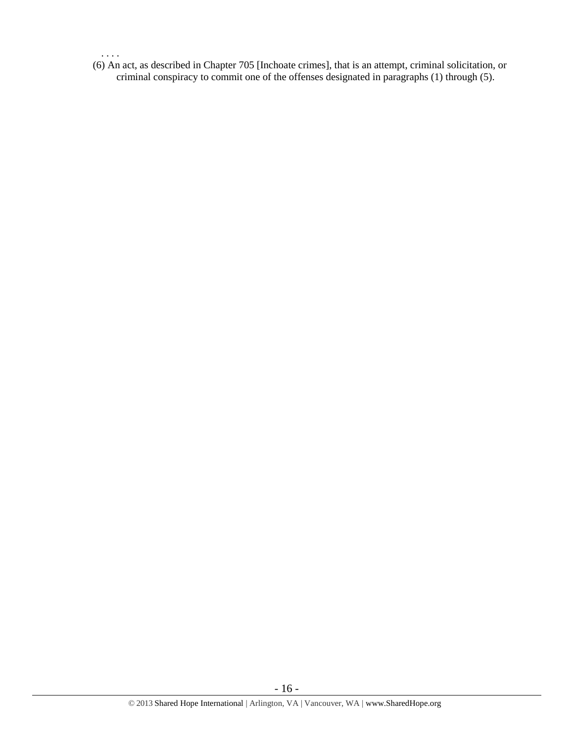(6) An act, as described in Chapter 705 [Inchoate crimes], that is an attempt, criminal solicitation, or criminal conspiracy to commit one of the offenses designated in paragraphs (1) through (5).

. . . .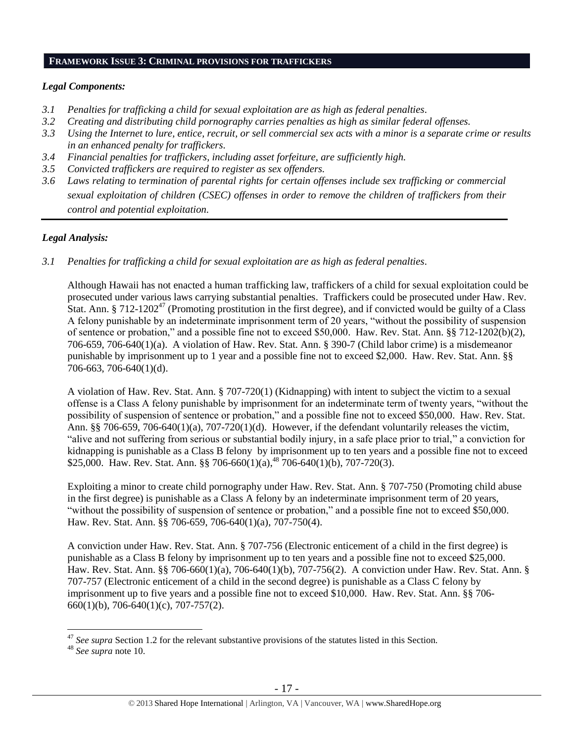#### **FRAMEWORK ISSUE 3: CRIMINAL PROVISIONS FOR TRAFFICKERS**

#### *Legal Components:*

- *3.1 Penalties for trafficking a child for sexual exploitation are as high as federal penalties.*
- *3.2 Creating and distributing child pornography carries penalties as high as similar federal offenses.*
- *3.3 Using the Internet to lure, entice, recruit, or sell commercial sex acts with a minor is a separate crime or results in an enhanced penalty for traffickers.*
- *3.4 Financial penalties for traffickers, including asset forfeiture, are sufficiently high.*
- *3.5 Convicted traffickers are required to register as sex offenders.*
- *3.6 Laws relating to termination of parental rights for certain offenses include sex trafficking or commercial sexual exploitation of children (CSEC) offenses in order to remove the children of traffickers from their control and potential exploitation.*

#### *Legal Analysis:*

*3.1 Penalties for trafficking a child for sexual exploitation are as high as federal penalties.* 

Although Hawaii has not enacted a human trafficking law, traffickers of a child for sexual exploitation could be prosecuted under various laws carrying substantial penalties. Traffickers could be prosecuted under Haw. Rev. Stat. Ann. § 712-1202<sup>47</sup> (Promoting prostitution in the first degree), and if convicted would be guilty of a Class A felony punishable by an indeterminate imprisonment term of 20 years, "without the possibility of suspension of sentence or probation," and a possible fine not to exceed \$50,000. Haw. Rev. Stat. Ann. §§ 712-1202(b)(2), 706-659, 706-640(1)(a). A violation of Haw. Rev. Stat. Ann. § 390-7 (Child labor crime) is a misdemeanor punishable by imprisonment up to 1 year and a possible fine not to exceed \$2,000. Haw. Rev. Stat. Ann. §§ 706-663, 706-640(1)(d).

A violation of Haw. Rev. Stat. Ann. § 707-720(1) (Kidnapping) with intent to subject the victim to a sexual offense is a Class A felony punishable by imprisonment for an indeterminate term of twenty years, "without the possibility of suspension of sentence or probation," and a possible fine not to exceed \$50,000. Haw. Rev. Stat. Ann. §§ 706-659, 706-640(1)(a), 707-720(1)(d). However, if the defendant voluntarily releases the victim, "alive and not suffering from serious or substantial bodily injury, in a safe place prior to trial," a conviction for kidnapping is punishable as a Class B felony by imprisonment up to ten years and a possible fine not to exceed \$25,000. Haw. Rev. Stat. Ann. §§ 706-660(1)(a),<sup>48</sup> 706-640(1)(b), 707-720(3).

Exploiting a minor to create child pornography under Haw. Rev. Stat. Ann. § 707-750 (Promoting child abuse in the first degree) is punishable as a Class A felony by an indeterminate imprisonment term of 20 years, "without the possibility of suspension of sentence or probation," and a possible fine not to exceed \$50,000. Haw. Rev. Stat. Ann. §§ 706-659, 706-640(1)(a), 707-750(4).

A conviction under Haw. Rev. Stat. Ann. § 707-756 (Electronic enticement of a child in the first degree) is punishable as a Class B felony by imprisonment up to ten years and a possible fine not to exceed \$25,000. Haw. Rev. Stat. Ann. §§ 706-660(1)(a), 706-640(1)(b), 707-756(2). A conviction under Haw. Rev. Stat. Ann. § 707-757 (Electronic enticement of a child in the second degree) is punishable as a Class C felony by imprisonment up to five years and a possible fine not to exceed \$10,000. Haw. Rev. Stat. Ann. §§ 706- 660(1)(b), 706-640(1)(c), 707-757(2).

<sup>&</sup>lt;sup>47</sup> See supra Section 1.2 for the relevant substantive provisions of the statutes listed in this Section.

<sup>48</sup> *See supra* note [10.](#page-2-2)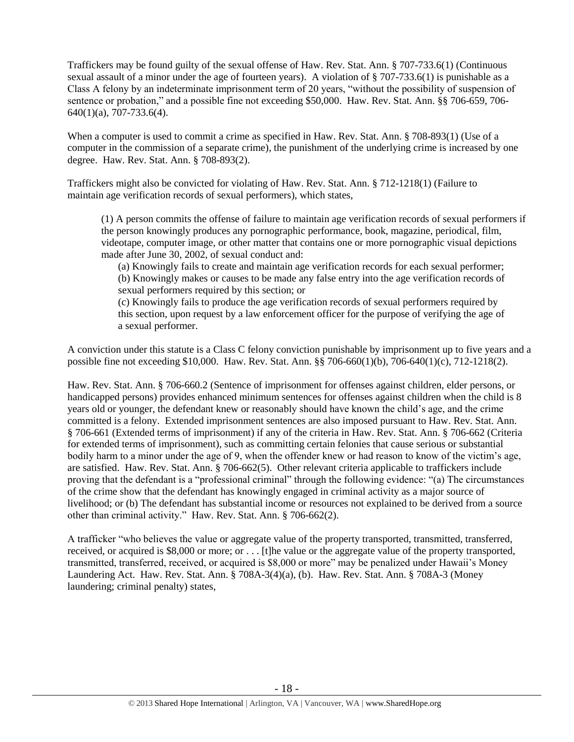Traffickers may be found guilty of the sexual offense of Haw. Rev. Stat. Ann. § 707-733.6(1) (Continuous sexual assault of a minor under the age of fourteen years). A violation of § 707-733.6(1) is punishable as a Class A felony by an indeterminate imprisonment term of 20 years, "without the possibility of suspension of sentence or probation," and a possible fine not exceeding \$50,000. Haw. Rev. Stat. Ann. §§ 706-659, 706- 640(1)(a), 707-733.6(4).

When a computer is used to commit a crime as specified in Haw. Rev. Stat. Ann. § 708-893(1) (Use of a computer in the commission of a separate crime), the punishment of the underlying crime is increased by one degree. Haw. Rev. Stat. Ann. § 708-893(2).

Traffickers might also be convicted for violating of Haw. Rev. Stat. Ann. § 712-1218(1) (Failure to maintain age verification records of sexual performers), which states,

(1) A person commits the offense of failure to maintain age verification records of sexual performers if the person knowingly produces any pornographic performance, book, magazine, periodical, film, videotape, computer image, or other matter that contains one or more pornographic visual depictions made after June 30, 2002, of sexual conduct and:

(a) Knowingly fails to create and maintain age verification records for each sexual performer; (b) Knowingly makes or causes to be made any false entry into the age verification records of sexual performers required by this section; or

(c) Knowingly fails to produce the age verification records of sexual performers required by this section, upon request by a law enforcement officer for the purpose of verifying the age of a sexual performer.

A conviction under this statute is a Class C felony conviction punishable by imprisonment up to five years and a possible fine not exceeding \$10,000. Haw. Rev. Stat. Ann. §§ 706-660(1)(b), 706-640(1)(c), 712-1218(2).

Haw. Rev. Stat. Ann. § 706-660.2 (Sentence of imprisonment for offenses against children, elder persons, or handicapped persons) provides enhanced minimum sentences for offenses against children when the child is 8 years old or younger, the defendant knew or reasonably should have known the child's age, and the crime committed is a felony. Extended imprisonment sentences are also imposed pursuant to Haw. Rev. Stat. Ann. § 706-661 (Extended terms of imprisonment) if any of the criteria in Haw. Rev. Stat. Ann. § 706-662 (Criteria for extended terms of imprisonment), such as committing certain felonies that cause serious or substantial bodily harm to a minor under the age of 9, when the offender knew or had reason to know of the victim's age, are satisfied. Haw. Rev. Stat. Ann. § 706-662(5). Other relevant criteria applicable to traffickers include proving that the defendant is a "professional criminal" through the following evidence: "(a) The circumstances of the crime show that the defendant has knowingly engaged in criminal activity as a major source of livelihood; or (b) The defendant has substantial income or resources not explained to be derived from a source other than criminal activity." Haw. Rev. Stat. Ann. § 706-662(2).

A trafficker "who believes the value or aggregate value of the property transported, transmitted, transferred, received, or acquired is \$8,000 or more; or . . . [t]he value or the aggregate value of the property transported, transmitted, transferred, received, or acquired is \$8,000 or more" may be penalized under Hawaii's Money Laundering Act. Haw. Rev. Stat. Ann. § 708A-3(4)(a), (b). Haw. Rev. Stat. Ann. § 708A-3 (Money laundering; criminal penalty) states,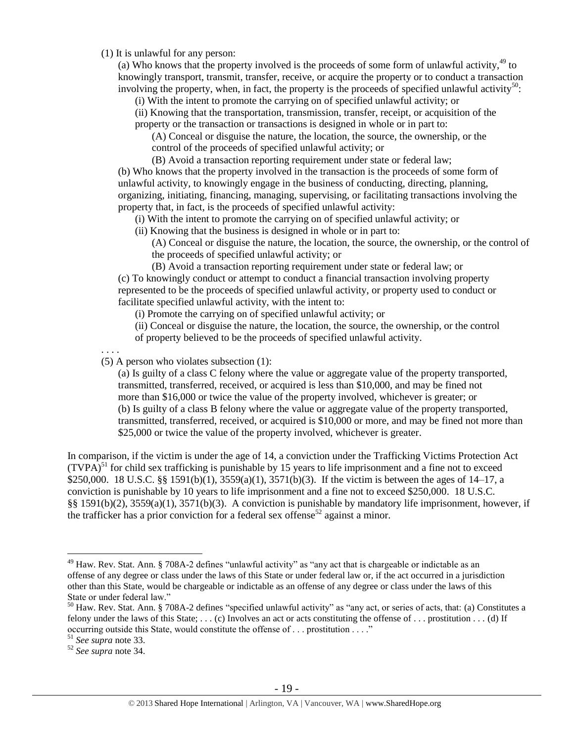(1) It is unlawful for any person:

(a) Who knows that the property involved is the proceeds of some form of unlawful activity,  $49$  to knowingly transport, transmit, transfer, receive, or acquire the property or to conduct a transaction involving the property, when, in fact, the property is the proceeds of specified unlawful activity<sup>50</sup>:

(i) With the intent to promote the carrying on of specified unlawful activity; or

(ii) Knowing that the transportation, transmission, transfer, receipt, or acquisition of the property or the transaction or transactions is designed in whole or in part to:

(A) Conceal or disguise the nature, the location, the source, the ownership, or the control of the proceeds of specified unlawful activity; or

(B) Avoid a transaction reporting requirement under state or federal law; (b) Who knows that the property involved in the transaction is the proceeds of some form of unlawful activity, to knowingly engage in the business of conducting, directing, planning, organizing, initiating, financing, managing, supervising, or facilitating transactions involving the property that, in fact, is the proceeds of specified unlawful activity:

(i) With the intent to promote the carrying on of specified unlawful activity; or

(ii) Knowing that the business is designed in whole or in part to:

(A) Conceal or disguise the nature, the location, the source, the ownership, or the control of the proceeds of specified unlawful activity; or

(B) Avoid a transaction reporting requirement under state or federal law; or (c) To knowingly conduct or attempt to conduct a financial transaction involving property represented to be the proceeds of specified unlawful activity, or property used to conduct or facilitate specified unlawful activity, with the intent to:

(i) Promote the carrying on of specified unlawful activity; or

(ii) Conceal or disguise the nature, the location, the source, the ownership, or the control of property believed to be the proceeds of specified unlawful activity.

. . . .

(5) A person who violates subsection (1):

(a) Is guilty of a class C felony where the value or aggregate value of the property transported, transmitted, transferred, received, or acquired is less than \$10,000, and may be fined not more than \$16,000 or twice the value of the property involved, whichever is greater; or (b) Is guilty of a class B felony where the value or aggregate value of the property transported, transmitted, transferred, received, or acquired is \$10,000 or more, and may be fined not more than \$25,000 or twice the value of the property involved, whichever is greater.

In comparison, if the victim is under the age of 14, a conviction under the Trafficking Victims Protection Act  $(TVPA)<sup>51</sup>$  for child sex trafficking is punishable by 15 years to life imprisonment and a fine not to exceed \$250,000. 18 U.S.C. §§ 1591(b)(1), 3559(a)(1), 3571(b)(3). If the victim is between the ages of 14–17, a conviction is punishable by 10 years to life imprisonment and a fine not to exceed \$250,000. 18 U.S.C. §§ 1591(b)(2), 3559(a)(1), 3571(b)(3). A conviction is punishable by mandatory life imprisonment, however, if the trafficker has a prior conviction for a federal sex offense<sup>52</sup> against a minor.

<sup>&</sup>lt;sup>49</sup> Haw. Rev. Stat. Ann. § 708A-2 defines "unlawful activity" as "any act that is chargeable or indictable as an offense of any degree or class under the laws of this State or under federal law or, if the act occurred in a jurisdiction other than this State, would be chargeable or indictable as an offense of any degree or class under the laws of this State or under federal law."

<sup>50</sup> Haw. Rev. Stat. Ann. § 708A-2 defines "specified unlawful activity" as "any act, or series of acts, that: (a) Constitutes a felony under the laws of this State;  $\dots$  (c) Involves an act or acts constituting the offense of  $\dots$  prostitution  $\dots$  (d) If occurring outside this State, would constitute the offense of . . . prostitution . . . ."

<sup>51</sup> *See supra* note [33.](#page-9-0) 

<sup>52</sup> *See supra* note [34.](#page-9-1)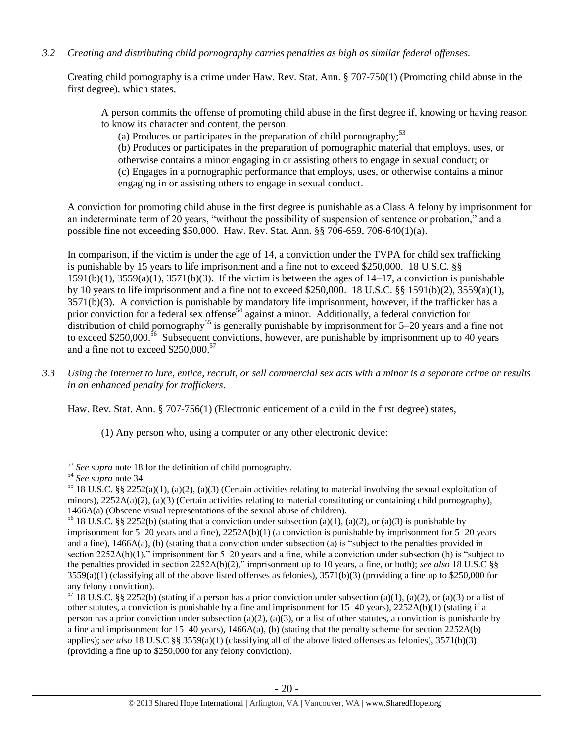## *3.2 Creating and distributing child pornography carries penalties as high as similar federal offenses.*

Creating child pornography is a crime under Haw. Rev. Stat. Ann. § 707-750(1) (Promoting child abuse in the first degree), which states,

A person commits the offense of promoting child abuse in the first degree if, knowing or having reason to know its character and content, the person:

(a) Produces or participates in the preparation of child pornography;  $53$ 

(b) Produces or participates in the preparation of pornographic material that employs, uses, or otherwise contains a minor engaging in or assisting others to engage in sexual conduct; or (c) Engages in a pornographic performance that employs, uses, or otherwise contains a minor engaging in or assisting others to engage in sexual conduct.

A conviction for promoting child abuse in the first degree is punishable as a Class A felony by imprisonment for an indeterminate term of 20 years, "without the possibility of suspension of sentence or probation," and a possible fine not exceeding \$50,000. Haw. Rev. Stat. Ann. §§ 706-659, 706-640(1)(a).

In comparison, if the victim is under the age of 14, a conviction under the TVPA for child sex trafficking is punishable by 15 years to life imprisonment and a fine not to exceed \$250,000. 18 U.S.C. §§  $1591(b)(1)$ ,  $3559(a)(1)$ ,  $3571(b)(3)$ . If the victim is between the ages of  $14-17$ , a conviction is punishable by 10 years to life imprisonment and a fine not to exceed \$250,000. 18 U.S.C. §§ 1591(b)(2), 3559(a)(1), 3571(b)(3). A conviction is punishable by mandatory life imprisonment, however, if the trafficker has a prior conviction for a federal sex offense<sup>54</sup> against a minor. Additionally, a federal conviction for distribution of child pornography<sup>55</sup> is generally punishable by imprisonment for  $5-20$  years and a fine not to exceed \$250,000.<sup>56</sup> Subsequent convictions, however, are punishable by imprisonment up to 40 years and a fine not to exceed \$250,000.<sup>57</sup>

*3.3 Using the Internet to lure, entice, recruit, or sell commercial sex acts with a minor is a separate crime or results in an enhanced penalty for traffickers.* 

Haw. Rev. Stat. Ann. § 707-756(1) (Electronic enticement of a child in the first degree) states,

(1) Any person who, using a computer or any other electronic device:

<sup>&</sup>lt;sup>53</sup> See supra note [18](#page-3-0) for the definition of child pornography.

<sup>54</sup> *See supra* note [34.](#page-9-1)

<sup>&</sup>lt;sup>55</sup> 18 U.S.C. §§ 2252(a)(1), (a)(2), (a)(3) (Certain activities relating to material involving the sexual exploitation of minors),  $2252A(a)(2)$ ,  $(a)(3)$  (Certain activities relating to material constituting or containing child pornography), 1466A(a) (Obscene visual representations of the sexual abuse of children).

<sup>&</sup>lt;sup>56</sup> 18 U.S.C. §§ 2252(b) (stating that a conviction under subsection (a)(1), (a)(2), or (a)(3) is punishable by imprisonment for  $5-20$  years and a fine),  $2252A(b)(1)$  (a conviction is punishable by imprisonment for  $5-20$  years and a fine), 1466A(a), (b) (stating that a conviction under subsection (a) is "subject to the penalties provided in section 2252A(b)(1)," imprisonment for 5–20 years and a fine, while a conviction under subsection (b) is "subject to the penalties provided in section 2252A(b)(2)," imprisonment up to 10 years, a fine, or both); *see also* 18 U.S.C §§  $3559(a)(1)$  (classifying all of the above listed offenses as felonies),  $3571(b)(3)$  (providing a fine up to \$250,000 for any felony conviction).

 $57$  18 U.S.C. §§ 2252(b) (stating if a person has a prior conviction under subsection (a)(1), (a)(2), or (a)(3) or a list of other statutes, a conviction is punishable by a fine and imprisonment for 15–40 years), 2252A(b)(1) (stating if a person has a prior conviction under subsection (a)(2), (a)(3), or a list of other statutes, a conviction is punishable by a fine and imprisonment for 15–40 years), 1466A(a), (b) (stating that the penalty scheme for section 2252A(b) applies); *see also* 18 U.S.C §§ 3559(a)(1) (classifying all of the above listed offenses as felonies), 3571(b)(3) (providing a fine up to \$250,000 for any felony conviction).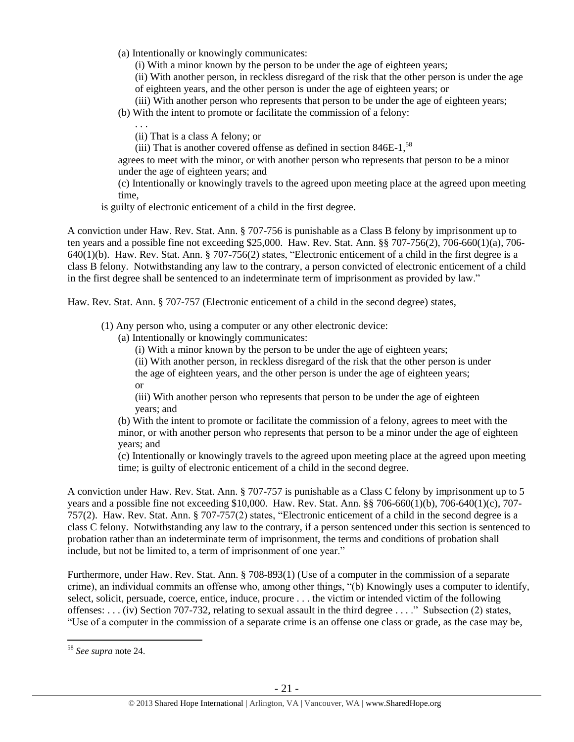(a) Intentionally or knowingly communicates:

(i) With a minor known by the person to be under the age of eighteen years;

(ii) With another person, in reckless disregard of the risk that the other person is under the age of eighteen years, and the other person is under the age of eighteen years; or

(iii) With another person who represents that person to be under the age of eighteen years;

(b) With the intent to promote or facilitate the commission of a felony:

. . .

(ii) That is a class A felony; or

(iii) That is another covered offense as defined in section  $846E-1$ ,  $58$ 

agrees to meet with the minor, or with another person who represents that person to be a minor under the age of eighteen years; and

(c) Intentionally or knowingly travels to the agreed upon meeting place at the agreed upon meeting time,

is guilty of electronic enticement of a child in the first degree.

A conviction under Haw. Rev. Stat. Ann. § 707-756 is punishable as a Class B felony by imprisonment up to ten years and a possible fine not exceeding \$25,000. Haw. Rev. Stat. Ann. §§ 707-756(2), 706-660(1)(a), 706- 640(1)(b). Haw. Rev. Stat. Ann. § 707-756(2) states, "Electronic enticement of a child in the first degree is a class B felony. Notwithstanding any law to the contrary, a person convicted of electronic enticement of a child in the first degree shall be sentenced to an indeterminate term of imprisonment as provided by law."

Haw. Rev. Stat. Ann. § 707-757 (Electronic enticement of a child in the second degree) states,

(1) Any person who, using a computer or any other electronic device:

(a) Intentionally or knowingly communicates:

(i) With a minor known by the person to be under the age of eighteen years;

(ii) With another person, in reckless disregard of the risk that the other person is under the age of eighteen years, and the other person is under the age of eighteen years; or

(iii) With another person who represents that person to be under the age of eighteen years; and

(b) With the intent to promote or facilitate the commission of a felony, agrees to meet with the minor, or with another person who represents that person to be a minor under the age of eighteen years; and

(c) Intentionally or knowingly travels to the agreed upon meeting place at the agreed upon meeting time; is guilty of electronic enticement of a child in the second degree.

A conviction under Haw. Rev. Stat. Ann. § 707-757 is punishable as a Class C felony by imprisonment up to 5 years and a possible fine not exceeding \$10,000. Haw. Rev. Stat. Ann. §§ 706-660(1)(b), 706-640(1)(c), 707- 757(2). Haw. Rev. Stat. Ann. § 707-757(2) states, "Electronic enticement of a child in the second degree is a class C felony. Notwithstanding any law to the contrary, if a person sentenced under this section is sentenced to probation rather than an indeterminate term of imprisonment, the terms and conditions of probation shall include, but not be limited to, a term of imprisonment of one year."

Furthermore, under Haw. Rev. Stat. Ann. § 708-893(1) (Use of a computer in the commission of a separate crime), an individual commits an offense who, among other things, "(b) Knowingly uses a computer to identify, select, solicit, persuade, coerce, entice, induce, procure . . . the victim or intended victim of the following offenses: . . . (iv) Section 707-732, relating to sexual assault in the third degree . . . ." Subsection (2) states, "Use of a computer in the commission of a separate crime is an offense one class or grade, as the case may be,

<sup>58</sup> *See supra* note [24.](#page-4-0)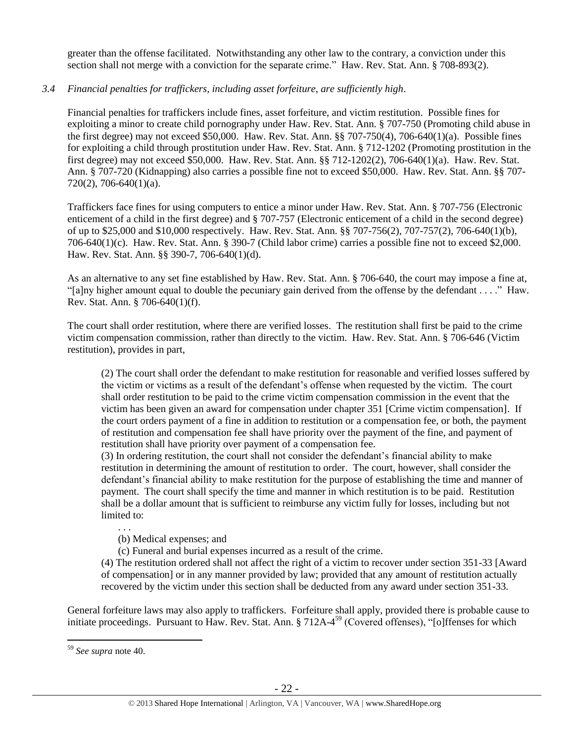greater than the offense facilitated. Notwithstanding any other law to the contrary, a conviction under this section shall not merge with a conviction for the separate crime." Haw. Rev. Stat. Ann. § 708-893(2).

## *3.4 Financial penalties for traffickers, including asset forfeiture, are sufficiently high*.

Financial penalties for traffickers include fines, asset forfeiture, and victim restitution. Possible fines for exploiting a minor to create child pornography under Haw. Rev. Stat. Ann. § 707-750 (Promoting child abuse in the first degree) may not exceed \$50,000. Haw. Rev. Stat. Ann. §§ 707-750(4), 706-640(1)(a). Possible fines for exploiting a child through prostitution under Haw. Rev. Stat. Ann. § 712-1202 (Promoting prostitution in the first degree) may not exceed \$50,000. Haw. Rev. Stat. Ann. §§ 712-1202(2), 706-640(1)(a). Haw. Rev. Stat. Ann. § 707-720 (Kidnapping) also carries a possible fine not to exceed \$50,000. Haw. Rev. Stat. Ann. §§ 707- 720(2), 706-640(1)(a).

Traffickers face fines for using computers to entice a minor under Haw. Rev. Stat. Ann. § 707-756 (Electronic enticement of a child in the first degree) and § 707-757 (Electronic enticement of a child in the second degree) of up to \$25,000 and \$10,000 respectively. Haw. Rev. Stat. Ann. §§ 707-756(2), 707-757(2), 706-640(1)(b), 706-640(1)(c). Haw. Rev. Stat. Ann. § 390-7 (Child labor crime) carries a possible fine not to exceed \$2,000. Haw. Rev. Stat. Ann. §§ 390-7, 706-640(1)(d).

As an alternative to any set fine established by Haw. Rev. Stat. Ann. § 706-640, the court may impose a fine at, "[a]ny higher amount equal to double the pecuniary gain derived from the offense by the defendant . . . ." Haw. Rev. Stat. Ann. § 706-640(1)(f).

The court shall order restitution, where there are verified losses. The restitution shall first be paid to the crime victim compensation commission, rather than directly to the victim. Haw. Rev. Stat. Ann. § 706-646 (Victim restitution), provides in part,

(2) The court shall order the defendant to make restitution for reasonable and verified losses suffered by the victim or victims as a result of the defendant's offense when requested by the victim. The court shall order restitution to be paid to the crime victim compensation commission in the event that the victim has been given an award for compensation under chapter 351 [Crime victim compensation]. If the court orders payment of a fine in addition to restitution or a compensation fee, or both, the payment of restitution and compensation fee shall have priority over the payment of the fine, and payment of restitution shall have priority over payment of a compensation fee.

(3) In ordering restitution, the court shall not consider the defendant's financial ability to make restitution in determining the amount of restitution to order. The court, however, shall consider the defendant's financial ability to make restitution for the purpose of establishing the time and manner of payment. The court shall specify the time and manner in which restitution is to be paid. Restitution shall be a dollar amount that is sufficient to reimburse any victim fully for losses, including but not limited to:

. . .

(b) Medical expenses; and

(c) Funeral and burial expenses incurred as a result of the crime.

(4) The restitution ordered shall not affect the right of a victim to recover under section 351-33 [Award of compensation] or in any manner provided by law; provided that any amount of restitution actually recovered by the victim under this section shall be deducted from any award under section 351-33.

General forfeiture laws may also apply to traffickers. Forfeiture shall apply, provided there is probable cause to initiate proceedings. Pursuant to Haw. Rev. Stat. Ann. § 712A-4<sup>59</sup> (Covered offenses), "[o]ffenses for which

<sup>59</sup> *See supra* note [40.](#page-12-0)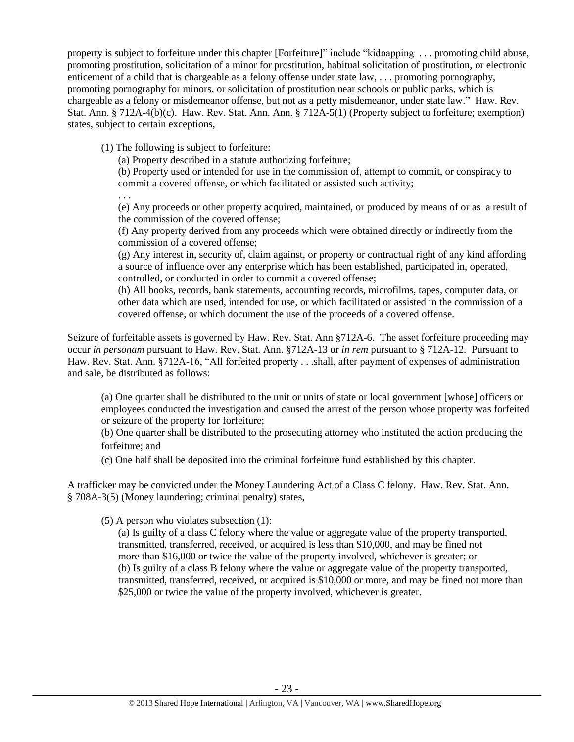property is subject to forfeiture under this chapter [Forfeiture]" include "kidnapping . . . promoting child abuse, promoting prostitution, solicitation of a minor for prostitution, habitual solicitation of prostitution, or electronic enticement of a child that is chargeable as a felony offense under state law, . . . promoting pornography, promoting pornography for minors, or solicitation of prostitution near schools or public parks, which is chargeable as a felony or misdemeanor offense, but not as a petty misdemeanor, under state law." Haw. Rev. Stat. Ann. § 712A-4(b)(c). Haw. Rev. Stat. Ann. Ann. § 712A-5(1) (Property subject to forfeiture; exemption) states, subject to certain exceptions,

(1) The following is subject to forfeiture:

(a) Property described in a statute authorizing forfeiture;

(b) Property used or intended for use in the commission of, attempt to commit, or conspiracy to commit a covered offense, or which facilitated or assisted such activity;

. . . (e) Any proceeds or other property acquired, maintained, or produced by means of or as a result of the commission of the covered offense;

(f) Any property derived from any proceeds which were obtained directly or indirectly from the commission of a covered offense;

(g) Any interest in, security of, claim against, or property or contractual right of any kind affording a source of influence over any enterprise which has been established, participated in, operated, controlled, or conducted in order to commit a covered offense;

(h) All books, records, bank statements, accounting records, microfilms, tapes, computer data, or other data which are used, intended for use, or which facilitated or assisted in the commission of a covered offense, or which document the use of the proceeds of a covered offense.

Seizure of forfeitable assets is governed by Haw. Rev. Stat. Ann §712A-6. The asset forfeiture proceeding may occur *in personam* pursuant to Haw. Rev. Stat. Ann. §712A-13 or *in rem* pursuant to § 712A-12. Pursuant to Haw. Rev. Stat. Ann. §712A-16, "All forfeited property . . .shall, after payment of expenses of administration and sale, be distributed as follows:

(a) One quarter shall be distributed to the unit or units of state or local government [whose] officers or employees conducted the investigation and caused the arrest of the person whose property was forfeited or seizure of the property for forfeiture;

(b) One quarter shall be distributed to the prosecuting attorney who instituted the action producing the forfeiture; and

(c) One half shall be deposited into the criminal forfeiture fund established by this chapter.

A trafficker may be convicted under the Money Laundering Act of a Class C felony. Haw. Rev. Stat. Ann. § 708A-3(5) (Money laundering; criminal penalty) states,

(5) A person who violates subsection (1):

(a) Is guilty of a class C felony where the value or aggregate value of the property transported, transmitted, transferred, received, or acquired is less than \$10,000, and may be fined not more than \$16,000 or twice the value of the property involved, whichever is greater; or (b) Is guilty of a class B felony where the value or aggregate value of the property transported, transmitted, transferred, received, or acquired is \$10,000 or more, and may be fined not more than \$25,000 or twice the value of the property involved, whichever is greater.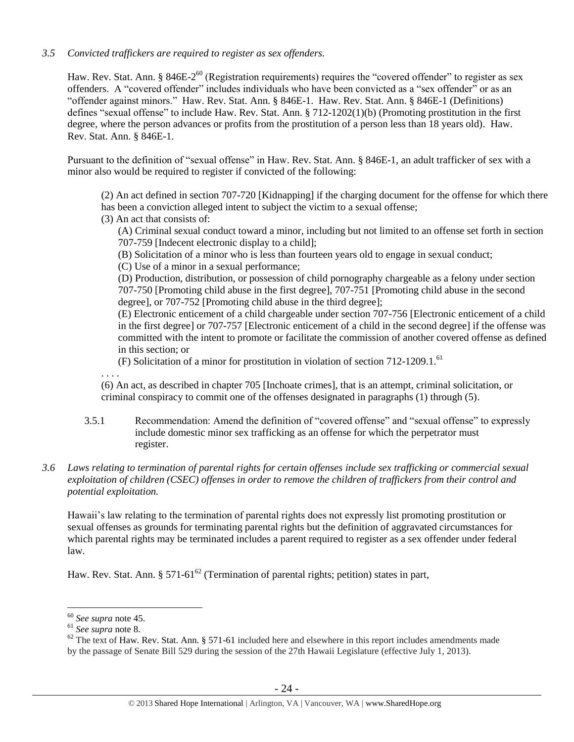## *3.5 Convicted traffickers are required to register as sex offenders.*

Haw. Rev. Stat. Ann. § 846E-2<sup>60</sup> (Registration requirements) requires the "covered offender" to register as sex offenders. A "covered offender" includes individuals who have been convicted as a "sex offender" or as an "offender against minors." Haw. Rev. Stat. Ann. § 846E-1. Haw. Rev. Stat. Ann. § 846E-1 (Definitions) defines "sexual offense" to include Haw. Rev. Stat. Ann. § 712-1202(1)(b) (Promoting prostitution in the first degree, where the person advances or profits from the prostitution of a person less than 18 years old). Haw. Rev. Stat. Ann. § 846E-1.

Pursuant to the definition of "sexual offense" in Haw. Rev. Stat. Ann. § 846E-1, an adult trafficker of sex with a minor also would be required to register if convicted of the following:

(2) An act defined in section 707-720 [Kidnapping] if the charging document for the offense for which there has been a conviction alleged intent to subject the victim to a sexual offense;

(3) An act that consists of:

(A) Criminal sexual conduct toward a minor, including but not limited to an offense set forth in section 707-759 [Indecent electronic display to a child];

(B) Solicitation of a minor who is less than fourteen years old to engage in sexual conduct;

(C) Use of a minor in a sexual performance;

(D) Production, distribution, or possession of child pornography chargeable as a felony under section 707-750 [Promoting child abuse in the first degree], 707-751 [Promoting child abuse in the second degree], or 707-752 [Promoting child abuse in the third degree];

(E) Electronic enticement of a child chargeable under section 707-756 [Electronic enticement of a child in the first degree] or 707-757 [Electronic enticement of a child in the second degree] if the offense was committed with the intent to promote or facilitate the commission of another covered offense as defined in this section; or

(F) Solicitation of a minor for prostitution in violation of section 712-1209.1. 61

. . . .

(6) An act, as described in chapter 705 [Inchoate crimes], that is an attempt, criminal solicitation, or criminal conspiracy to commit one of the offenses designated in paragraphs (1) through (5).

3.5.1 Recommendation: Amend the definition of "covered offense" and "sexual offense" to expressly include domestic minor sex trafficking as an offense for which the perpetrator must register.

## *3.6 Laws relating to termination of parental rights for certain offenses include sex trafficking or commercial sexual exploitation of children (CSEC) offenses in order to remove the children of traffickers from their control and potential exploitation.*

Hawaii's law relating to the termination of parental rights does not expressly list promoting prostitution or sexual offenses as grounds for terminating parental rights but the definition of aggravated circumstances for which parental rights may be terminated includes a parent required to register as a sex offender under federal law.

Haw. Rev. Stat. Ann. § 571-61<sup>62</sup> (Termination of parental rights; petition) states in part,

<sup>60</sup> *See supra* note [45.](#page-14-0)

 $61$  *See supra* note [8.](#page-2-0)

 $62$  The text of Haw. Rev. Stat. Ann. § 571-61 included here and elsewhere in this report includes amendments made by the passage of Senate Bill 529 during the session of the 27th Hawaii Legislature (effective July 1, 2013).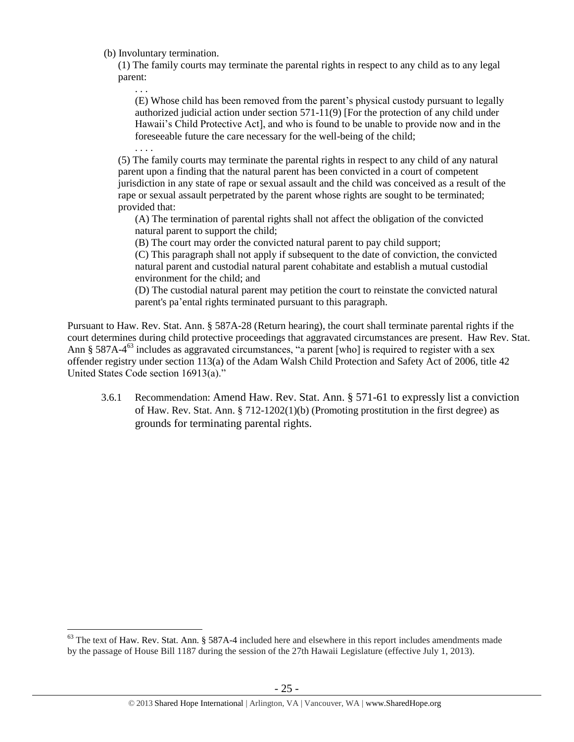(b) Involuntary termination.

. . .

. . . .

 $\overline{a}$ 

(1) The family courts may terminate the parental rights in respect to any child as to any legal parent:

(E) Whose child has been removed from the parent's physical custody pursuant to legally authorized judicial action under section 571-11(9) [For the protection of any child under Hawaii's Child Protective Act], and who is found to be unable to provide now and in the foreseeable future the care necessary for the well-being of the child;

(5) The family courts may terminate the parental rights in respect to any child of any natural parent upon a finding that the natural parent has been convicted in a court of competent jurisdiction in any state of rape or sexual assault and the child was conceived as a result of the rape or sexual assault perpetrated by the parent whose rights are sought to be terminated; provided that:

(A) The termination of parental rights shall not affect the obligation of the convicted natural parent to support the child;

(B) The court may order the convicted natural parent to pay child support;

(C) This paragraph shall not apply if subsequent to the date of conviction, the convicted natural parent and custodial natural parent cohabitate and establish a mutual custodial environment for the child; and

(D) The custodial natural parent may petition the court to reinstate the convicted natural parent's pa'ental rights terminated pursuant to this paragraph.

Pursuant to Haw. Rev. Stat. Ann. § 587A-28 (Return hearing), the court shall terminate parental rights if the court determines during child protective proceedings that aggravated circumstances are present. Haw Rev. Stat. Ann § 587A-4<sup>63</sup> includes as aggravated circumstances, "a parent [who] is required to register with a sex offender registry under section 113(a) of the Adam Walsh Child Protection and Safety Act of 2006, title 42 United States Code section 16913(a)."

<span id="page-24-0"></span>3.6.1 Recommendation: Amend Haw. Rev. Stat. Ann. § 571-61 to expressly list a conviction of Haw. Rev. Stat. Ann.  $\S 712-1202(1)(b)$  (Promoting prostitution in the first degree) as grounds for terminating parental rights.

<sup>&</sup>lt;sup>63</sup> The text of Haw. Rev. Stat. Ann. § 587A-4 included here and elsewhere in this report includes amendments made by the passage of House Bill 1187 during the session of the 27th Hawaii Legislature (effective July 1, 2013).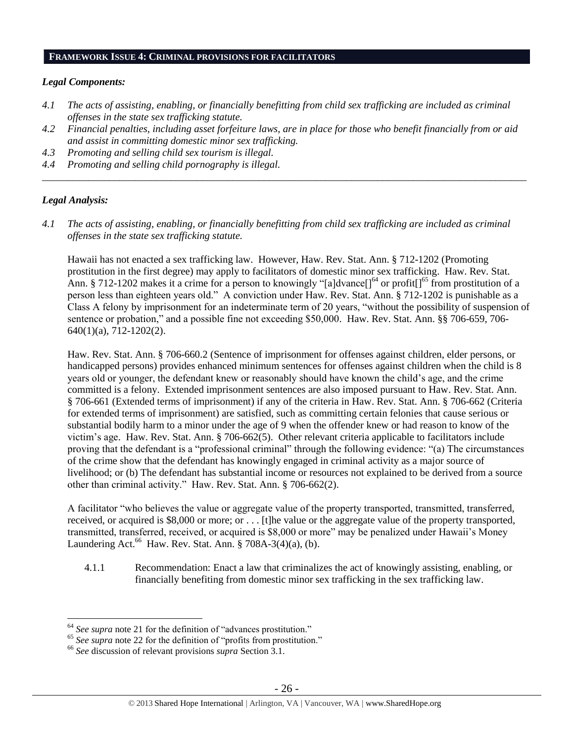#### **FRAMEWORK ISSUE 4: CRIMINAL PROVISIONS FOR FACILITATORS**

### *Legal Components:*

- *4.1 The acts of assisting, enabling, or financially benefitting from child sex trafficking are included as criminal offenses in the state sex trafficking statute.*
- *4.2 Financial penalties, including asset forfeiture laws, are in place for those who benefit financially from or aid and assist in committing domestic minor sex trafficking.*
- *4.3 Promoting and selling child sex tourism is illegal.*
- *4.4 Promoting and selling child pornography is illegal. \_\_\_\_\_\_\_\_\_\_\_\_\_\_\_\_\_\_\_\_\_\_\_\_\_\_\_\_\_\_\_\_\_\_\_\_\_\_\_\_\_\_\_\_\_\_\_\_\_\_\_\_\_\_\_\_\_\_\_\_\_\_\_\_\_\_\_\_\_\_\_\_\_\_\_\_\_\_\_\_\_\_\_\_\_\_\_\_\_\_\_\_\_\_*

## *Legal Analysis:*

 $\overline{a}$ 

*4.1 The acts of assisting, enabling, or financially benefitting from child sex trafficking are included as criminal offenses in the state sex trafficking statute.*

Hawaii has not enacted a sex trafficking law. However, Haw. Rev. Stat. Ann. § 712-1202 (Promoting prostitution in the first degree) may apply to facilitators of domestic minor sex trafficking. Haw. Rev. Stat. Ann. § 712-1202 makes it a crime for a person to knowingly "[a]dvance[]<sup>64</sup> or profit[]<sup>65</sup> from prostitution of a person less than eighteen years old." A conviction under Haw. Rev. Stat. Ann. § 712-1202 is punishable as a Class A felony by imprisonment for an indeterminate term of 20 years, "without the possibility of suspension of sentence or probation," and a possible fine not exceeding \$50,000. Haw. Rev. Stat. Ann. §§ 706-659, 706- 640(1)(a), 712-1202(2).

Haw. Rev. Stat. Ann. § 706-660.2 (Sentence of imprisonment for offenses against children, elder persons, or handicapped persons) provides enhanced minimum sentences for offenses against children when the child is 8 years old or younger, the defendant knew or reasonably should have known the child's age, and the crime committed is a felony. Extended imprisonment sentences are also imposed pursuant to Haw. Rev. Stat. Ann. § 706-661 (Extended terms of imprisonment) if any of the criteria in Haw. Rev. Stat. Ann. § 706-662 (Criteria for extended terms of imprisonment) are satisfied, such as committing certain felonies that cause serious or substantial bodily harm to a minor under the age of 9 when the offender knew or had reason to know of the victim's age. Haw. Rev. Stat. Ann. § 706-662(5). Other relevant criteria applicable to facilitators include proving that the defendant is a "professional criminal" through the following evidence: "(a) The circumstances of the crime show that the defendant has knowingly engaged in criminal activity as a major source of livelihood; or (b) The defendant has substantial income or resources not explained to be derived from a source other than criminal activity." Haw. Rev. Stat. Ann. § 706-662(2).

A facilitator "who believes the value or aggregate value of the property transported, transmitted, transferred, received, or acquired is \$8,000 or more; or . . . [t]he value or the aggregate value of the property transported, transmitted, transferred, received, or acquired is \$8,000 or more" may be penalized under Hawaii's Money Laundering Act. $^{66}$  Haw. Rev. Stat. Ann. § 708A-3(4)(a), (b).

4.1.1 Recommendation: Enact a law that criminalizes the act of knowingly assisting, enabling, or financially benefiting from domestic minor sex trafficking in the sex trafficking law.

<sup>64</sup> *See supra* note [21](#page-3-1) for the definition of "advances prostitution."

<sup>&</sup>lt;sup>65</sup> See supra note [22](#page-3-2) for the definition of "profits from prostitution."

<sup>66</sup> *See* discussion of relevant provisions *supra* Section 3.1.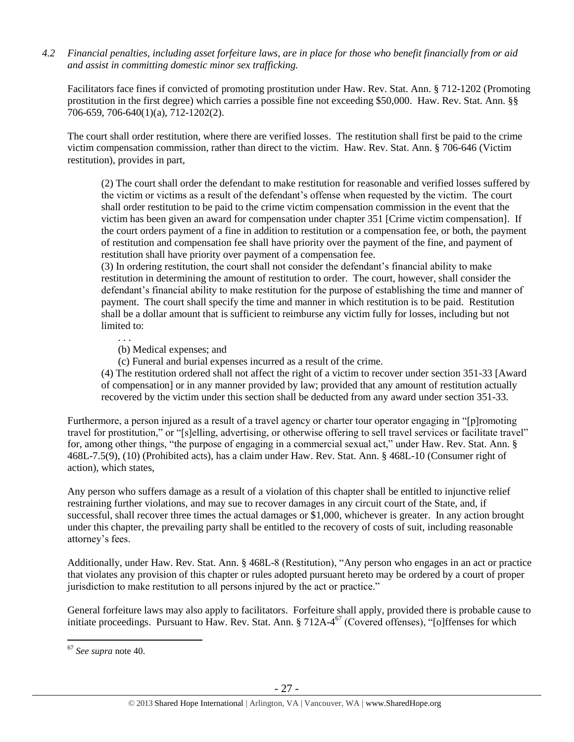*4.2 Financial penalties, including asset forfeiture laws, are in place for those who benefit financially from or aid and assist in committing domestic minor sex trafficking.*

Facilitators face fines if convicted of promoting prostitution under Haw. Rev. Stat. Ann. § 712-1202 (Promoting prostitution in the first degree) which carries a possible fine not exceeding \$50,000. Haw. Rev. Stat. Ann. §§ 706-659, 706-640(1)(a), 712-1202(2).

The court shall order restitution, where there are verified losses. The restitution shall first be paid to the crime victim compensation commission, rather than direct to the victim. Haw. Rev. Stat. Ann. § 706-646 (Victim restitution), provides in part,

(2) The court shall order the defendant to make restitution for reasonable and verified losses suffered by the victim or victims as a result of the defendant's offense when requested by the victim. The court shall order restitution to be paid to the crime victim compensation commission in the event that the victim has been given an award for compensation under chapter 351 [Crime victim compensation]. If the court orders payment of a fine in addition to restitution or a compensation fee, or both, the payment of restitution and compensation fee shall have priority over the payment of the fine, and payment of restitution shall have priority over payment of a compensation fee.

(3) In ordering restitution, the court shall not consider the defendant's financial ability to make restitution in determining the amount of restitution to order. The court, however, shall consider the defendant's financial ability to make restitution for the purpose of establishing the time and manner of payment. The court shall specify the time and manner in which restitution is to be paid. Restitution shall be a dollar amount that is sufficient to reimburse any victim fully for losses, including but not limited to:

(b) Medical expenses; and

. . .

(c) Funeral and burial expenses incurred as a result of the crime.

(4) The restitution ordered shall not affect the right of a victim to recover under section 351-33 [Award of compensation] or in any manner provided by law; provided that any amount of restitution actually recovered by the victim under this section shall be deducted from any award under section 351-33.

Furthermore, a person injured as a result of a travel agency or charter tour operator engaging in "[p]romoting travel for prostitution," or "[s]elling, advertising, or otherwise offering to sell travel services or facilitate travel" for, among other things, "the purpose of engaging in a commercial sexual act," under Haw. Rev. Stat. Ann. § 468L-7.5(9), (10) (Prohibited acts), has a claim under Haw. Rev. Stat. Ann. § 468L-10 (Consumer right of action), which states,

Any person who suffers damage as a result of a violation of this chapter shall be entitled to injunctive relief restraining further violations, and may sue to recover damages in any circuit court of the State, and, if successful, shall recover three times the actual damages or \$1,000, whichever is greater. In any action brought under this chapter, the prevailing party shall be entitled to the recovery of costs of suit, including reasonable attorney's fees.

Additionally, under Haw. Rev. Stat. Ann. § 468L-8 (Restitution), "Any person who engages in an act or practice that violates any provision of this chapter or rules adopted pursuant hereto may be ordered by a court of proper jurisdiction to make restitution to all persons injured by the act or practice."

General forfeiture laws may also apply to facilitators. Forfeiture shall apply, provided there is probable cause to initiate proceedings. Pursuant to Haw. Rev. Stat. Ann. § 712A-4<sup>67</sup> (Covered offenses), "[o]ffenses for which

<sup>67</sup> *See supra* note [40.](#page-12-0)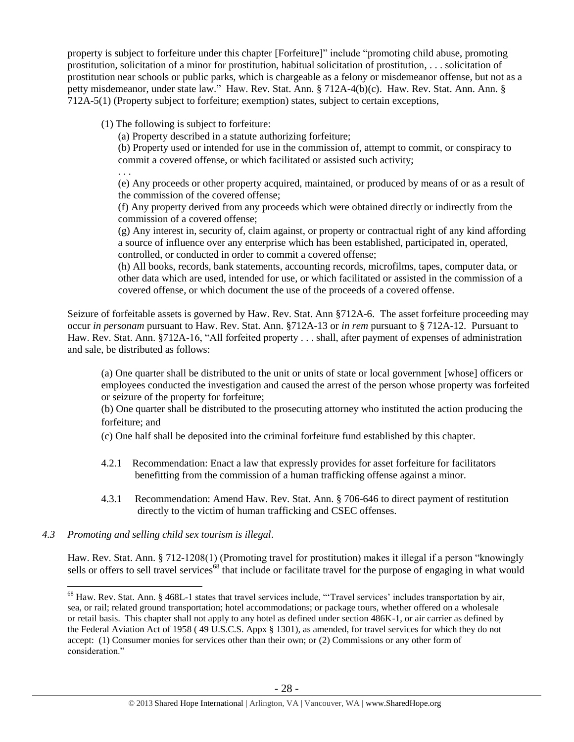property is subject to forfeiture under this chapter [Forfeiture]" include "promoting child abuse, promoting prostitution, solicitation of a minor for prostitution, habitual solicitation of prostitution, . . . solicitation of prostitution near schools or public parks, which is chargeable as a felony or misdemeanor offense, but not as a petty misdemeanor, under state law." Haw. Rev. Stat. Ann. § 712A-4(b)(c). Haw. Rev. Stat. Ann. Ann. § 712A-5(1) (Property subject to forfeiture; exemption) states, subject to certain exceptions,

(1) The following is subject to forfeiture:

(a) Property described in a statute authorizing forfeiture;

(b) Property used or intended for use in the commission of, attempt to commit, or conspiracy to commit a covered offense, or which facilitated or assisted such activity;

. . .

(e) Any proceeds or other property acquired, maintained, or produced by means of or as a result of the commission of the covered offense;

(f) Any property derived from any proceeds which were obtained directly or indirectly from the commission of a covered offense;

(g) Any interest in, security of, claim against, or property or contractual right of any kind affording a source of influence over any enterprise which has been established, participated in, operated, controlled, or conducted in order to commit a covered offense;

(h) All books, records, bank statements, accounting records, microfilms, tapes, computer data, or other data which are used, intended for use, or which facilitated or assisted in the commission of a covered offense, or which document the use of the proceeds of a covered offense.

Seizure of forfeitable assets is governed by Haw. Rev. Stat. Ann §712A-6. The asset forfeiture proceeding may occur *in personam* pursuant to Haw. Rev. Stat. Ann. §712A-13 or *in rem* pursuant to § 712A-12. Pursuant to Haw. Rev. Stat. Ann. §712A-16, "All forfeited property . . . shall, after payment of expenses of administration and sale, be distributed as follows:

(a) One quarter shall be distributed to the unit or units of state or local government [whose] officers or employees conducted the investigation and caused the arrest of the person whose property was forfeited or seizure of the property for forfeiture;

(b) One quarter shall be distributed to the prosecuting attorney who instituted the action producing the forfeiture; and

(c) One half shall be deposited into the criminal forfeiture fund established by this chapter.

- 4.2.1 Recommendation: Enact a law that expressly provides for asset forfeiture for facilitators benefitting from the commission of a human trafficking offense against a minor.
- 4.3.1 Recommendation: Amend Haw. Rev. Stat. Ann. § 706-646 to direct payment of restitution directly to the victim of human trafficking and CSEC offenses.

# *4.3 Promoting and selling child sex tourism is illegal*.

 $\overline{a}$ 

Haw. Rev. Stat. Ann. § 712-1208(1) (Promoting travel for prostitution) makes it illegal if a person "knowingly sells or offers to sell travel services<sup>68</sup> that include or facilitate travel for the purpose of engaging in what would

<sup>68</sup> Haw. Rev. Stat. Ann. § 468L-1 states that travel services include, "'Travel services' includes transportation by air, sea, or rail; related ground transportation; hotel accommodations; or package tours, whether offered on a wholesale or retail basis. This chapter shall not apply to any hotel as defined under section 486K-1, or air carrier as defined by the Federal Aviation Act of 1958 ( 49 U.S.C.S. Appx § 1301), as amended, for travel services for which they do not accept: (1) Consumer monies for services other than their own; or (2) Commissions or any other form of consideration."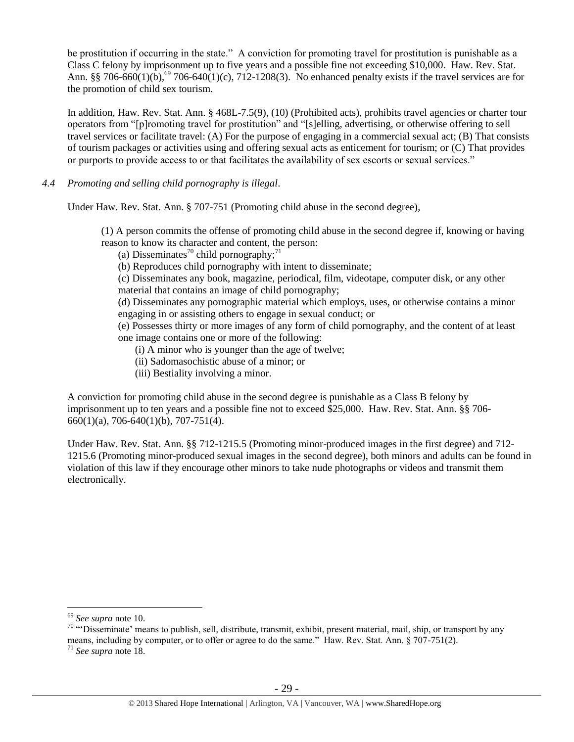be prostitution if occurring in the state." A conviction for promoting travel for prostitution is punishable as a Class C felony by imprisonment up to five years and a possible fine not exceeding \$10,000. Haw. Rev. Stat. Ann. §§ 706-660(1)(b),<sup>69</sup> 706-640(1)(c), 712-1208(3). No enhanced penalty exists if the travel services are for the promotion of child sex tourism.

In addition, Haw. Rev. Stat. Ann. § 468L-7.5(9), (10) (Prohibited acts), prohibits travel agencies or charter tour operators from "[p]romoting travel for prostitution" and "[s]elling, advertising, or otherwise offering to sell travel services or facilitate travel: (A) For the purpose of engaging in a commercial sexual act; (B) That consists of tourism packages or activities using and offering sexual acts as enticement for tourism; or (C) That provides or purports to provide access to or that facilitates the availability of sex escorts or sexual services."

*4.4 Promoting and selling child pornography is illegal*.

Under Haw. Rev. Stat. Ann. § 707-751 (Promoting child abuse in the second degree),

(1) A person commits the offense of promoting child abuse in the second degree if, knowing or having reason to know its character and content, the person:

(a) Disseminates<sup>70</sup> child pornography;<sup>71</sup>

(b) Reproduces child pornography with intent to disseminate;

(c) Disseminates any book, magazine, periodical, film, videotape, computer disk, or any other material that contains an image of child pornography;

(d) Disseminates any pornographic material which employs, uses, or otherwise contains a minor engaging in or assisting others to engage in sexual conduct; or

(e) Possesses thirty or more images of any form of child pornography, and the content of at least one image contains one or more of the following:

(i) A minor who is younger than the age of twelve;

- (ii) Sadomasochistic abuse of a minor; or
- (iii) Bestiality involving a minor.

A conviction for promoting child abuse in the second degree is punishable as a Class B felony by imprisonment up to ten years and a possible fine not to exceed \$25,000. Haw. Rev. Stat. Ann. §§ 706- 660(1)(a), 706-640(1)(b), 707-751(4).

Under Haw. Rev. Stat. Ann. §§ 712-1215.5 (Promoting minor-produced images in the first degree) and 712- 1215.6 (Promoting minor-produced sexual images in the second degree), both minors and adults can be found in violation of this law if they encourage other minors to take nude photographs or videos and transmit them electronically.

<sup>69</sup> *See supra* note [10.](#page-2-2)

<sup>&</sup>lt;sup>70</sup> "Disseminate' means to publish, sell, distribute, transmit, exhibit, present material, mail, ship, or transport by any means, including by computer, or to offer or agree to do the same." Haw. Rev. Stat. Ann. § 707-751(2).

<sup>71</sup> *See supra* note [18.](#page-3-0)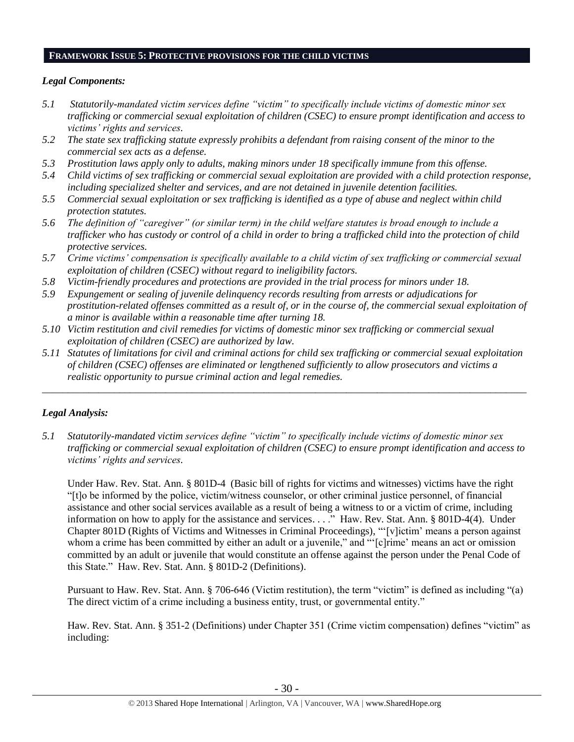#### **FRAMEWORK ISSUE 5: PROTECTIVE PROVISIONS FOR THE CHILD VICTIMS**

### *Legal Components:*

- *5.1 Statutorily-mandated victim services define "victim" to specifically include victims of domestic minor sex trafficking or commercial sexual exploitation of children (CSEC) to ensure prompt identification and access to victims' rights and services.*
- *5.2 The state sex trafficking statute expressly prohibits a defendant from raising consent of the minor to the commercial sex acts as a defense.*
- *5.3 Prostitution laws apply only to adults, making minors under 18 specifically immune from this offense.*
- *5.4 Child victims of sex trafficking or commercial sexual exploitation are provided with a child protection response, including specialized shelter and services, and are not detained in juvenile detention facilities.*
- *5.5 Commercial sexual exploitation or sex trafficking is identified as a type of abuse and neglect within child protection statutes.*
- *5.6 The definition of "caregiver" (or similar term) in the child welfare statutes is broad enough to include a trafficker who has custody or control of a child in order to bring a trafficked child into the protection of child protective services.*
- *5.7 Crime victims' compensation is specifically available to a child victim of sex trafficking or commercial sexual exploitation of children (CSEC) without regard to ineligibility factors.*
- *5.8 Victim-friendly procedures and protections are provided in the trial process for minors under 18.*
- *5.9 Expungement or sealing of juvenile delinquency records resulting from arrests or adjudications for prostitution-related offenses committed as a result of, or in the course of, the commercial sexual exploitation of a minor is available within a reasonable time after turning 18.*
- *5.10 Victim restitution and civil remedies for victims of domestic minor sex trafficking or commercial sexual exploitation of children (CSEC) are authorized by law.*
- *5.11 Statutes of limitations for civil and criminal actions for child sex trafficking or commercial sexual exploitation of children (CSEC) offenses are eliminated or lengthened sufficiently to allow prosecutors and victims a realistic opportunity to pursue criminal action and legal remedies.*

*\_\_\_\_\_\_\_\_\_\_\_\_\_\_\_\_\_\_\_\_\_\_\_\_\_\_\_\_\_\_\_\_\_\_\_\_\_\_\_\_\_\_\_\_\_\_\_\_\_\_\_\_\_\_\_\_\_\_\_\_\_\_\_\_\_\_\_\_\_\_\_\_\_\_\_\_\_\_\_\_\_\_\_\_\_\_\_\_\_\_\_\_\_\_*

## *Legal Analysis:*

*5.1 Statutorily-mandated victim services define "victim" to specifically include victims of domestic minor sex trafficking or commercial sexual exploitation of children (CSEC) to ensure prompt identification and access to victims' rights and services.* 

Under Haw. Rev. Stat. Ann. § 801D-4 (Basic bill of rights for victims and witnesses) victims have the right "[t]o be informed by the police, victim/witness counselor, or other criminal justice personnel, of financial assistance and other social services available as a result of being a witness to or a victim of crime, including information on how to apply for the assistance and services. . . ." Haw. Rev. Stat. Ann. § 801D-4(4). Under Chapter 801D (Rights of Victims and Witnesses in Criminal Proceedings), "'[v]ictim' means a person against whom a crime has been committed by either an adult or a juvenile," and "'[c]rime' means an act or omission committed by an adult or juvenile that would constitute an offense against the person under the Penal Code of this State." Haw. Rev. Stat. Ann. § 801D-2 (Definitions).

Pursuant to Haw. Rev. Stat. Ann. § 706-646 (Victim restitution), the term "victim" is defined as including "(a) The direct victim of a crime including a business entity, trust, or governmental entity."

Haw. Rev. Stat. Ann. § 351-2 (Definitions) under Chapter 351 (Crime victim compensation) defines "victim" as including: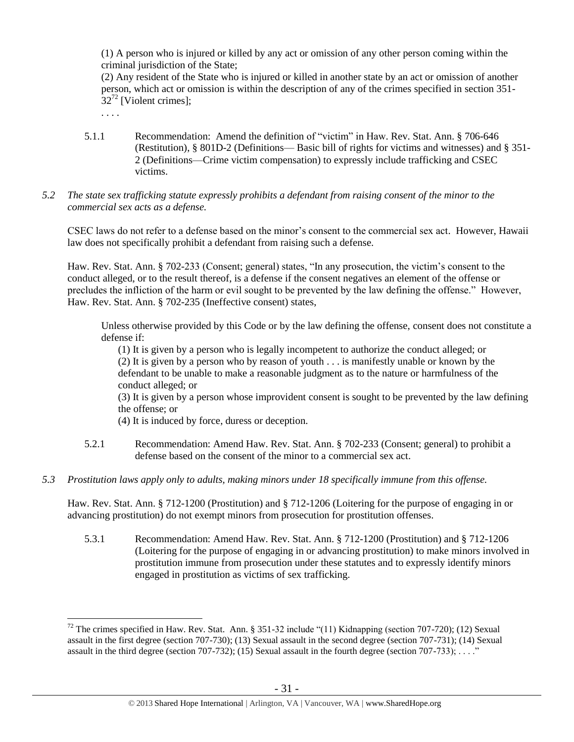(1) A person who is injured or killed by any act or omission of any other person coming within the criminal jurisdiction of the State;

(2) Any resident of the State who is injured or killed in another state by an act or omission of another person, which act or omission is within the description of any of the crimes specified in [section 351-](https://a.next.westlaw.com/Link/Document/FullText?findType=L&pubNum=1000522&cite=HISTS351-32&originatingDoc=N3C24DF804C5A11DDB03786E014444BA4&refType=LQ&originationContext=document&transitionType=DocumentItem&contextData=(sc.Search))  $32^{72}$  $32^{72}$  [Violent crimes];

<span id="page-30-0"></span>. . . .

 $\overline{a}$ 

- 5.1.1 Recommendation: Amend the definition of "victim" in Haw. Rev. Stat. Ann. § 706-646 (Restitution), § 801D-2 (Definitions— Basic bill of rights for victims and witnesses) and § 351- 2 (Definitions—Crime victim compensation) to expressly include trafficking and CSEC victims.
- *5.2 The state sex trafficking statute expressly prohibits a defendant from raising consent of the minor to the commercial sex acts as a defense.*

CSEC laws do not refer to a defense based on the minor's consent to the commercial sex act. However, Hawaii law does not specifically prohibit a defendant from raising such a defense.

Haw. Rev. Stat. Ann. § 702-233 (Consent; general) states, "In any prosecution, the victim's consent to the conduct alleged, or to the result thereof, is a defense if the consent negatives an element of the offense or precludes the infliction of the harm or evil sought to be prevented by the law defining the offense." However, Haw. Rev. Stat. Ann. § 702-235 (Ineffective consent) states,

Unless otherwise provided by this Code or by the law defining the offense, consent does not constitute a defense if:

(1) It is given by a person who is legally incompetent to authorize the conduct alleged; or (2) It is given by a person who by reason of youth . . . is manifestly unable or known by the defendant to be unable to make a reasonable judgment as to the nature or harmfulness of the conduct alleged; or

(3) It is given by a person whose improvident consent is sought to be prevented by the law defining the offense; or

- (4) It is induced by force, duress or deception.
- 5.2.1 Recommendation: Amend Haw. Rev. Stat. Ann. § 702-233 (Consent; general) to prohibit a defense based on the consent of the minor to a commercial sex act.
- *5.3 Prostitution laws apply only to adults, making minors under 18 specifically immune from this offense.*

Haw. Rev. Stat. Ann. § 712-1200 (Prostitution) and § 712-1206 (Loitering for the purpose of engaging in or advancing prostitution) do not exempt minors from prosecution for prostitution offenses.

5.3.1 Recommendation: Amend Haw. Rev. Stat. Ann. § 712-1200 (Prostitution) and § 712-1206 (Loitering for the purpose of engaging in or advancing prostitution) to make minors involved in prostitution immune from prosecution under these statutes and to expressly identify minors engaged in prostitution as victims of sex trafficking.

<sup>&</sup>lt;sup>72</sup> The crimes specified in Haw. Rev. Stat. Ann. § 351-32 include "(11) Kidnapping (section 707-720); (12) Sexual assault in the first degree (section 707-730); (13) Sexual assault in the second degree (section 707-731); (14) Sexual assault in the third degree (section 707-732); (15) Sexual assault in the fourth degree (section 707-733); ...."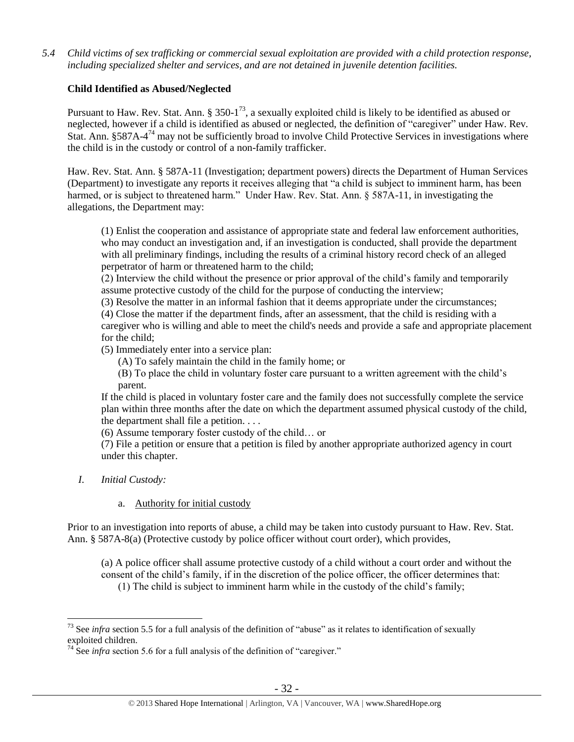*5.4 Child victims of sex trafficking or commercial sexual exploitation are provided with a child protection response, including specialized shelter and services, and are not detained in juvenile detention facilities.*

## **Child Identified as Abused/Neglected**

Pursuant to Haw. Rev. Stat. Ann. § 350-1<sup>73</sup>, a sexually exploited child is likely to be identified as abused or neglected, however if a child is identified as abused or neglected, the definition of "caregiver" under Haw. Rev. Stat. Ann. §587A-4<sup>74</sup> may not be sufficiently broad to involve Child Protective Services in investigations where the child is in the custody or control of a non-family trafficker.

Haw. Rev. Stat. Ann. § 587A-11 (Investigation; department powers) directs the Department of Human Services (Department) to investigate any reports it receives alleging that "a child is subject to imminent harm, has been harmed, or is subject to threatened harm." Under Haw. Rev. Stat. Ann. § 587A-11, in investigating the allegations, the Department may:

(1) Enlist the cooperation and assistance of appropriate state and federal law enforcement authorities, who may conduct an investigation and, if an investigation is conducted, shall provide the department with all preliminary findings, including the results of a criminal history record check of an alleged perpetrator of harm or threatened harm to the child;

(2) Interview the child without the presence or prior approval of the child's family and temporarily assume protective custody of the child for the purpose of conducting the interview;

(3) Resolve the matter in an informal fashion that it deems appropriate under the circumstances; (4) Close the matter if the department finds, after an assessment, that the child is residing with a caregiver who is willing and able to meet the child's needs and provide a safe and appropriate placement

for the child;

(5) Immediately enter into a service plan:

(A) To safely maintain the child in the family home; or

(B) To place the child in voluntary foster care pursuant to a written agreement with the child's parent.

If the child is placed in voluntary foster care and the family does not successfully complete the service plan within three months after the date on which the department assumed physical custody of the child, the department shall file a petition. . . .

(6) Assume temporary foster custody of the child… or

(7) File a petition or ensure that a petition is filed by another appropriate authorized agency in court under this chapter.

*I. Initial Custody:* 

 $\overline{a}$ 

## a. Authority for initial custody

Prior to an investigation into reports of abuse, a child may be taken into custody pursuant to Haw. Rev. Stat. Ann. § 587A-8(a) (Protective custody by police officer without court order), which provides,

(a) A police officer shall assume protective custody of a child without a court order and without the consent of the child's family, if in the discretion of the police officer, the officer determines that: (1) The child is subject to imminent harm while in the custody of the child's family;

<sup>&</sup>lt;sup>73</sup> See *infra* section 5.5 for a full analysis of the definition of "abuse" as it relates to identification of sexually exploited children.

 $74$  See *infra* section 5.6 for a full analysis of the definition of "caregiver."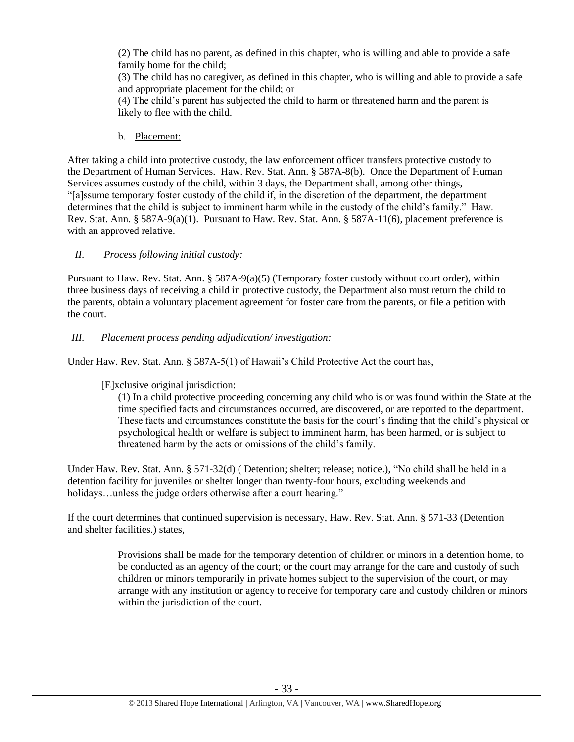(2) The child has no parent, as defined in this chapter, who is willing and able to provide a safe family home for the child;

(3) The child has no caregiver, as defined in this chapter, who is willing and able to provide a safe and appropriate placement for the child; or

(4) The child's parent has subjected the child to harm or threatened harm and the parent is likely to flee with the child.

b. Placement:

After taking a child into protective custody, the law enforcement officer transfers protective custody to the Department of Human Services. Haw. Rev. Stat. Ann. § 587A-8(b). Once the Department of Human Services assumes custody of the child, within 3 days, the Department shall, among other things, "[a]ssume temporary foster custody of the child if, in the discretion of the department, the department determines that the child is subject to imminent harm while in the custody of the child's family." Haw. Rev. Stat. Ann. § 587A-9(a)(1). Pursuant to Haw. Rev. Stat. Ann. § 587A-11(6), placement preference is with an approved relative.

## *II. Process following initial custody:*

Pursuant to Haw. Rev. Stat. Ann. § 587A-9(a)(5) (Temporary foster custody without court order), within three business days of receiving a child in protective custody, the Department also must return the child to the parents, obtain a voluntary placement agreement for foster care from the parents, or file a petition with the court.

## *III. Placement process pending adjudication/ investigation:*

Under Haw. Rev. Stat. Ann. § 587A-5(1) of Hawaii's Child Protective Act the court has,

## [E]xclusive original jurisdiction:

(1) In a child protective proceeding concerning any child who is or was found within the State at the time specified facts and circumstances occurred, are discovered, or are reported to the department. These facts and circumstances constitute the basis for the court's finding that the child's physical or psychological health or welfare is subject to imminent harm, has been harmed, or is subject to threatened harm by the acts or omissions of the child's family.

Under Haw. Rev. Stat. Ann. § 571-32(d) ( Detention; shelter; release; notice.), "No child shall be held in a detention facility for juveniles or shelter longer than twenty-four hours, excluding weekends and holidays...unless the judge orders otherwise after a court hearing."

If the court determines that continued supervision is necessary, Haw. Rev. Stat. Ann. § 571-33 (Detention and shelter facilities.) states,

> Provisions shall be made for the temporary detention of children or minors in a detention home, to be conducted as an agency of the court; or the court may arrange for the care and custody of such children or minors temporarily in private homes subject to the supervision of the court, or may arrange with any institution or agency to receive for temporary care and custody children or minors within the jurisdiction of the court.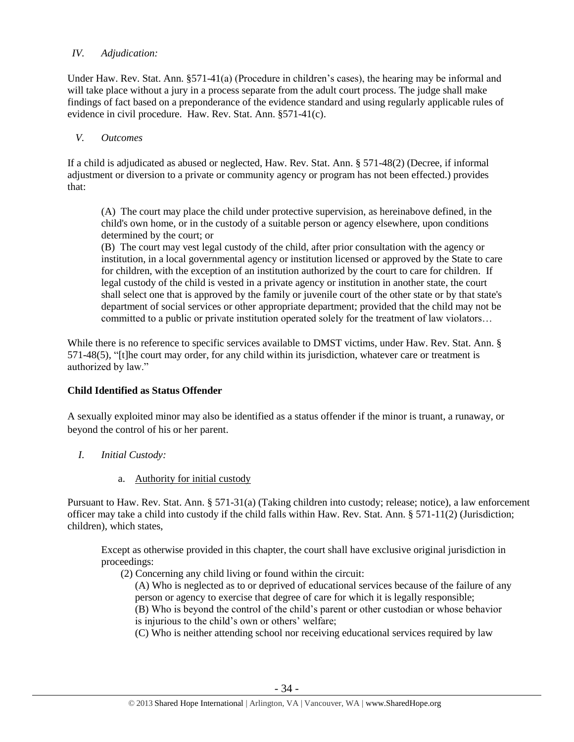### *IV. Adjudication:*

Under Haw. Rev. Stat. Ann. §571-41(a) (Procedure in children's cases), the hearing may be informal and will take place without a jury in a process separate from the adult court process. The judge shall make findings of fact based on a preponderance of the evidence standard and using regularly applicable rules of evidence in civil procedure. Haw. Rev. Stat. Ann. §571-41(c).

### *V. Outcomes*

If a child is adjudicated as abused or neglected, Haw. Rev. Stat. Ann. § 571-48(2) (Decree, if informal adjustment or diversion to a private or community agency or program has not been effected.) provides that:

(A) The court may place the child under protective supervision, as hereinabove defined, in the child's own home, or in the custody of a suitable person or agency elsewhere, upon conditions determined by the court; or

(B) The court may vest legal custody of the child, after prior consultation with the agency or institution, in a local governmental agency or institution licensed or approved by the State to care for children, with the exception of an institution authorized by the court to care for children. If legal custody of the child is vested in a private agency or institution in another state, the court shall select one that is approved by the family or juvenile court of the other state or by that state's department of social services or other appropriate department; provided that the child may not be committed to a public or private institution operated solely for the treatment of law violators…

While there is no reference to specific services available to DMST victims, under Haw. Rev. Stat. Ann. § 571-48(5), "[t]he court may order, for any child within its jurisdiction, whatever care or treatment is authorized by law."

## **Child Identified as Status Offender**

A sexually exploited minor may also be identified as a status offender if the minor is truant, a runaway, or beyond the control of his or her parent.

- *I. Initial Custody:* 
	- a. Authority for initial custody

Pursuant to Haw. Rev. Stat. Ann. § 571-31(a) (Taking children into custody; release; notice), a law enforcement officer may take a child into custody if the child falls within Haw. Rev. Stat. Ann. § 571-11(2) (Jurisdiction; children), which states,

Except as otherwise provided in this chapter, the court shall have exclusive original jurisdiction in proceedings:

(2) Concerning any child living or found within the circuit:

(A) Who is neglected as to or deprived of educational services because of the failure of any person or agency to exercise that degree of care for which it is legally responsible; (B) Who is beyond the control of the child's parent or other custodian or whose behavior is injurious to the child's own or others' welfare;

(C) Who is neither attending school nor receiving educational services required by law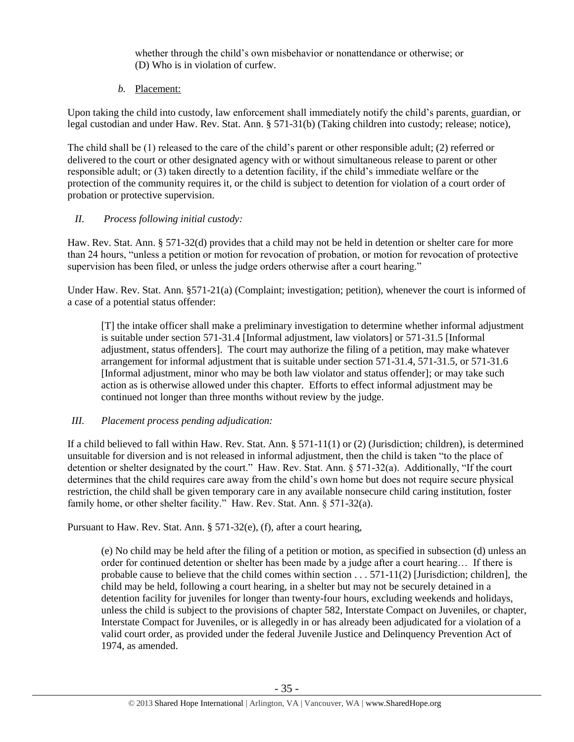whether through the child's own misbehavior or nonattendance or otherwise; or (D) Who is in violation of curfew.

*b.* Placement:

Upon taking the child into custody, law enforcement shall immediately notify the child's parents, guardian, or legal custodian and under Haw. Rev. Stat. Ann. § 571-31(b) (Taking children into custody; release; notice),

The child shall be (1) released to the care of the child's parent or other responsible adult; (2) referred or delivered to the court or other designated agency with or without simultaneous release to parent or other responsible adult; or (3) taken directly to a detention facility, if the child's immediate welfare or the protection of the community requires it, or the child is subject to detention for violation of a court order of probation or protective supervision.

## *II. Process following initial custody:*

Haw. Rev. Stat. Ann. § 571-32(d) provides that a child may not be held in detention or shelter care for more than 24 hours, "unless a petition or motion for revocation of probation, or motion for revocation of protective supervision has been filed, or unless the judge orders otherwise after a court hearing."

Under Haw. Rev. Stat. Ann. §571-21(a) (Complaint; investigation; petition), whenever the court is informed of a case of a potential status offender:

[T] the intake officer shall make a preliminary investigation to determine whether informal adjustment is suitable under section 571-31.4 [Informal adjustment, law violators] or 571-31.5 [Informal adjustment, status offenders]. The court may authorize the filing of a petition, may make whatever arrangement for informal adjustment that is suitable under section 571-31.4, 571-31.5, or 571-31.6 [Informal adjustment, minor who may be both law violator and status offender]; or may take such action as is otherwise allowed under this chapter. Efforts to effect informal adjustment may be continued not longer than three months without review by the judge.

## *III. Placement process pending adjudication:*

If a child believed to fall within Haw. Rev. Stat. Ann. § 571-11(1) or (2) (Jurisdiction; children), is determined unsuitable for diversion and is not released in informal adjustment, then the child is taken "to the place of detention or shelter designated by the court." Haw. Rev. Stat. Ann. § 571-32(a). Additionally, "If the court determines that the child requires care away from the child's own home but does not require secure physical restriction, the child shall be given temporary care in any available nonsecure child caring institution, foster family home, or other shelter facility." Haw. Rev. Stat. Ann. § 571-32(a).

Pursuant to Haw. Rev. Stat. Ann. § 571-32(e), (f), after a court hearing,

(e) No child may be held after the filing of a petition or motion, as specified in subsection (d) unless an order for continued detention or shelter has been made by a judge after a court hearing… If there is probable cause to believe that the child comes within section . . . 571-11(2) [Jurisdiction; children], the child may be held, following a court hearing, in a shelter but may not be securely detained in a detention facility for juveniles for longer than twenty-four hours, excluding weekends and holidays, unless the child is subject to the provisions of chapter 582, Interstate Compact on Juveniles, or chapter, Interstate Compact for Juveniles, or is allegedly in or has already been adjudicated for a violation of a valid court order, as provided under the federal Juvenile Justice and Delinquency Prevention Act of 1974, as amended.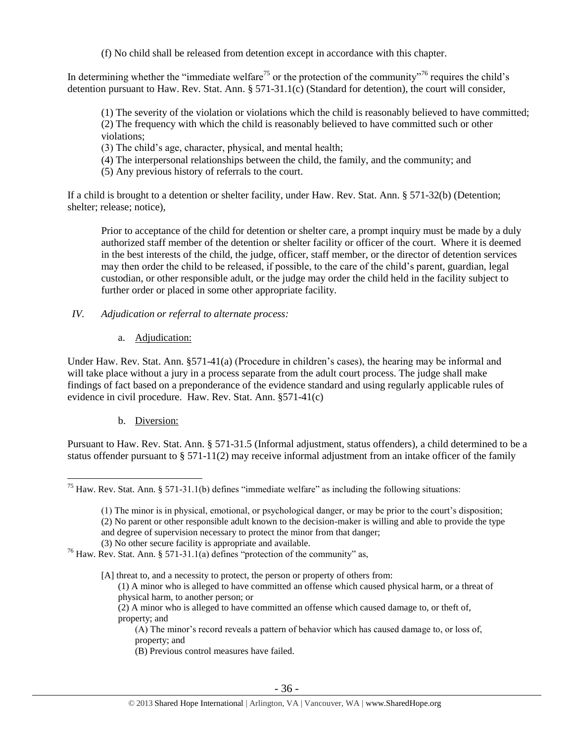(f) No child shall be released from detention except in accordance with this chapter.

In determining whether the "immediate welfare<sup>75</sup> or the protection of the community"<sup>76</sup> requires the child's detention pursuant to Haw. Rev. Stat. Ann. § 571-31.1(c) (Standard for detention), the court will consider,

(1) The severity of the violation or violations which the child is reasonably believed to have committed; (2) The frequency with which the child is reasonably believed to have committed such or other violations;

(3) The child's age, character, physical, and mental health;

(4) The interpersonal relationships between the child, the family, and the community; and

(5) Any previous history of referrals to the court.

If a child is brought to a detention or shelter facility, under Haw. Rev. Stat. Ann. § 571-32(b) (Detention; shelter; release; notice),

Prior to acceptance of the child for detention or shelter care, a prompt inquiry must be made by a duly authorized staff member of the detention or shelter facility or officer of the court. Where it is deemed in the best interests of the child, the judge, officer, staff member, or the director of detention services may then order the child to be released, if possible, to the care of the child's parent, guardian, legal custodian, or other responsible adult, or the judge may order the child held in the facility subject to further order or placed in some other appropriate facility.

## *IV. Adjudication or referral to alternate process:*

a. Adjudication:

Under Haw. Rev. Stat. Ann. §571-41(a) (Procedure in children's cases), the hearing may be informal and will take place without a jury in a process separate from the adult court process. The judge shall make findings of fact based on a preponderance of the evidence standard and using regularly applicable rules of evidence in civil procedure. Haw. Rev. Stat. Ann. §571-41(c)

b. Diversion:

Pursuant to Haw. Rev. Stat. Ann. § 571-31.5 (Informal adjustment, status offenders), a child determined to be a status offender pursuant to  $\S 571-11(2)$  may receive informal adjustment from an intake officer of the family

- [A] threat to, and a necessity to protect, the person or property of others from:
	- (1) A minor who is alleged to have committed an offense which caused physical harm, or a threat of physical harm, to another person; or

(2) A minor who is alleged to have committed an offense which caused damage to, or theft of, property; and

(A) The minor's record reveals a pattern of behavior which has caused damage to, or loss of, property; and

(B) Previous control measures have failed.

 $\overline{a}$  $75$  Haw. Rev. Stat. Ann. § 571-31.1(b) defines "immediate welfare" as including the following situations:

<sup>(1)</sup> The minor is in physical, emotional, or psychological danger, or may be prior to the court's disposition; (2) No parent or other responsible adult known to the decision-maker is willing and able to provide the type and degree of supervision necessary to protect the minor from that danger; (3) No other secure facility is appropriate and available.

<sup>76</sup> Haw. Rev. Stat. Ann. § 571-31.1(a) defines "protection of the community" as,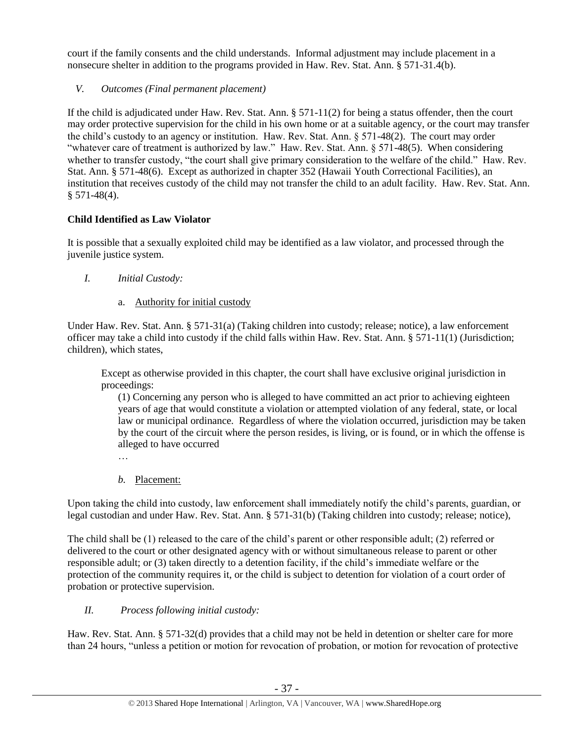court if the family consents and the child understands. Informal adjustment may include placement in a nonsecure shelter in addition to the programs provided in Haw. Rev. Stat. Ann. § 571-31.4(b).

*V. Outcomes (Final permanent placement)*

If the child is adjudicated under Haw. Rev. Stat. Ann. § 571-11(2) for being a status offender, then the court may order protective supervision for the child in his own home or at a suitable agency, or the court may transfer the child's custody to an agency or institution. Haw. Rev. Stat. Ann. § 571-48(2). The court may order "whatever care of treatment is authorized by law." Haw. Rev. Stat. Ann. § 571-48(5). When considering whether to transfer custody, "the court shall give primary consideration to the welfare of the child." Haw. Rev. Stat. Ann. § 571-48(6). Except as authorized in chapter 352 (Hawaii Youth Correctional Facilities), an institution that receives custody of the child may not transfer the child to an adult facility. Haw. Rev. Stat. Ann.  $§ 571-48(4).$ 

# **Child Identified as Law Violator**

It is possible that a sexually exploited child may be identified as a law violator, and processed through the juvenile justice system.

- *I. Initial Custody:* 
	- a. Authority for initial custody

Under Haw. Rev. Stat. Ann. § 571-31(a) (Taking children into custody; release; notice), a law enforcement officer may take a child into custody if the child falls within Haw. Rev. Stat. Ann. § 571-11(1) (Jurisdiction; children), which states,

Except as otherwise provided in this chapter, the court shall have exclusive original jurisdiction in proceedings:

(1) Concerning any person who is alleged to have committed an act prior to achieving eighteen years of age that would constitute a violation or attempted violation of any federal, state, or local law or municipal ordinance. Regardless of where the violation occurred, jurisdiction may be taken by the court of the circuit where the person resides, is living, or is found, or in which the offense is alleged to have occurred

- …
- *b.* Placement:

Upon taking the child into custody, law enforcement shall immediately notify the child's parents, guardian, or legal custodian and under Haw. Rev. Stat. Ann. § 571-31(b) (Taking children into custody; release; notice),

The child shall be (1) released to the care of the child's parent or other responsible adult; (2) referred or delivered to the court or other designated agency with or without simultaneous release to parent or other responsible adult; or (3) taken directly to a detention facility, if the child's immediate welfare or the protection of the community requires it, or the child is subject to detention for violation of a court order of probation or protective supervision.

# *II. Process following initial custody:*

Haw. Rev. Stat. Ann. § 571-32(d) provides that a child may not be held in detention or shelter care for more than 24 hours, "unless a petition or motion for revocation of probation, or motion for revocation of protective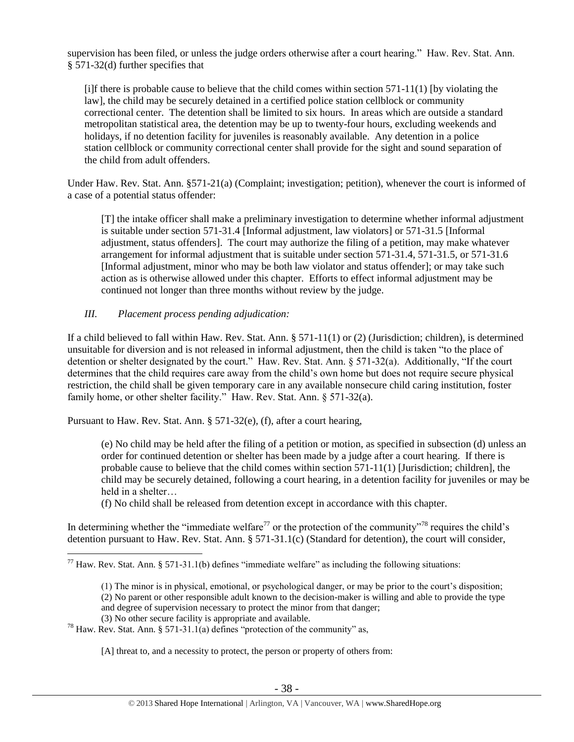supervision has been filed, or unless the judge orders otherwise after a court hearing." Haw. Rev. Stat. Ann. § 571-32(d) further specifies that

 $[i]$ f there is probable cause to believe that the child comes within section 571-11(1) [by violating the law], the child may be securely detained in a certified police station cellblock or community correctional center. The detention shall be limited to six hours. In areas which are outside a standard metropolitan statistical area, the detention may be up to twenty-four hours, excluding weekends and holidays, if no detention facility for juveniles is reasonably available. Any detention in a police station cellblock or community correctional center shall provide for the sight and sound separation of the child from adult offenders.

Under Haw. Rev. Stat. Ann. §571-21(a) (Complaint; investigation; petition), whenever the court is informed of a case of a potential status offender:

[T] the intake officer shall make a preliminary investigation to determine whether informal adjustment is suitable under section 571-31.4 [Informal adjustment, law violators] or 571-31.5 [Informal adjustment, status offenders]. The court may authorize the filing of a petition, may make whatever arrangement for informal adjustment that is suitable under section 571-31.4, 571-31.5, or 571-31.6 [Informal adjustment, minor who may be both law violator and status offender]; or may take such action as is otherwise allowed under this chapter. Efforts to effect informal adjustment may be continued not longer than three months without review by the judge.

## *III. Placement process pending adjudication:*

If a child believed to fall within Haw. Rev. Stat. Ann. § 571-11(1) or (2) (Jurisdiction; children), is determined unsuitable for diversion and is not released in informal adjustment, then the child is taken "to the place of detention or shelter designated by the court." Haw. Rev. Stat. Ann. § 571-32(a). Additionally, "If the court determines that the child requires care away from the child's own home but does not require secure physical restriction, the child shall be given temporary care in any available nonsecure child caring institution, foster family home, or other shelter facility." Haw. Rev. Stat. Ann. § 571-32(a).

Pursuant to Haw. Rev. Stat. Ann. § 571-32(e), (f), after a court hearing,

(e) No child may be held after the filing of a petition or motion, as specified in subsection (d) unless an order for continued detention or shelter has been made by a judge after a court hearing. If there is probable cause to believe that the child comes within section  $571-11(1)$  [Jurisdiction; children], the child may be securely detained, following a court hearing, in a detention facility for juveniles or may be held in a shelter…

(f) No child shall be released from detention except in accordance with this chapter.

In determining whether the "immediate welfare" or the protection of the community"<sup>78</sup> requires the child's detention pursuant to Haw. Rev. Stat. Ann. § 571-31.1(c) (Standard for detention), the court will consider,

 $\overline{a}$  $^{77}$  Haw. Rev. Stat. Ann. § 571-31.1(b) defines "immediate welfare" as including the following situations:

<sup>(1)</sup> The minor is in physical, emotional, or psychological danger, or may be prior to the court's disposition;

<sup>(2)</sup> No parent or other responsible adult known to the decision-maker is willing and able to provide the type and degree of supervision necessary to protect the minor from that danger;

<sup>(3)</sup> No other secure facility is appropriate and available.

<sup>&</sup>lt;sup>78</sup> Haw. Rev. Stat. Ann. § 571-31.1(a) defines "protection of the community" as,

<sup>[</sup>A] threat to, and a necessity to protect, the person or property of others from: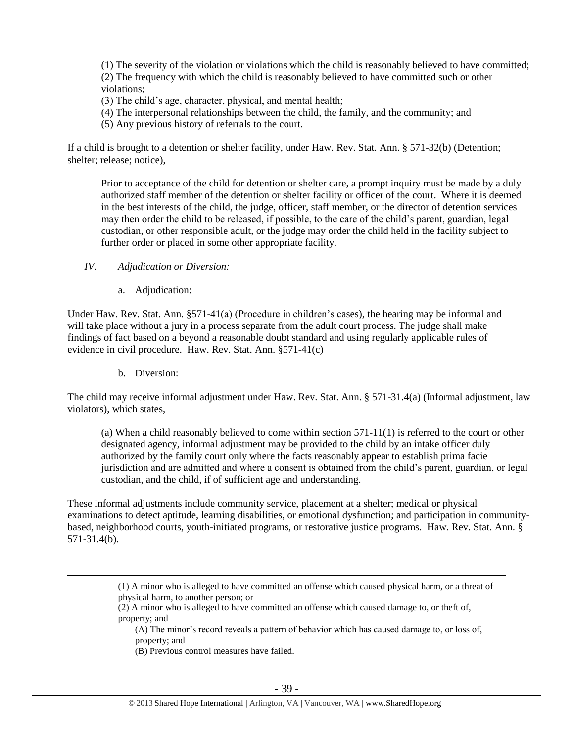(1) The severity of the violation or violations which the child is reasonably believed to have committed; (2) The frequency with which the child is reasonably believed to have committed such or other violations;

- (3) The child's age, character, physical, and mental health;
- (4) The interpersonal relationships between the child, the family, and the community; and
- (5) Any previous history of referrals to the court.

If a child is brought to a detention or shelter facility, under Haw. Rev. Stat. Ann. § 571-32(b) (Detention; shelter; release; notice),

Prior to acceptance of the child for detention or shelter care, a prompt inquiry must be made by a duly authorized staff member of the detention or shelter facility or officer of the court. Where it is deemed in the best interests of the child, the judge, officer, staff member, or the director of detention services may then order the child to be released, if possible, to the care of the child's parent, guardian, legal custodian, or other responsible adult, or the judge may order the child held in the facility subject to further order or placed in some other appropriate facility.

#### *IV. Adjudication or Diversion:*

a. Adjudication:

Under Haw. Rev. Stat. Ann. §571-41(a) (Procedure in children's cases), the hearing may be informal and will take place without a jury in a process separate from the adult court process. The judge shall make findings of fact based on a beyond a reasonable doubt standard and using regularly applicable rules of evidence in civil procedure. Haw. Rev. Stat. Ann. §571-41(c)

b. Diversion:

 $\overline{a}$ 

The child may receive informal adjustment under Haw. Rev. Stat. Ann. § 571-31.4(a) (Informal adjustment, law violators), which states,

(a) When a child reasonably believed to come within section 571-11(1) is referred to the court or other designated agency, informal adjustment may be provided to the child by an intake officer duly authorized by the family court only where the facts reasonably appear to establish prima facie jurisdiction and are admitted and where a consent is obtained from the child's parent, guardian, or legal custodian, and the child, if of sufficient age and understanding.

These informal adjustments include community service, placement at a shelter; medical or physical examinations to detect aptitude, learning disabilities, or emotional dysfunction; and participation in communitybased, neighborhood courts, youth-initiated programs, or restorative justice programs. Haw. Rev. Stat. Ann. § 571-31.4(b).

<sup>(1)</sup> A minor who is alleged to have committed an offense which caused physical harm, or a threat of physical harm, to another person; or

<sup>(2)</sup> A minor who is alleged to have committed an offense which caused damage to, or theft of, property; and

<sup>(</sup>A) The minor's record reveals a pattern of behavior which has caused damage to, or loss of, property; and

<sup>(</sup>B) Previous control measures have failed.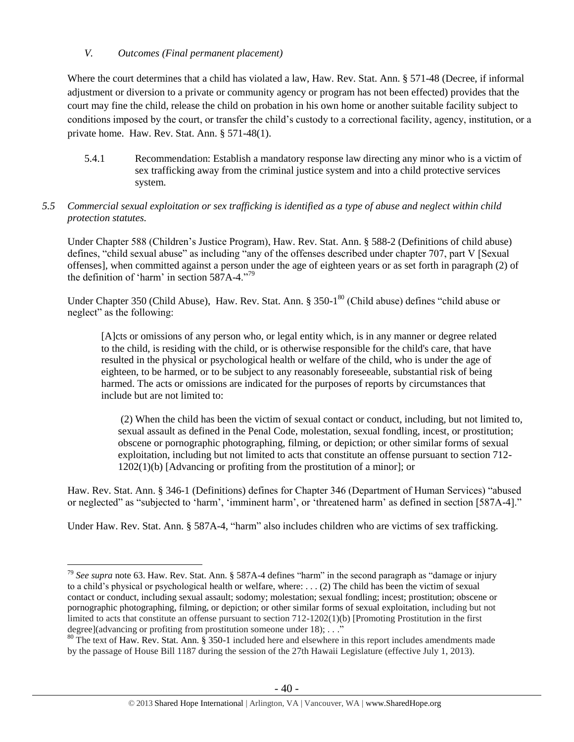## *V. Outcomes (Final permanent placement)*

Where the court determines that a child has violated a law, Haw. Rev. Stat. Ann. § 571-48 (Decree, if informal adjustment or diversion to a private or community agency or program has not been effected) provides that the court may fine the child, release the child on probation in his own home or another suitable facility subject to conditions imposed by the court, or transfer the child's custody to a correctional facility, agency, institution, or a private home. Haw. Rev. Stat. Ann. § 571-48(1).

5.4.1 Recommendation: Establish a mandatory response law directing any minor who is a victim of sex trafficking away from the criminal justice system and into a child protective services system.

## *5.5 Commercial sexual exploitation or sex trafficking is identified as a type of abuse and neglect within child protection statutes.*

Under Chapter 588 (Children's Justice Program), Haw. Rev. Stat. Ann. § 588-2 (Definitions of child abuse) defines, "child sexual abuse" as including "any of the offenses described under chapter 707, part V [Sexual offenses], when committed against a person under the age of eighteen years or as set forth in paragraph (2) of the definition of 'harm' in [section 587A-4.](https://a.next.westlaw.com/Link/Document/FullText?findType=L&pubNum=1000522&cite=HISTS587A-4&originatingDoc=NDB0A7CB04C5D11DDB03786E014444BA4&refType=LQ&originationContext=document&transitionType=DocumentItem&contextData=(sc.Search))"<sup>79</sup>

Under Chapter 350 (Child Abuse), Haw. Rev. Stat. Ann. § 350-1<sup>80</sup> (Child abuse) defines "child abuse or neglect" as the following:

[A]cts or omissions of any person who, or legal entity which, is in any manner or degree related to the child, is residing with the child, or is otherwise responsible for the child's care, that have resulted in the physical or psychological health or welfare of the child, who is under the age of eighteen, to be harmed, or to be subject to any reasonably foreseeable, substantial risk of being harmed. The acts or omissions are indicated for the purposes of reports by circumstances that include but are not limited to:

(2) When the child has been the victim of sexual contact or conduct, including, but not limited to, sexual assault as defined in the Penal Code, molestation, sexual fondling, incest, or prostitution; obscene or pornographic photographing, filming, or depiction; or other similar forms of sexual exploitation, including but not limited to acts that constitute an offense pursuant to section 712- 1202(1)(b) [Advancing or profiting from the prostitution of a minor]; or

Haw. Rev. Stat. Ann. § 346-1 (Definitions) defines for Chapter 346 (Department of Human Services) "abused or neglected" as "subjected to 'harm', 'imminent harm', or 'threatened harm' as defined in section [587A-4]."

Under Haw. Rev. Stat. Ann. § 587A-4, "harm" also includes children who are victims of sex trafficking.

 $\overline{a}$ <sup>79</sup> *See supra* note [63.](#page-24-0) Haw. Rev. Stat. Ann. § 587A-4 defines "harm" in the second paragraph as "damage or injury to a child's physical or psychological health or welfare, where: . . . (2) The child has been the victim of sexual contact or conduct, including sexual assault; sodomy; molestation; sexual fondling; incest; prostitution; obscene or pornographic photographing, filming, or depiction; or other similar forms of sexual exploitation, including but not limited to acts that constitute an offense pursuant to section 712-1202(1)(b) [Promoting Prostitution in the first degree](advancing or profiting from prostitution someone under 18); . . ."

 $80$  The text of Haw. Rev. Stat. Ann. § 350-1 included here and elsewhere in this report includes amendments made by the passage of House Bill 1187 during the session of the 27th Hawaii Legislature (effective July 1, 2013).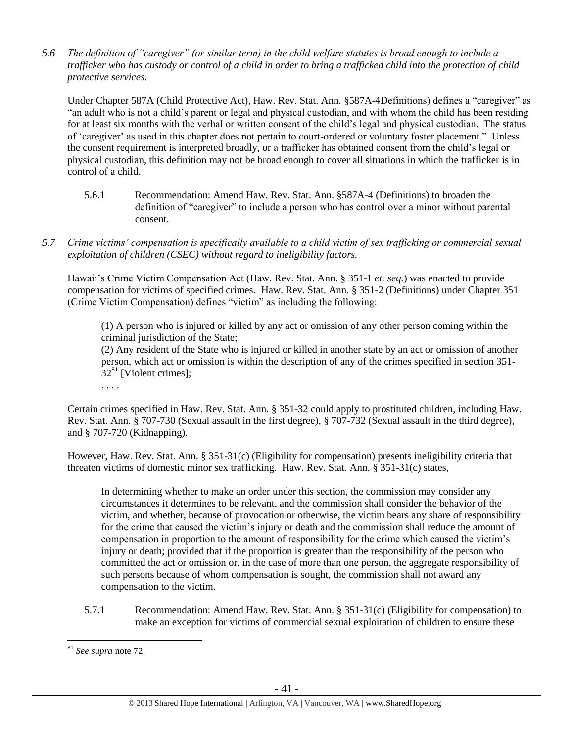*5.6 The definition of "caregiver" (or similar term) in the child welfare statutes is broad enough to include a trafficker who has custody or control of a child in order to bring a trafficked child into the protection of child protective services.*

Under Chapter 587A (Child Protective Act), Haw. Rev. Stat. Ann. §587A-4Definitions) defines a "caregiver" as "an adult who is not a child's parent or legal and physical custodian, and with whom the child has been residing for at least six months with the verbal or written consent of the child's legal and physical custodian. The status of 'caregiver' as used in this chapter does not pertain to court-ordered or voluntary foster placement." Unless the consent requirement is interpreted broadly, or a trafficker has obtained consent from the child's legal or physical custodian, this definition may not be broad enough to cover all situations in which the trafficker is in control of a child.

- 5.6.1 Recommendation: Amend Haw. Rev. Stat. Ann. §587A-4 (Definitions) to broaden the definition of "caregiver" to include a person who has control over a minor without parental consent.
- *5.7 Crime victims' compensation is specifically available to a child victim of sex trafficking or commercial sexual exploitation of children (CSEC) without regard to ineligibility factors.*

Hawaii's Crime Victim Compensation Act (Haw. Rev. Stat. Ann. § 351-1 *et. seq.*) was enacted to provide compensation for victims of specified crimes. Haw. Rev. Stat. Ann. § 351-2 (Definitions) under Chapter 351 (Crime Victim Compensation) defines "victim" as including the following:

(1) A person who is injured or killed by any act or omission of any other person coming within the criminal jurisdiction of the State;

(2) Any resident of the State who is injured or killed in another state by an act or omission of another person, which act or omission is within the description of any of the crimes specified in [section 351-](https://a.next.westlaw.com/Link/Document/FullText?findType=L&pubNum=1000522&cite=HISTS351-32&originatingDoc=N3C24DF804C5A11DDB03786E014444BA4&refType=LQ&originationContext=document&transitionType=DocumentItem&contextData=(sc.Search))  $32^{81}$  $32^{81}$  [Violent crimes]:

. . . .

Certain crimes specified in Haw. Rev. Stat. Ann. § 351-32 could apply to prostituted children, including Haw. Rev. Stat. Ann. § 707-730 (Sexual assault in the first degree), § 707-732 (Sexual assault in the third degree), and § 707-720 (Kidnapping).

However, Haw. Rev. Stat. Ann. § 351-31(c) (Eligibility for compensation) presents ineligibility criteria that threaten victims of domestic minor sex trafficking. Haw. Rev. Stat. Ann. § 351-31(c) states,

In determining whether to make an order under this section, the commission may consider any circumstances it determines to be relevant, and the commission shall consider the behavior of the victim, and whether, because of provocation or otherwise, the victim bears any share of responsibility for the crime that caused the victim's injury or death and the commission shall reduce the amount of compensation in proportion to the amount of responsibility for the crime which caused the victim's injury or death; provided that if the proportion is greater than the responsibility of the person who committed the act or omission or, in the case of more than one person, the aggregate responsibility of such persons because of whom compensation is sought, the commission shall not award any compensation to the victim.

5.7.1 Recommendation: Amend Haw. Rev. Stat. Ann. § 351-31(c) (Eligibility for compensation) to make an exception for victims of commercial sexual exploitation of children to ensure these

 $\overline{a}$ <sup>81</sup> *See supra* note [72.](#page-30-0)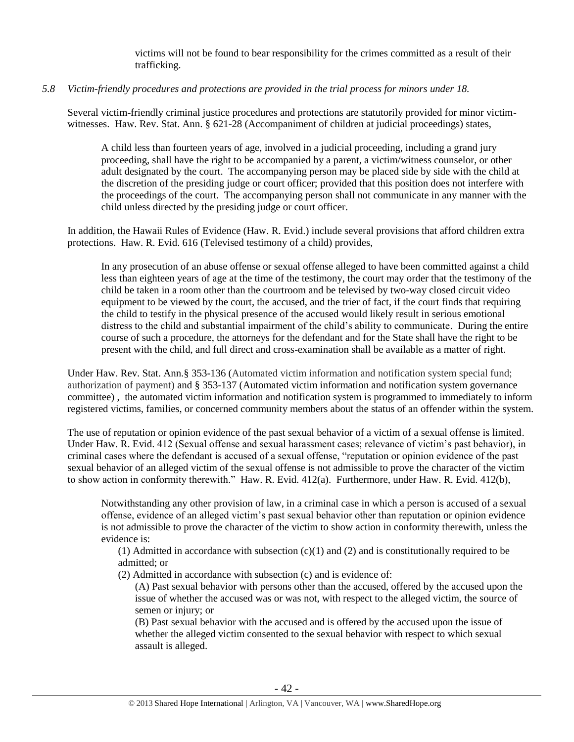victims will not be found to bear responsibility for the crimes committed as a result of their trafficking.

#### *5.8 Victim-friendly procedures and protections are provided in the trial process for minors under 18.*

Several victim-friendly criminal justice procedures and protections are statutorily provided for minor victimwitnesses. Haw. Rev. Stat. Ann. § 621-28 (Accompaniment of children at judicial proceedings) states,

A child less than fourteen years of age, involved in a judicial proceeding, including a grand jury proceeding, shall have the right to be accompanied by a parent, a victim/witness counselor, or other adult designated by the court. The accompanying person may be placed side by side with the child at the discretion of the presiding judge or court officer; provided that this position does not interfere with the proceedings of the court. The accompanying person shall not communicate in any manner with the child unless directed by the presiding judge or court officer.

In addition, the Hawaii Rules of Evidence (Haw. R. Evid.) include several provisions that afford children extra protections. Haw. R. Evid. 616 (Televised testimony of a child) provides,

In any prosecution of an abuse offense or sexual offense alleged to have been committed against a child less than eighteen years of age at the time of the testimony, the court may order that the testimony of the child be taken in a room other than the courtroom and be televised by two-way closed circuit video equipment to be viewed by the court, the accused, and the trier of fact, if the court finds that requiring the child to testify in the physical presence of the accused would likely result in serious emotional distress to the child and substantial impairment of the child's ability to communicate. During the entire course of such a procedure, the attorneys for the defendant and for the State shall have the right to be present with the child, and full direct and cross-examination shall be available as a matter of right.

Under Haw. Rev. Stat. Ann.§ 353-136 (Automated victim information and notification system special fund; authorization of payment) and § 353-137 (Automated victim information and notification system governance committee) , the automated victim information and notification system is programmed to immediately to inform registered victims, families, or concerned community members about the status of an offender within the system.

The use of reputation or opinion evidence of the past sexual behavior of a victim of a sexual offense is limited. Under Haw. R. Evid. 412 (Sexual offense and sexual harassment cases; relevance of victim's past behavior), in criminal cases where the defendant is accused of a sexual offense, "reputation or opinion evidence of the past sexual behavior of an alleged victim of the sexual offense is not admissible to prove the character of the victim to show action in conformity therewith." Haw. R. Evid. 412(a). Furthermore, under Haw. R. Evid. 412(b),

Notwithstanding any other provision of law, in a criminal case in which a person is accused of a sexual offense, evidence of an alleged victim's past sexual behavior other than reputation or opinion evidence is not admissible to prove the character of the victim to show action in conformity therewith, unless the evidence is:

(1) Admitted in accordance with subsection  $(c)(1)$  and  $(2)$  and is constitutionally required to be admitted; or

(2) Admitted in accordance with subsection (c) and is evidence of:

(A) Past sexual behavior with persons other than the accused, offered by the accused upon the issue of whether the accused was or was not, with respect to the alleged victim, the source of semen or injury; or

(B) Past sexual behavior with the accused and is offered by the accused upon the issue of whether the alleged victim consented to the sexual behavior with respect to which sexual assault is alleged.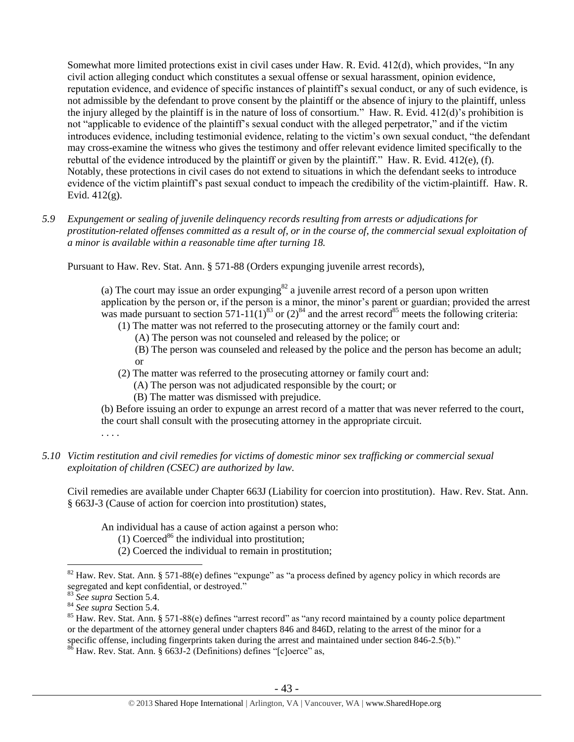Somewhat more limited protections exist in civil cases under Haw. R. Evid. 412(d), which provides, "In any civil action alleging conduct which constitutes a sexual offense or sexual harassment, opinion evidence, reputation evidence, and evidence of specific instances of plaintiff's sexual conduct, or any of such evidence, is not admissible by the defendant to prove consent by the plaintiff or the absence of injury to the plaintiff, unless the injury alleged by the plaintiff is in the nature of loss of consortium." Haw. R. Evid. 412(d)'s prohibition is not "applicable to evidence of the plaintiff's sexual conduct with the alleged perpetrator," and if the victim introduces evidence, including testimonial evidence, relating to the victim's own sexual conduct, "the defendant may cross-examine the witness who gives the testimony and offer relevant evidence limited specifically to the rebuttal of the evidence introduced by the plaintiff or given by the plaintiff." Haw. R. Evid. 412(e), (f). Notably, these protections in civil cases do not extend to situations in which the defendant seeks to introduce evidence of the victim plaintiff's past sexual conduct to impeach the credibility of the victim-plaintiff. Haw. R. Evid. 412(g).

*5.9 Expungement or sealing of juvenile delinquency records resulting from arrests or adjudications for prostitution-related offenses committed as a result of, or in the course of, the commercial sexual exploitation of a minor is available within a reasonable time after turning 18.*

Pursuant to Haw. Rev. Stat. Ann. § 571-88 (Orders expunging juvenile arrest records),

(a) The court may issue an order expunging $82$  a juvenile arrest record of a person upon written application by the person or, if the person is a minor, the minor's parent or guardian; provided the arrest was made pursuant to section 571-11(1)<sup>83</sup> or (2)<sup>84</sup> and the arrest record<sup>85</sup> meets the following criteria:

- (1) The matter was not referred to the prosecuting attorney or the family court and:
	- (A) The person was not counseled and released by the police; or
	- (B) The person was counseled and released by the police and the person has become an adult; or
- (2) The matter was referred to the prosecuting attorney or family court and:
	- (A) The person was not adjudicated responsible by the court; or
	- (B) The matter was dismissed with prejudice.

(b) Before issuing an order to expunge an arrest record of a matter that was never referred to the court, the court shall consult with the prosecuting attorney in the appropriate circuit.

. . . .

*5.10 Victim restitution and civil remedies for victims of domestic minor sex trafficking or commercial sexual exploitation of children (CSEC) are authorized by law.* 

Civil remedies are available under Chapter 663J (Liability for coercion into prostitution). Haw. Rev. Stat. Ann. § 663J-3 (Cause of action for coercion into prostitution) states,

An individual has a cause of action against a person who:

(1) Coerced<sup>86</sup> the individual into prostitution;

(2) Coerced the individual to remain in prostitution;

 $\overline{a}$ <sup>82</sup> Haw. Rev. Stat. Ann. § 571-88(e) defines "expunge" as "a process defined by agency policy in which records are segregated and kept confidential, or destroyed."

<sup>83</sup> *See supra* Section 5.4.

<sup>84</sup> *See supra* Section 5.4.

<sup>&</sup>lt;sup>85</sup> Haw. Rev. Stat. Ann. § 571-88(e) defines "arrest record" as "any record maintained by a county police department or the department of the attorney general under chapters 846 and 846D, relating to the arrest of the minor for a specific offense, including fingerprints taken during the arrest and maintained under section 846-2.5(b)."

 $86$  Haw. Rev. Stat. Ann. § 663J-2 (Definitions) defines "[c]oerce" as,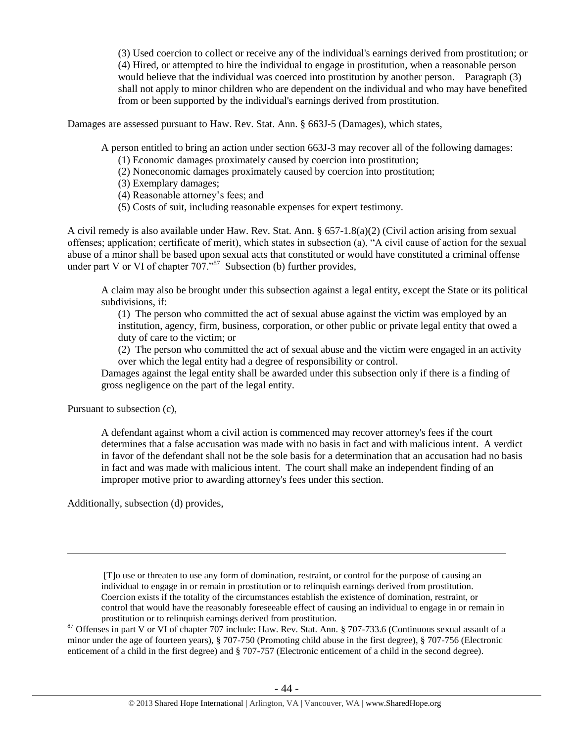(3) Used coercion to collect or receive any of the individual's earnings derived from prostitution; or (4) Hired, or attempted to hire the individual to engage in prostitution, when a reasonable person would believe that the individual was coerced into prostitution by another person. Paragraph (3) shall not apply to minor children who are dependent on the individual and who may have benefited from or been supported by the individual's earnings derived from prostitution.

Damages are assessed pursuant to Haw. Rev. Stat. Ann. § 663J-5 (Damages), which states,

A person entitled to bring an action under section 663J-3 may recover all of the following damages:

- (1) Economic damages proximately caused by coercion into prostitution;
- (2) Noneconomic damages proximately caused by coercion into prostitution;
- (3) Exemplary damages;
- (4) Reasonable attorney's fees; and
- (5) Costs of suit, including reasonable expenses for expert testimony.

A civil remedy is also available under Haw. Rev. Stat. Ann. § 657-1.8(a)(2) (Civil action arising from sexual offenses; application; certificate of merit), which states in subsection (a), "A civil cause of action for the sexual abuse of a minor shall be based upon sexual acts that constituted or would have constituted a criminal offense under part V or VI of chapter  $707.^{87}$  Subsection (b) further provides,

A claim may also be brought under this subsection against a legal entity, except the State or its political subdivisions, if:

(1) The person who committed the act of sexual abuse against the victim was employed by an institution, agency, firm, business, corporation, or other public or private legal entity that owed a duty of care to the victim; or

(2) The person who committed the act of sexual abuse and the victim were engaged in an activity over which the legal entity had a degree of responsibility or control.

Damages against the legal entity shall be awarded under this subsection only if there is a finding of gross negligence on the part of the legal entity.

Pursuant to subsection (c),

 $\overline{a}$ 

A defendant against whom a civil action is commenced may recover attorney's fees if the court determines that a false accusation was made with no basis in fact and with malicious intent. A verdict in favor of the defendant shall not be the sole basis for a determination that an accusation had no basis in fact and was made with malicious intent. The court shall make an independent finding of an improper motive prior to awarding attorney's fees under this section.

Additionally, subsection (d) provides,

[T]o use or threaten to use any form of domination, restraint, or control for the purpose of causing an individual to engage in or remain in prostitution or to relinquish earnings derived from prostitution. Coercion exists if the totality of the circumstances establish the existence of domination, restraint, or control that would have the reasonably foreseeable effect of causing an individual to engage in or remain in prostitution or to relinquish earnings derived from prostitution.

<sup>87</sup> Offenses in part V or VI of chapter 707 include: Haw. Rev. Stat. Ann. § 707-733.6 (Continuous sexual assault of a minor under the age of fourteen years), § 707-750 (Promoting child abuse in the first degree), § 707-756 (Electronic enticement of a child in the first degree) and § 707-757 (Electronic enticement of a child in the second degree).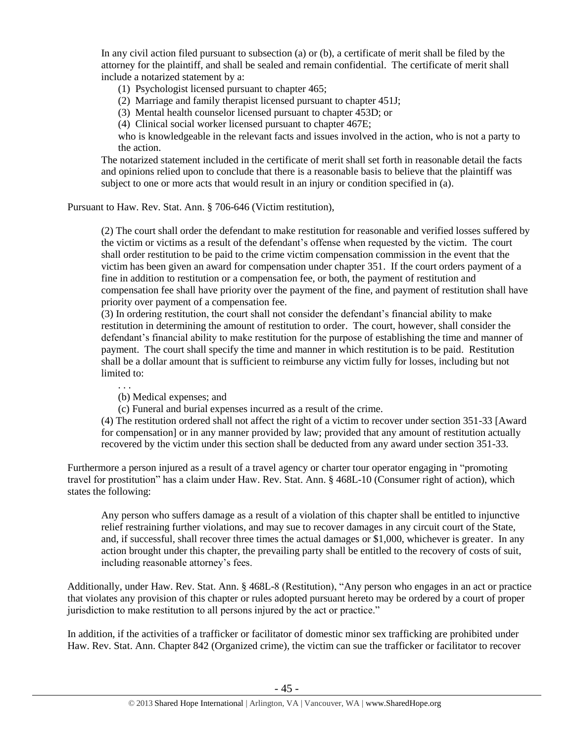In any civil action filed pursuant to subsection (a) or (b), a certificate of merit shall be filed by the attorney for the plaintiff, and shall be sealed and remain confidential. The certificate of merit shall include a notarized statement by a:

(1) Psychologist licensed pursuant to chapter 465;

(2) Marriage and family therapist licensed pursuant to chapter 451J;

(3) Mental health counselor licensed pursuant to chapter 453D; or

(4) Clinical social worker licensed pursuant to chapter 467E;

who is knowledgeable in the relevant facts and issues involved in the action, who is not a party to the action.

The notarized statement included in the certificate of merit shall set forth in reasonable detail the facts and opinions relied upon to conclude that there is a reasonable basis to believe that the plaintiff was subject to one or more acts that would result in an injury or condition specified in (a).

Pursuant to Haw. Rev. Stat. Ann. § 706-646 (Victim restitution),

(2) The court shall order the defendant to make restitution for reasonable and verified losses suffered by the victim or victims as a result of the defendant's offense when requested by the victim. The court shall order restitution to be paid to the crime victim compensation commission in the event that the victim has been given an award for compensation under chapter 351. If the court orders payment of a fine in addition to restitution or a compensation fee, or both, the payment of restitution and compensation fee shall have priority over the payment of the fine, and payment of restitution shall have priority over payment of a compensation fee.

(3) In ordering restitution, the court shall not consider the defendant's financial ability to make restitution in determining the amount of restitution to order. The court, however, shall consider the defendant's financial ability to make restitution for the purpose of establishing the time and manner of payment. The court shall specify the time and manner in which restitution is to be paid. Restitution shall be a dollar amount that is sufficient to reimburse any victim fully for losses, including but not limited to:

. . .

(b) Medical expenses; and

(c) Funeral and burial expenses incurred as a result of the crime.

(4) The restitution ordered shall not affect the right of a victim to recover under section 351-33 [Award for compensation] or in any manner provided by law; provided that any amount of restitution actually recovered by the victim under this section shall be deducted from any award under section 351-33.

Furthermore a person injured as a result of a travel agency or charter tour operator engaging in "promoting travel for prostitution" has a claim under Haw. Rev. Stat. Ann. § 468L-10 (Consumer right of action), which states the following:

Any person who suffers damage as a result of a violation of this chapter shall be entitled to injunctive relief restraining further violations, and may sue to recover damages in any circuit court of the State, and, if successful, shall recover three times the actual damages or \$1,000, whichever is greater. In any action brought under this chapter, the prevailing party shall be entitled to the recovery of costs of suit, including reasonable attorney's fees.

Additionally, under Haw. Rev. Stat. Ann. § 468L-8 (Restitution), "Any person who engages in an act or practice that violates any provision of this chapter or rules adopted pursuant hereto may be ordered by a court of proper jurisdiction to make restitution to all persons injured by the act or practice."

In addition, if the activities of a trafficker or facilitator of domestic minor sex trafficking are prohibited under Haw. Rev. Stat. Ann. Chapter 842 (Organized crime), the victim can sue the trafficker or facilitator to recover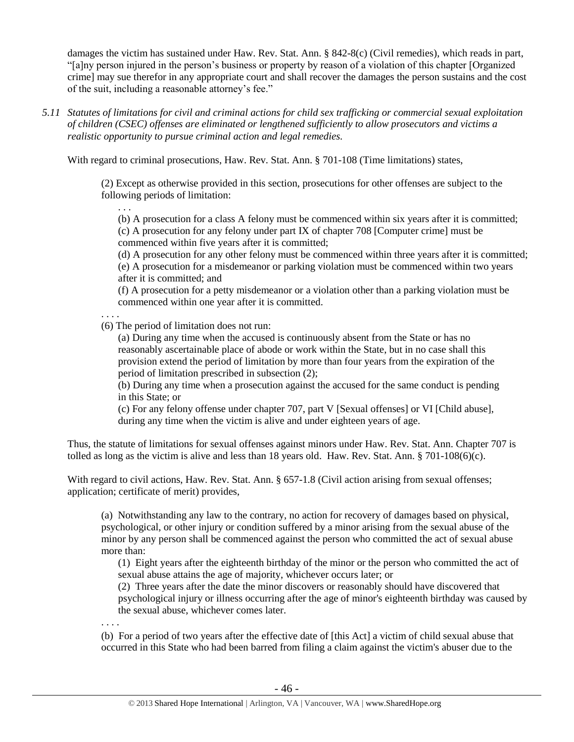damages the victim has sustained under Haw. Rev. Stat. Ann. § 842-8(c) (Civil remedies), which reads in part, "[a]ny person injured in the person's business or property by reason of a violation of this chapter [Organized crime] may sue therefor in any appropriate court and shall recover the damages the person sustains and the cost of the suit, including a reasonable attorney's fee."

*5.11 Statutes of limitations for civil and criminal actions for child sex trafficking or commercial sexual exploitation of children (CSEC) offenses are eliminated or lengthened sufficiently to allow prosecutors and victims a realistic opportunity to pursue criminal action and legal remedies.*

With regard to criminal prosecutions, Haw. Rev. Stat. Ann. § 701-108 (Time limitations) states,

(2) Except as otherwise provided in this section, prosecutions for other offenses are subject to the following periods of limitation:

(b) A prosecution for a class A felony must be commenced within six years after it is committed; (c) A prosecution for any felony under part IX of chapter 708 [Computer crime] must be commenced within five years after it is committed;

(d) A prosecution for any other felony must be commenced within three years after it is committed; (e) A prosecution for a misdemeanor or parking violation must be commenced within two years after it is committed; and

(f) A prosecution for a petty misdemeanor or a violation other than a parking violation must be commenced within one year after it is committed.

. . . .

. . .

(6) The period of limitation does not run:

(a) During any time when the accused is continuously absent from the State or has no reasonably ascertainable place of abode or work within the State, but in no case shall this provision extend the period of limitation by more than four years from the expiration of the period of limitation prescribed in subsection (2);

(b) During any time when a prosecution against the accused for the same conduct is pending in this State; or

(c) For any felony offense under chapter 707, part V [Sexual offenses] or VI [Child abuse], during any time when the victim is alive and under eighteen years of age.

Thus, the statute of limitations for sexual offenses against minors under Haw. Rev. Stat. Ann. Chapter 707 is tolled as long as the victim is alive and less than 18 years old. Haw. Rev. Stat. Ann. § 701-108(6)(c).

With regard to civil actions, Haw. Rev. Stat. Ann. § 657-1.8 (Civil action arising from sexual offenses; application; certificate of merit) provides,

(a) Notwithstanding any law to the contrary, no action for recovery of damages based on physical, psychological, or other injury or condition suffered by a minor arising from the sexual abuse of the minor by any person shall be commenced against the person who committed the act of sexual abuse more than:

(1) Eight years after the eighteenth birthday of the minor or the person who committed the act of sexual abuse attains the age of majority, whichever occurs later; or

(2) Three years after the date the minor discovers or reasonably should have discovered that psychological injury or illness occurring after the age of minor's eighteenth birthday was caused by the sexual abuse, whichever comes later.

. . . .

(b) For a period of two years after the effective date of [this Act] a victim of child sexual abuse that occurred in this State who had been barred from filing a claim against the victim's abuser due to the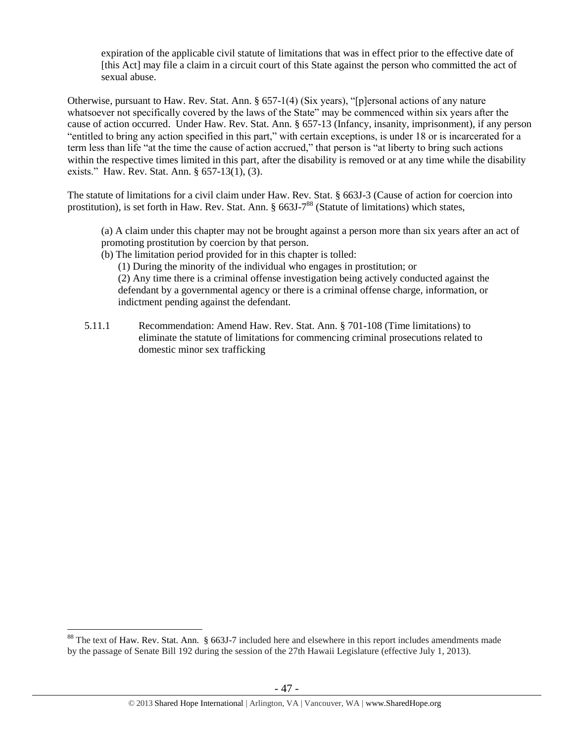expiration of the applicable civil statute of limitations that was in effect prior to the effective date of [this Act] may file a claim in a circuit court of this State against the person who committed the act of sexual abuse.

Otherwise, pursuant to Haw. Rev. Stat. Ann. § 657-1(4) (Six years), "[p]ersonal actions of any nature whatsoever not specifically covered by the laws of the State" may be commenced within six years after the cause of action occurred. Under Haw. Rev. Stat. Ann. § 657-13 (Infancy, insanity, imprisonment), if any person "entitled to bring any action specified in this part," with certain exceptions, is under 18 or is incarcerated for a term less than life "at the time the cause of action accrued," that person is "at liberty to bring such actions within the respective times limited in this part, after the disability is removed or at any time while the disability exists." Haw. Rev. Stat. Ann. § 657-13(1), (3).

The statute of limitations for a civil claim under Haw. Rev. Stat. § 663J-3 (Cause of action for coercion into prostitution), is set forth in Haw. Rev. Stat. Ann. § 663J-7<sup>88</sup> (Statute of limitations) which states,

- (a) A claim under this chapter may not be brought against a person more than six years after an act of promoting prostitution by coercion by that person.
- (b) The limitation period provided for in this chapter is tolled:

(1) During the minority of the individual who engages in prostitution; or (2) Any time there is a criminal offense investigation being actively conducted against the defendant by a governmental agency or there is a criminal offense charge, information, or indictment pending against the defendant.

5.11.1 Recommendation: Amend Haw. Rev. Stat. Ann. § 701-108 (Time limitations) to eliminate the statute of limitations for commencing criminal prosecutions related to domestic minor sex trafficking

<sup>&</sup>lt;sup>88</sup> The text of Haw. Rev. Stat. Ann. § 663J-7 included here and elsewhere in this report includes amendments made by the passage of Senate Bill 192 during the session of the 27th Hawaii Legislature (effective July 1, 2013).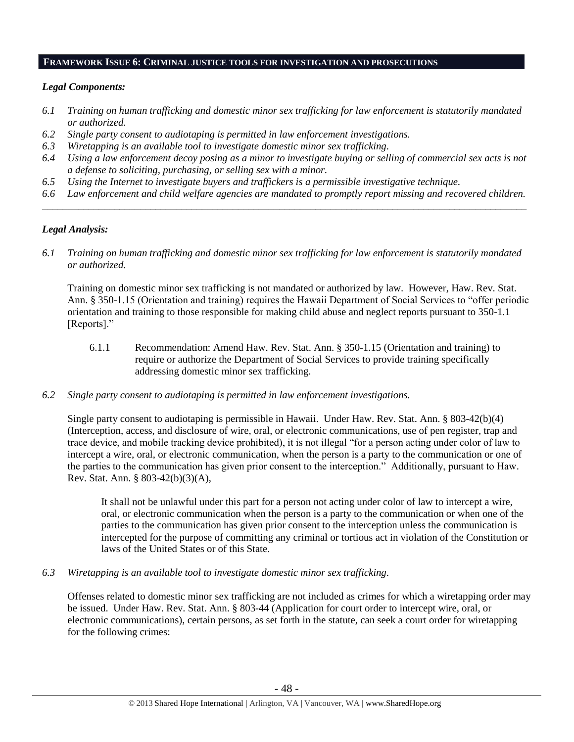#### **FRAMEWORK ISSUE 6: CRIMINAL JUSTICE TOOLS FOR INVESTIGATION AND PROSECUTIONS**

#### *Legal Components:*

- *6.1 Training on human trafficking and domestic minor sex trafficking for law enforcement is statutorily mandated or authorized.*
- *6.2 Single party consent to audiotaping is permitted in law enforcement investigations.*
- *6.3 Wiretapping is an available tool to investigate domestic minor sex trafficking.*
- *6.4 Using a law enforcement decoy posing as a minor to investigate buying or selling of commercial sex acts is not a defense to soliciting, purchasing, or selling sex with a minor.*
- *6.5 Using the Internet to investigate buyers and traffickers is a permissible investigative technique.*
- *6.6 Law enforcement and child welfare agencies are mandated to promptly report missing and recovered children. \_\_\_\_\_\_\_\_\_\_\_\_\_\_\_\_\_\_\_\_\_\_\_\_\_\_\_\_\_\_\_\_\_\_\_\_\_\_\_\_\_\_\_\_\_\_\_\_\_\_\_\_\_\_\_\_\_\_\_\_\_\_\_\_\_\_\_\_\_\_\_\_\_\_\_\_\_\_\_\_\_\_\_\_\_\_\_\_\_\_\_\_\_\_*

#### *Legal Analysis:*

*6.1 Training on human trafficking and domestic minor sex trafficking for law enforcement is statutorily mandated or authorized.*

Training on domestic minor sex trafficking is not mandated or authorized by law. However, Haw. Rev. Stat. Ann. § 350-1.15 (Orientation and training) requires the Hawaii Department of Social Services to "offer periodic orientation and training to those responsible for making child abuse and neglect reports pursuant to 350-1.1 [Reports]."

- 6.1.1 Recommendation: Amend Haw. Rev. Stat. Ann. § 350-1.15 (Orientation and training) to require or authorize the Department of Social Services to provide training specifically addressing domestic minor sex trafficking.
- *6.2 Single party consent to audiotaping is permitted in law enforcement investigations.*

Single party consent to audiotaping is permissible in Hawaii. Under Haw. Rev. Stat. Ann. § 803-42(b)(4) (Interception, access, and disclosure of wire, oral, or electronic communications, use of pen register, trap and trace device, and mobile tracking device prohibited), it is not illegal "for a person acting under color of law to intercept a wire, oral, or electronic communication, when the person is a party to the communication or one of the parties to the communication has given prior consent to the interception." Additionally, pursuant to Haw. Rev. Stat. Ann. § 803-42(b)(3)(A),

It shall not be unlawful under this part for a person not acting under color of law to intercept a wire, oral, or electronic communication when the person is a party to the communication or when one of the parties to the communication has given prior consent to the interception unless the communication is intercepted for the purpose of committing any criminal or tortious act in violation of the Constitution or laws of the United States or of this State.

*6.3 Wiretapping is an available tool to investigate domestic minor sex trafficking.* 

Offenses related to domestic minor sex trafficking are not included as crimes for which a wiretapping order may be issued. Under Haw. Rev. Stat. Ann. § 803-44 (Application for court order to intercept wire, oral, or electronic communications), certain persons, as set forth in the statute, can seek a court order for wiretapping for the following crimes: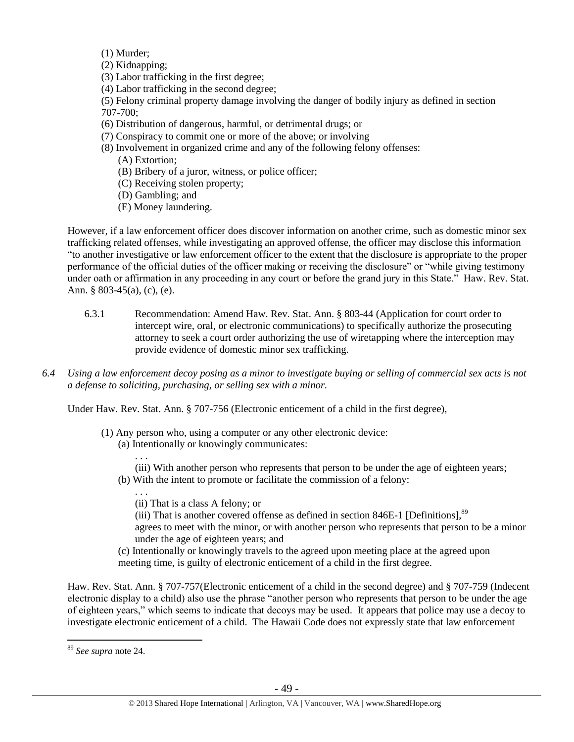(1) Murder;

- (2) Kidnapping;
- (3) Labor trafficking in the first degree;
- (4) Labor trafficking in the second degree;
- (5) Felony criminal property damage involving the danger of bodily injury as defined in section 707-700;
- (6) Distribution of dangerous, harmful, or detrimental drugs; or
- (7) Conspiracy to commit one or more of the above; or involving
- (8) Involvement in organized crime and any of the following felony offenses:
	- (A) Extortion;

. . .

- (B) Bribery of a juror, witness, or police officer;
- (C) Receiving stolen property;
- (D) Gambling; and
- (E) Money laundering.

However, if a law enforcement officer does discover information on another crime, such as domestic minor sex trafficking related offenses, while investigating an approved offense, the officer may disclose this information "to another investigative or law enforcement officer to the extent that the disclosure is appropriate to the proper performance of the official duties of the officer making or receiving the disclosure" or "while giving testimony under oath or affirmation in any proceeding in any court or before the grand jury in this State." Haw. Rev. Stat. Ann. § 803-45(a), (c), (e).

- 6.3.1 Recommendation: Amend Haw. Rev. Stat. Ann. § 803-44 (Application for court order to intercept wire, oral, or electronic communications) to specifically authorize the prosecuting attorney to seek a court order authorizing the use of wiretapping where the interception may provide evidence of domestic minor sex trafficking.
- *6.4 Using a law enforcement decoy posing as a minor to investigate buying or selling of commercial sex acts is not a defense to soliciting, purchasing, or selling sex with a minor.*

Under Haw. Rev. Stat. Ann. § 707-756 (Electronic enticement of a child in the first degree).

- (1) Any person who, using a computer or any other electronic device: (a) Intentionally or knowingly communicates:
	- (iii) With another person who represents that person to be under the age of eighteen years; (b) With the intent to promote or facilitate the commission of a felony:
		- . . . (ii) That is a class A felony; or
		- (iii) That is another covered offense as defined in section 846E-1 [Definitions], $89$ agrees to meet with the minor, or with another person who represents that person to be a minor under the age of eighteen years; and
	- (c) Intentionally or knowingly travels to the agreed upon meeting place at the agreed upon meeting time, is guilty of electronic enticement of a child in the first degree.

Haw. Rev. Stat. Ann. § 707-757(Electronic enticement of a child in the second degree) and § 707-759 (Indecent electronic display to a child) also use the phrase "another person who represents that person to be under the age of eighteen years," which seems to indicate that decoys may be used. It appears that police may use a decoy to investigate electronic enticement of a child. The Hawaii Code does not expressly state that law enforcement

<sup>89</sup> *See supra* note [24.](#page-4-0)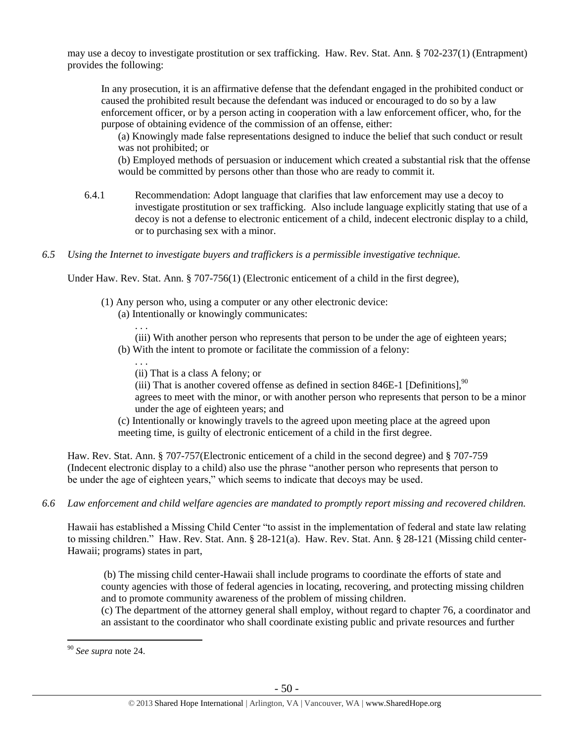may use a decoy to investigate prostitution or sex trafficking. Haw. Rev. Stat. Ann. § 702-237(1) (Entrapment) provides the following:

In any prosecution, it is an affirmative defense that the defendant engaged in the prohibited conduct or caused the prohibited result because the defendant was induced or encouraged to do so by a law enforcement officer, or by a person acting in cooperation with a law enforcement officer, who, for the purpose of obtaining evidence of the commission of an offense, either:

(a) Knowingly made false representations designed to induce the belief that such conduct or result was not prohibited; or

(b) Employed methods of persuasion or inducement which created a substantial risk that the offense would be committed by persons other than those who are ready to commit it.

- 6.4.1 Recommendation: Adopt language that clarifies that law enforcement may use a decoy to investigate prostitution or sex trafficking. Also include language explicitly stating that use of a decoy is not a defense to electronic enticement of a child, indecent electronic display to a child, or to purchasing sex with a minor.
- *6.5 Using the Internet to investigate buyers and traffickers is a permissible investigative technique.*

Under Haw. Rev. Stat. Ann. § 707-756(1) (Electronic enticement of a child in the first degree),

- (1) Any person who, using a computer or any other electronic device:
	- (a) Intentionally or knowingly communicates:

. . . (iii) With another person who represents that person to be under the age of eighteen years;

- (b) With the intent to promote or facilitate the commission of a felony:
	- (ii) That is a class A felony; or

. . .

(iii) That is another covered offense as defined in section 846E-1 [Definitions], $90$ agrees to meet with the minor, or with another person who represents that person to be a minor under the age of eighteen years; and

(c) Intentionally or knowingly travels to the agreed upon meeting place at the agreed upon meeting time, is guilty of electronic enticement of a child in the first degree.

Haw. Rev. Stat. Ann. § 707-757(Electronic enticement of a child in the second degree) and § 707-759 (Indecent electronic display to a child) also use the phrase "another person who represents that person to be under the age of eighteen years," which seems to indicate that decoys may be used.

*6.6 Law enforcement and child welfare agencies are mandated to promptly report missing and recovered children.*

Hawaii has established a Missing Child Center "to assist in the implementation of federal and state law relating to missing children." Haw. Rev. Stat. Ann. § 28-121(a). Haw. Rev. Stat. Ann. § 28-121 (Missing child center-Hawaii; programs) states in part,

(b) The missing child center-Hawaii shall include programs to coordinate the efforts of state and county agencies with those of federal agencies in locating, recovering, and protecting missing children and to promote community awareness of the problem of missing children.

(c) The department of the attorney general shall employ, without regard to chapter 76, a coordinator and an assistant to the coordinator who shall coordinate existing public and private resources and further

<sup>90</sup> *See supra* note [24.](#page-4-0)